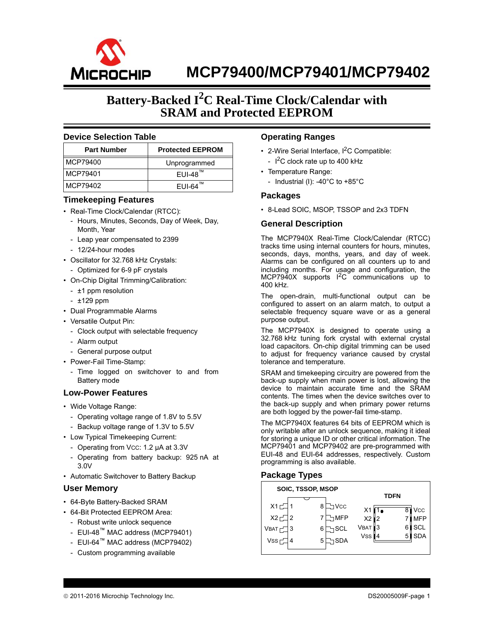

## **Battery-Backed I<sup>2</sup> C Real-Time Clock/Calendar with SRAM and Protected EEPROM**

#### **Device Selection Table**

| <b>Part Number</b> | <b>Protected EEPROM</b> |
|--------------------|-------------------------|
| MCP79400           | Unprogrammed            |
| MCP79401           | $EUI-48$ <sup>™</sup>   |
| MCP79402           | $EUI-64^m$              |

#### **Timekeeping Features**

- Real-Time Clock/Calendar (RTCC):
	- Hours, Minutes, Seconds, Day of Week, Day, Month, Year
	- Leap year compensated to 2399
	- 12/24-hour modes
- Oscillator for 32.768 kHz Crystals:
	- Optimized for 6-9 pF crystals
- On-Chip Digital Trimming/Calibration:
	- ±1 ppm resolution
	- ±129 ppm
- Dual Programmable Alarms
- Versatile Output Pin:
- Clock output with selectable frequency
- Alarm output
- General purpose output
- Power-Fail Time-Stamp:
	- Time logged on switchover to and from Battery mode

#### **Low-Power Features**

- Wide Voltage Range:
	- Operating voltage range of 1.8V to 5.5V
	- Backup voltage range of 1.3V to 5.5V
- Low Typical Timekeeping Current:
	- Operating from Vcc: 1.2 µA at 3.3V
	- Operating from battery backup: 925 nA at 3.0V
- Automatic Switchover to Battery Backup

#### **User Memory**

- 64-Byte Battery-Backed SRAM
- 64-Bit Protected EEPROM Area:
	- Robust write unlock sequence
	- EUI-48™ MAC address (MCP79401)
	- EUI-64™ MAC address (MCP79402)
	- Custom programming available

#### **Operating Ranges**

- 2-Wire Serial Interface,  $I^2C$  Compatible: -  $I^2C$  clock rate up to 400 kHz
- Temperature Range:
	- Industrial (I): -40 $^{\circ}$ C to +85 $^{\circ}$ C

#### **Packages**

• 8-Lead SOIC, MSOP, TSSOP and 2x3 TDFN

### **General Description**

The MCP7940X Real-Time Clock/Calendar (RTCC) tracks time using internal counters for hours, minutes, seconds, days, months, years, and day of week. Alarms can be configured on all counters up to and including months. For usage and configuration, the MCP7940X supports  $1^2C$  communications up to 400 kHz.

The open-drain, multi-functional output can be configured to assert on an alarm match, to output a selectable frequency square wave or as a general purpose output.

The MCP7940X is designed to operate using a 32.768 kHz tuning fork crystal with external crystal load capacitors. On-chip digital trimming can be used to adjust for frequency variance caused by crystal tolerance and temperature.

SRAM and timekeeping circuitry are powered from the back-up supply when main power is lost, allowing the device to maintain accurate time and the SRAM contents. The times when the device switches over to the back-up supply and when primary power returns are both logged by the power-fail time-stamp.

The MCP7940X features 64 bits of EEPROM which is only writable after an unlock sequence, making it ideal for storing a unique ID or other critical information. The MCP79401 and MCP79402 are pre-programmed with EUI-48 and EUI-64 addresses, respectively. Custom programming is also available.

#### **Package Types**

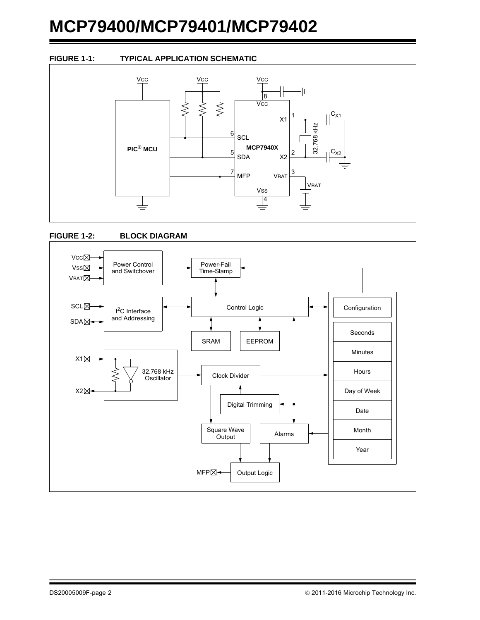### **FIGURE 1-1: TYPICAL APPLICATION SCHEMATIC**





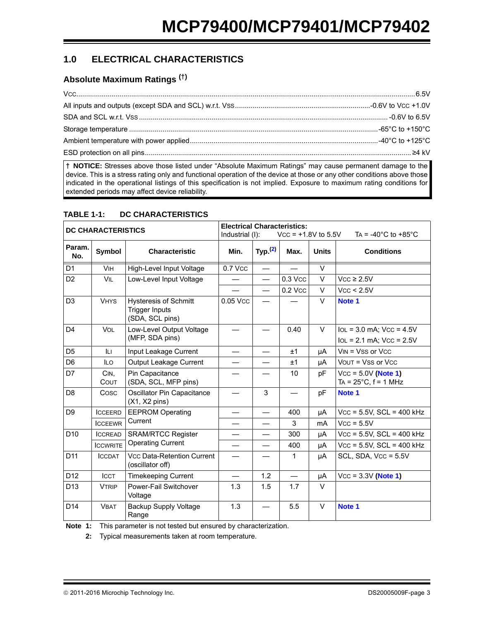## **1.0 ELECTRICAL CHARACTERISTICS**

## **Absolute Maximum Ratings (†)**

**† NOTICE:** Stresses above those listed under "Absolute Maximum Ratings" may cause permanent damage to the device. This is a stress rating only and functional operation of the device at those or any other conditions above those indicated in the operational listings of this specification is not implied. Exposure to maximum rating conditions for extended periods may affect device reliability.

| <b>DC CHARACTERISTICS</b> |                     |                                                                   | <b>Electrical Characteristics:</b><br>Industrial (I): |                          | $Vcc = +1.8V$ to 5.5V |              | TA = -40 $^{\circ}$ C to +85 $^{\circ}$ C               |
|---------------------------|---------------------|-------------------------------------------------------------------|-------------------------------------------------------|--------------------------|-----------------------|--------------|---------------------------------------------------------|
| Param.<br>No.             | Symbol              | <b>Characteristic</b>                                             | Min.                                                  | Typ. $(2)$               | Max.                  | <b>Units</b> | <b>Conditions</b>                                       |
| D <sub>1</sub>            | <b>VIH</b>          | High-Level Input Voltage                                          | 0.7 Vcc                                               |                          |                       | $\vee$       |                                                         |
| D <sub>2</sub>            | <b>VIL</b>          | Low-Level Input Voltage                                           |                                                       | $\equiv$                 | 0.3 Vcc               | $\vee$       | $Vcc \geq 2.5V$                                         |
|                           |                     |                                                                   |                                                       | $\overline{\phantom{0}}$ | 0.2 Vcc               | $\vee$       | Vcc < 2.5V                                              |
| D <sub>3</sub>            | <b>VHYS</b>         | Hysteresis of Schmitt<br><b>Trigger Inputs</b><br>(SDA, SCL pins) | 0.05 Vcc                                              |                          |                       | $\vee$       | Note 1                                                  |
| D <sub>4</sub>            | <b>VOL</b>          | Low-Level Output Voltage                                          |                                                       |                          | 0.40                  | $\vee$       | $IOL = 3.0$ mA; $VCC = 4.5V$                            |
|                           |                     | (MFP, SDA pins)                                                   |                                                       |                          |                       |              | $IoL = 2.1$ mA; $VCC = 2.5V$                            |
| D <sub>5</sub>            | ILI                 | Input Leakage Current                                             |                                                       |                          | ±1                    | μA           | $VIN = VSS$ or $VCC$                                    |
| D <sub>6</sub>            | <b>ILO</b>          | Output Leakage Current                                            |                                                       |                          | ±1                    | μA           | $V$ OUT = $V$ SS or $V$ CC                              |
| D7                        | CIN.<br><b>COUT</b> | Pin Capacitance<br>(SDA, SCL, MFP pins)                           |                                                       |                          | 10                    | рF           | $Vcc = 5.0V$ (Note 1)<br>TA = $25^{\circ}$ C, f = 1 MHz |
| D <sub>8</sub>            | Cosc                | Oscillator Pin Capacitance<br>$(X1, X2 \text{ pins})$             |                                                       | 3                        |                       | pF           | Note 1                                                  |
| D <sub>9</sub>            | <b>ICCEERD</b>      | <b>EEPROM Operating</b>                                           |                                                       | $\overline{\phantom{0}}$ | 400                   | μA           | $Vcc = 5.5V$ , SCL = 400 kHz                            |
|                           | <b>ICCEEWR</b>      | Current                                                           |                                                       |                          | 3                     | mA           | $Vcc = 5.5V$                                            |
| D <sub>10</sub>           | <b>ICCREAD</b>      | <b>SRAM/RTCC Register</b>                                         |                                                       | $\overline{\phantom{0}}$ | 300                   | μA           | $Vcc = 5.5V$ , $SCL = 400$ kHz                          |
|                           | <b>ICCWRITE</b>     | <b>Operating Current</b>                                          |                                                       |                          | 400                   | μA           | $Vcc = 5.5V$ , $SCL = 400$ kHz                          |
| D <sub>11</sub>           | <b>ICCDAT</b>       | <b>Vcc Data-Retention Current</b><br>(oscillator off)             |                                                       |                          | 1                     | μA           | SCL, SDA, $Vcc = 5.5V$                                  |
| D <sub>12</sub>           | <b>ICCT</b>         | <b>Timekeeping Current</b>                                        |                                                       | 1.2                      |                       | μA           | $Vcc = 3.3V (Note 1)$                                   |
| D <sub>13</sub>           | <b>VTRIP</b>        | Power-Fail Switchover<br>Voltage                                  | 1.3                                                   | 1.5                      | 1.7                   | $\vee$       |                                                         |
| D <sub>14</sub>           | <b>VBAT</b>         | <b>Backup Supply Voltage</b><br>Range                             | 1.3                                                   |                          | 5.5                   | $\vee$       | Note <sub>1</sub>                                       |

#### **TABLE 1-1: DC CHARACTERISTICS**

<span id="page-2-1"></span><span id="page-2-0"></span>**Note 1:** This parameter is not tested but ensured by characterization.

**2:** Typical measurements taken at room temperature.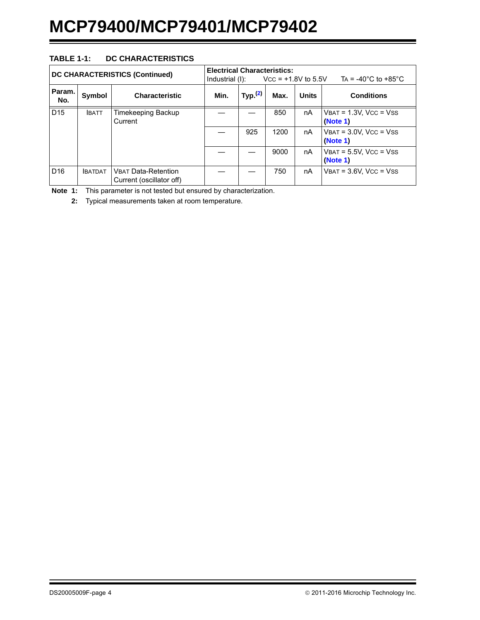### **TABLE 1-1: DC CHARACTERISTICS**

| <b>DC CHARACTERISTICS (Continued)</b> |               |                                                        | <b>Electrical Characteristics:</b><br>Industrial (I): |            | $V_{\rm CC}$ = +1.8V to 5.5V |              | TA = -40 $^{\circ}$ C to +85 $^{\circ}$ C   |
|---------------------------------------|---------------|--------------------------------------------------------|-------------------------------------------------------|------------|------------------------------|--------------|---------------------------------------------|
| Param.<br>No.                         | Symbol        | <b>Characteristic</b>                                  | Min.                                                  | Typ. $(2)$ | Max.                         | <b>Units</b> | <b>Conditions</b>                           |
| D <sub>15</sub>                       | <b>IBATT</b>  | Timekeeping Backup<br>Current                          |                                                       |            | 850                          | nA           | $V$ BAT = 1.3V, VCC = VSS<br>(Note 1)       |
|                                       |               |                                                        |                                                       | 925        | 1200                         | nA           | $V$ BAT = $3.0V$ , $Vcc = V$ SS<br>(Note 1) |
|                                       |               |                                                        |                                                       |            | 9000                         | nA           | $V$ BAT = 5.5V, VCC = VSS<br>(Note 1)       |
| D <sub>16</sub>                       | <b>BATDAT</b> | <b>VBAT Data-Retention</b><br>Current (oscillator off) |                                                       |            | 750                          | nA           | $V$ BAT = $3.6V$ , VCC = VSS                |

**Note 1:** This parameter is not tested but ensured by characterization.

**2:** Typical measurements taken at room temperature.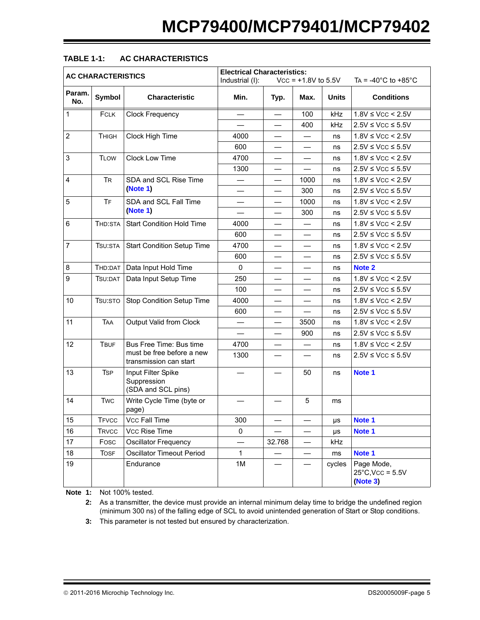| <b>AC CHARACTERISTICS</b> |              |                                                         | <b>Electrical Characteristics:</b><br>$Vcc = +1.8V$ to 5.5V<br>TA = $-40^{\circ}$ C to $+85^{\circ}$ C<br>Industrial (I): |                          |                                  |         |                                                      |
|---------------------------|--------------|---------------------------------------------------------|---------------------------------------------------------------------------------------------------------------------------|--------------------------|----------------------------------|---------|------------------------------------------------------|
| Param.<br>No.             | Symbol       | <b>Characteristic</b>                                   | Min.                                                                                                                      | Typ.                     | Max.                             | Units   | <b>Conditions</b>                                    |
| $\mathbf{1}$              | <b>FCLK</b>  | <b>Clock Frequency</b>                                  |                                                                                                                           |                          | 100                              | kHz     | $1.8V \leq VCC \leq 2.5V$                            |
|                           |              |                                                         |                                                                                                                           | $\overline{\phantom{0}}$ | 400                              | kHz     | $2.5V \leq VCC \leq 5.5V$                            |
| $\overline{2}$            | <b>THIGH</b> | Clock High Time                                         | 4000                                                                                                                      | $\overline{\phantom{0}}$ | $\overbrace{\phantom{12322111}}$ | ns      | $1.8V \leq VCC \leq 2.5V$                            |
|                           |              |                                                         | 600                                                                                                                       |                          |                                  | ns      | $2.5V \leq VCC \leq 5.5V$                            |
| 3                         | <b>TLOW</b>  | Clock Low Time                                          | 4700                                                                                                                      | $\overline{\phantom{0}}$ | $\overline{\phantom{0}}$         | ns      | $1.8V$ ≤ Vcc < 2.5V                                  |
|                           |              |                                                         | 1300                                                                                                                      | $\overline{\phantom{0}}$ |                                  | ns      | $2.5V \leq VCC \leq 5.5V$                            |
| $\overline{4}$            | <b>TR</b>    | SDA and SCL Rise Time                                   |                                                                                                                           |                          | 1000                             | ns      | $1.8V \leq VCC \leq 2.5V$                            |
|                           |              | (Note 1)                                                |                                                                                                                           | $\overline{\phantom{0}}$ | 300                              | ns      | $2.5V \leq VCC \leq 5.5V$                            |
| 5                         | <b>TF</b>    | SDA and SCL Fall Time                                   | —                                                                                                                         | $\qquad \qquad$          | 1000                             | ns      | $1.8V \leq VCC \leq 2.5V$                            |
|                           |              | (Note 1)                                                |                                                                                                                           |                          | 300                              | ns      | $2.5V \leq VCC \leq 5.5V$                            |
| 6                         | THD:STA      | <b>Start Condition Hold Time</b>                        | 4000                                                                                                                      | $\overline{\phantom{0}}$ | $\qquad \qquad -$                | ns      | $1.8V$ ≤ Vcc < 2.5V                                  |
|                           |              |                                                         | 600                                                                                                                       | $\overline{\phantom{0}}$ |                                  | ns      | $2.5V \leq VCC \leq 5.5V$                            |
| $\overline{7}$            | TSU:STA      | <b>Start Condition Setup Time</b>                       | 4700                                                                                                                      |                          |                                  | ns      | $1.8V \leq VCC \leq 2.5V$                            |
|                           |              |                                                         | 600                                                                                                                       | $\overline{\phantom{0}}$ | $\overline{\phantom{0}}$         | ns      | $2.5V \leq VCC \leq 5.5V$                            |
| 8                         | THD:DAT      | Data Input Hold Time                                    | 0                                                                                                                         | $\qquad \qquad$          |                                  | ns      | Note 2                                               |
| 9                         | TSU:DAT      | Data Input Setup Time                                   | 250                                                                                                                       |                          |                                  | ns      | $1.8V \leq VCC \leq 2.5V$                            |
|                           |              |                                                         | 100                                                                                                                       | $\overline{\phantom{0}}$ | $\overline{\phantom{0}}$         | ns      | $2.5V \leq VCC \leq 5.5V$                            |
| 10                        | TSU:STO      | Stop Condition Setup Time                               | 4000                                                                                                                      | $\overline{\phantom{0}}$ |                                  | ns      | $1.8V \leq VCC \leq 2.5V$                            |
|                           |              |                                                         | 600                                                                                                                       |                          |                                  | ns      | $2.5V \leq VCC \leq 5.5V$                            |
| 11                        | <b>TAA</b>   | Output Valid from Clock                                 |                                                                                                                           | $\overline{\phantom{0}}$ | 3500                             | ns      | $1.8V$ ≤ Vcc < 2.5V                                  |
|                           |              |                                                         | $\qquad \qquad$                                                                                                           | $\qquad \qquad$          | 900                              | ns      | $2.5V \leq VCC \leq 5.5V$                            |
| 12                        | <b>TBUF</b>  | Bus Free Time: Bus time                                 | 4700                                                                                                                      |                          |                                  | ns      | $1.8V \leq VCC \leq 2.5V$                            |
|                           |              | must be free before a new<br>transmission can start     | 1300                                                                                                                      | $\qquad \qquad$          |                                  | ns      | $2.5V \leq VCC \leq 5.5V$                            |
| 13                        | <b>TSP</b>   | Input Filter Spike<br>Suppression<br>(SDA and SCL pins) |                                                                                                                           |                          | 50                               | ns      | Note 1                                               |
| 14                        | <b>Twc</b>   | Write Cycle Time (byte or<br>page)                      |                                                                                                                           |                          | 5                                | ms      |                                                      |
| 15                        | <b>TFVCC</b> | Vcc Fall Time                                           | 300                                                                                                                       |                          | —                                | μs      | Note 1                                               |
| 16                        | <b>TRVCC</b> | Vcc Rise Time                                           | 0                                                                                                                         |                          | —                                | $\mu s$ | Note 1                                               |
| 17                        | Fosc         | <b>Oscillator Frequency</b>                             |                                                                                                                           | 32.768                   |                                  | kHz     |                                                      |
| 18                        | <b>TOSF</b>  | <b>Oscillator Timeout Period</b>                        | $\mathbf 1$                                                                                                               |                          | —                                | ms      | Note 1                                               |
| 19                        |              | Endurance                                               | 1M                                                                                                                        |                          |                                  | cycles  | Page Mode,<br>$25^{\circ}$ C, Vcc = 5.5V<br>(Note 3) |

## **TABLE 1-1: AC CHARACTERISTICS**

<span id="page-4-1"></span><span id="page-4-0"></span>**Note 1:** Not 100% tested.

**2:** As a transmitter, the device must provide an internal minimum delay time to bridge the undefined region (minimum 300 ns) of the falling edge of SCL to avoid unintended generation of Start or Stop conditions.

<span id="page-4-2"></span>**3:** This parameter is not tested but ensured by characterization.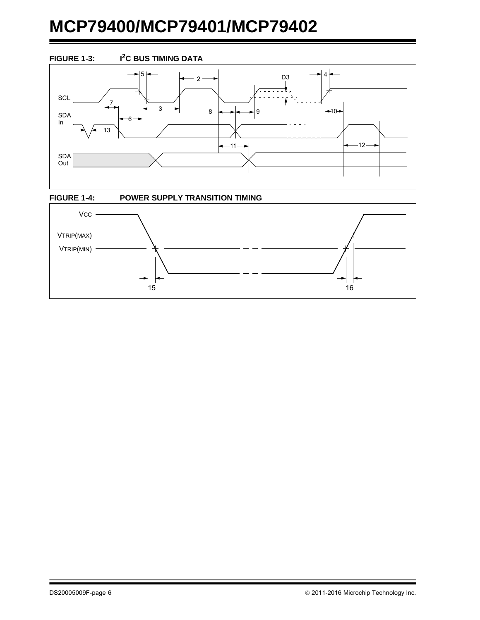

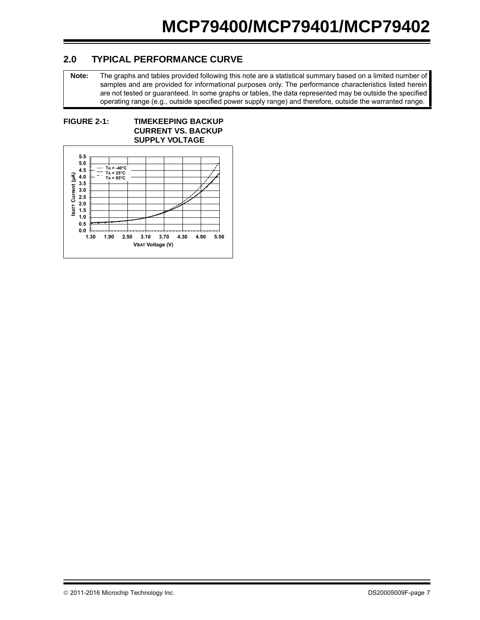## **2.0 TYPICAL PERFORMANCE CURVE**

**Note:** The graphs and tables provided following this note are a statistical summary based on a limited number of samples and are provided for informational purposes only. The performance characteristics listed herein are not tested or guaranteed. In some graphs or tables, the data represented may be outside the specified operating range (e.g., outside specified power supply range) and therefore, outside the warranted range.

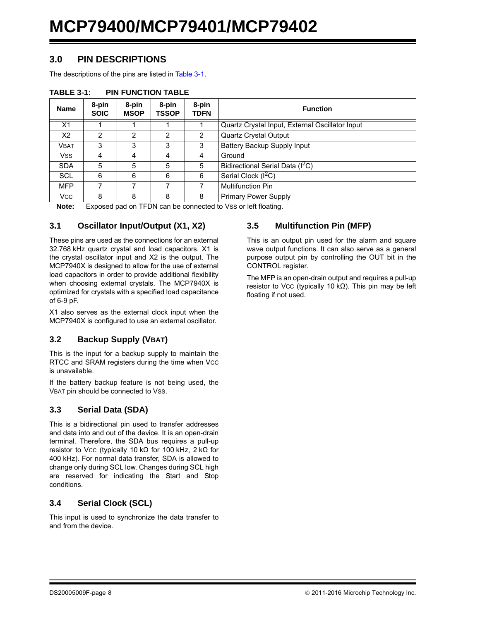## **3.0 PIN DESCRIPTIONS**

The descriptions of the pins are listed in [Table 3-1.](#page-7-0)

| <b>Name</b>    | 8-pin<br><b>SOIC</b> | 8-pin<br><b>MSOP</b> | 8-pin<br>TSSOP | 8-pin<br>TDFN  | <b>Function</b>                                 |
|----------------|----------------------|----------------------|----------------|----------------|-------------------------------------------------|
| X <sub>1</sub> |                      |                      |                |                | Quartz Crystal Input, External Oscillator Input |
| X2             | $\overline{2}$       | 2                    | 2              | $\overline{2}$ | Quartz Crystal Output                           |
| <b>VBAT</b>    | 3                    | 3                    | 3              | 3              | Battery Backup Supply Input                     |
| Vss            | 4                    | 4                    | 4              | 4              | Ground                                          |
| <b>SDA</b>     | 5                    | 5                    | 5              | 5              | Bidirectional Serial Data (I <sup>2</sup> C)    |
| <b>SCL</b>     | 6                    | 6                    | 6              | 6              | Serial Clock $(\overline{I^2C})$                |
| <b>MFP</b>     |                      |                      |                |                | <b>Multifunction Pin</b>                        |
| <b>VCC</b>     | 8                    | 8                    | 8              | 8              | <b>Primary Power Supply</b>                     |

#### <span id="page-7-0"></span>**TABLE 3-1: PIN FUNCTION TABLE**

Note: Exposed pad on TFDN can be connected to Vss or left floating.

## **3.1 Oscillator Input/Output (X1, X2)**

These pins are used as the connections for an external 32.768 kHz quartz crystal and load capacitors. X1 is the crystal oscillator input and X2 is the output. The MCP7940X is designed to allow for the use of external load capacitors in order to provide additional flexibility when choosing external crystals. The MCP7940X is optimized for crystals with a specified load capacitance of 6-9 pF.

X1 also serves as the external clock input when the MCP7940X is configured to use an external oscillator.

## **3.2 Backup Supply (VBAT)**

This is the input for a backup supply to maintain the RTCC and SRAM registers during the time when Vcc is unavailable.

If the battery backup feature is not being used, the VBAT pin should be connected to VSS.

## **3.3 Serial Data (SDA)**

This is a bidirectional pin used to transfer addresses and data into and out of the device. It is an open-drain terminal. Therefore, the SDA bus requires a pull-up resistor to Vcc (typically 10 kΩ for 100 kHz, 2 kΩ for 400 kHz). For normal data transfer, SDA is allowed to change only during SCL low. Changes during SCL high are reserved for indicating the Start and Stop conditions.

## **3.4 Serial Clock (SCL)**

This input is used to synchronize the data transfer to and from the device.

## **3.5 Multifunction Pin (MFP)**

This is an output pin used for the alarm and square wave output functions. It can also serve as a general purpose output pin by controlling the OUT bit in the CONTROL register.

The MFP is an open-drain output and requires a pull-up resistor to Vcc (typically 10 kΩ). This pin may be left floating if not used.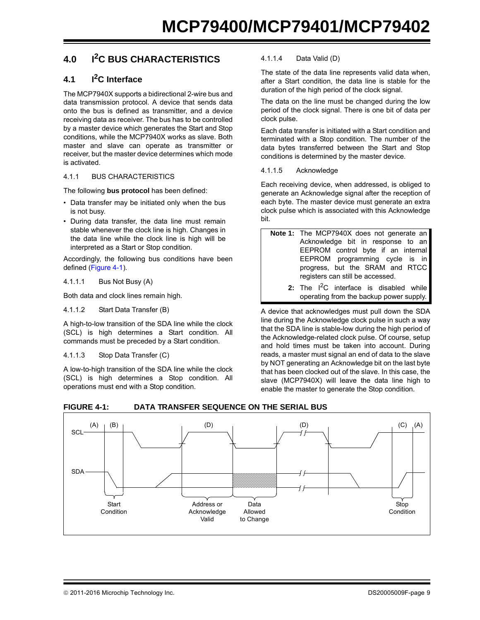## **4.0 I2C BUS CHARACTERISTICS**

## **4.1 I2C Interface**

The MCP7940X supports a bidirectional 2-wire bus and data transmission protocol. A device that sends data onto the bus is defined as transmitter, and a device receiving data as receiver. The bus has to be controlled by a master device which generates the Start and Stop conditions, while the MCP7940X works as slave. Both master and slave can operate as transmitter or receiver, but the master device determines which mode is activated.

#### 4.1.1 BUS CHARACTERISTICS

The following **bus protocol** has been defined:

- Data transfer may be initiated only when the bus is not busy.
- During data transfer, the data line must remain stable whenever the clock line is high. Changes in the data line while the clock line is high will be interpreted as a Start or Stop condition.

Accordingly, the following bus conditions have been defined ([Figure 4-1\)](#page-8-0).

4.1.1.1 Bus Not Busy (A)

Both data and clock lines remain high.

#### 4.1.1.2 Start Data Transfer (B)

A high-to-low transition of the SDA line while the clock (SCL) is high determines a Start condition. All commands must be preceded by a Start condition.

#### 4.1.1.3 Stop Data Transfer (C)

A low-to-high transition of the SDA line while the clock (SCL) is high determines a Stop condition. All operations must end with a Stop condition.

#### 4.1.1.4 Data Valid (D)

The state of the data line represents valid data when, after a Start condition, the data line is stable for the duration of the high period of the clock signal.

The data on the line must be changed during the low period of the clock signal. There is one bit of data per clock pulse.

Each data transfer is initiated with a Start condition and terminated with a Stop condition. The number of the data bytes transferred between the Start and Stop conditions is determined by the master device.

4.1.1.5 Acknowledge

Each receiving device, when addressed, is obliged to generate an Acknowledge signal after the reception of each byte. The master device must generate an extra clock pulse which is associated with this Acknowledge bit.

| Note 1: The MCP7940X does not generate an              |
|--------------------------------------------------------|
| Acknowledge bit in response to an                      |
| EEPROM control byte if an internal                     |
| EEPROM programming cycle is in                         |
| progress, but the SRAM and RTCC                        |
| registers can still be accessed.                       |
| $\alpha$ . The $12\alpha$ intentance is disabled while |

**2:** The I<sup>2</sup>C interface is disabled while operating from the backup power supply.

A device that acknowledges must pull down the SDA line during the Acknowledge clock pulse in such a way that the SDA line is stable-low during the high period of the Acknowledge-related clock pulse. Of course, setup and hold times must be taken into account. During reads, a master must signal an end of data to the slave by NOT generating an Acknowledge bit on the last byte that has been clocked out of the slave. In this case, the slave (MCP7940X) will leave the data line high to enable the master to generate the Stop condition.



#### <span id="page-8-0"></span>**FIGURE 4-1: DATA TRANSFER SEQUENCE ON THE SERIAL BUS**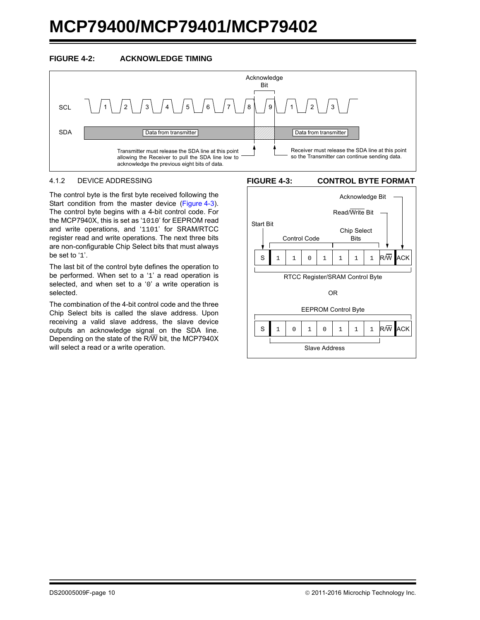



#### 4.1.2 DEVICE ADDRESSING

The control byte is the first byte received following the Start condition from the master device ([Figure 4-3](#page-9-0)). The control byte begins with a 4-bit control code. For the MCP7940X, this is set as '1010' for EEPROM read and write operations, and '1101' for SRAM/RTCC register read and write operations. The next three bits are non-configurable Chip Select bits that must always be set to '1'.

The last bit of the control byte defines the operation to be performed. When set to a '1' a read operation is selected, and when set to a '0' a write operation is selected.

The combination of the 4-bit control code and the three Chip Select bits is called the slave address. Upon receiving a valid slave address, the slave device outputs an acknowledge signal on the SDA line. Depending on the state of the R/W bit, the MCP7940X will select a read or a write operation.

#### <span id="page-9-0"></span>**FIGURE 4-3: CONTROL BYTE FORMAT**

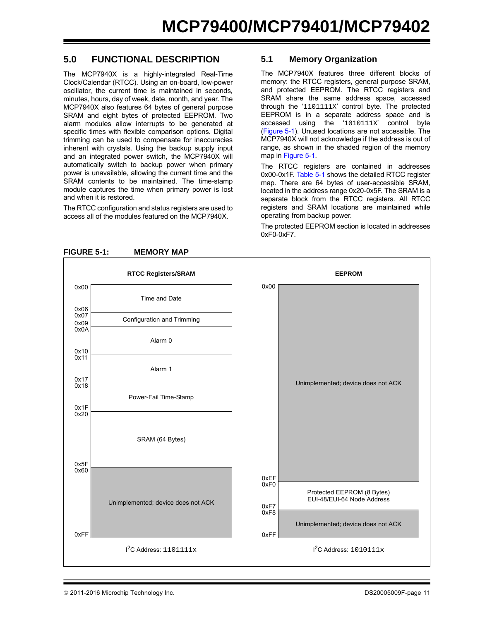## **5.0 FUNCTIONAL DESCRIPTION**

The MCP7940X is a highly-integrated Real-Time Clock/Calendar (RTCC). Using an on-board, low-power oscillator, the current time is maintained in seconds, minutes, hours, day of week, date, month, and year. The MCP7940X also features 64 bytes of general purpose SRAM and eight bytes of protected EEPROM. Two alarm modules allow interrupts to be generated at specific times with flexible comparison options. Digital trimming can be used to compensate for inaccuracies inherent with crystals. Using the backup supply input and an integrated power switch, the MCP7940X will automatically switch to backup power when primary power is unavailable, allowing the current time and the SRAM contents to be maintained. The time-stamp module captures the time when primary power is lost and when it is restored.

The RTCC configuration and status registers are used to access all of the modules featured on the MCP7940X.

### **5.1 Memory Organization**

The MCP7940X features three different blocks of memory: the RTCC registers, general purpose SRAM, and protected EEPROM. The RTCC registers and SRAM share the same address space, accessed through the '1101111X' control byte. The protected EEPROM is in a separate address space and is accessed using the '1010111X' control byte ([Figure 5-1](#page-10-0)). Unused locations are not accessible. The MCP7940X will not acknowledge if the address is out of range, as shown in the shaded region of the memory map in [Figure 5-1.](#page-10-0)

The RTCC registers are contained in addresses 0x00-0x1F. [Table 5-1](#page-11-0) shows the detailed RTCC register map. There are 64 bytes of user-accessible SRAM, located in the address range 0x20-0x5F. The SRAM is a separate block from the RTCC registers. All RTCC registers and SRAM locations are maintained while operating from backup power.

The protected EEPROM section is located in addresses  $0xF0-0xF7$ 



<span id="page-10-0"></span>**FIGURE 5-1: MEMORY MAP**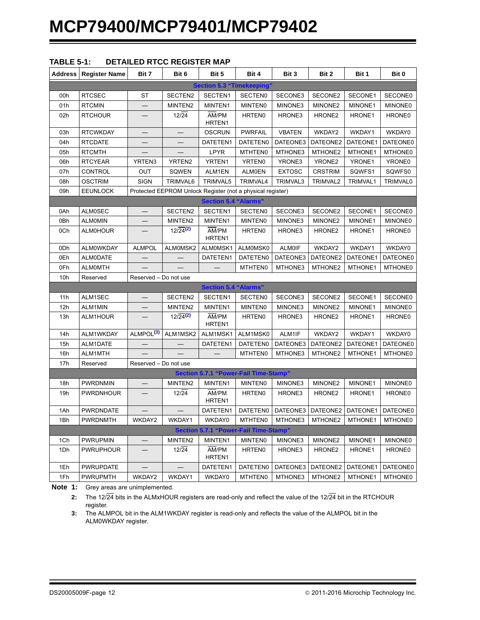<span id="page-11-0"></span>

| <b>Address</b> | <b>Register Name</b> | Bit 7                    | Bit 6                        | Bit 5                                                      | Bit 4              | Bit 3         | Bit 2              | Bit 1    | Bit 0          |
|----------------|----------------------|--------------------------|------------------------------|------------------------------------------------------------|--------------------|---------------|--------------------|----------|----------------|
|                |                      |                          |                              | <b>Section 5.3 "Timekeeping'</b>                           |                    |               |                    |          |                |
| 00h            | <b>RTCSEC</b>        | <b>ST</b>                | SECTEN2                      | SECTEN1                                                    | <b>SECTENO</b>     | SECONE3       | SECONE2            | SECONE1  | SECONE0        |
| 01h            | <b>RTCMIN</b>        |                          | MINTEN2                      | MINTEN1                                                    | <b>MINTENO</b>     | MINONE3       | MINONE2            | MINONE1  | <b>MINONE0</b> |
| 02h            | <b>RTCHOUR</b>       |                          | $12\sqrt{24}$                | AM/PM<br>HRTEN1                                            | <b>HRTEN0</b>      | HRONE3        | HRONE <sub>2</sub> | HRONE1   | HRONE0         |
| 03h            | <b>RTCWKDAY</b>      |                          |                              | <b>OSCRUN</b>                                              | <b>PWRFAIL</b>     | <b>VBATEN</b> | WKDAY2             | WKDAY1   | WKDAY0         |
| 04h            | <b>RTCDATE</b>       |                          |                              | DATETEN1                                                   | DATETEN0           | DATEONE3      | DATEONE2           | DATEONE1 | DATEONE0       |
| 05h            | <b>RTCMTH</b>        | $\overline{\phantom{0}}$ | $\overline{\phantom{0}}$     | LPYR                                                       | MTHTEN0            | MTHONE3       | MTHONE2            | MTHONE1  | <b>MTHONE0</b> |
| 06h            | <b>RTCYEAR</b>       | YRTEN3                   | YRTEN2                       | YRTEN1                                                     | YRTEN0             | YRONE3        | YRONE2             | YRONE1   | YRONE0         |
| 07h            | CONTROL              | OUT                      | SQWEN                        | ALM1EN                                                     | <b>ALMOEN</b>      | <b>EXTOSC</b> | <b>CRSTRIM</b>     | SQWFS1   | SQWFS0         |
| 08h            | <b>OSCTRIM</b>       | <b>SIGN</b>              | TRIMVAL6                     | TRIMVAL5                                                   | TRIMVAL4           | TRIMVAL3      | TRIMVAL2           | TRIMVAL1 | TRIMVAL0       |
| 09h            | <b>EEUNLOCK</b>      |                          |                              | Protected EEPROM Unlock Register (not a physical register) |                    |               |                    |          |                |
|                |                      |                          |                              | <b>Section 5.4 "Alarms"</b>                                |                    |               |                    |          |                |
| 0Ah            | <b>ALM0SEC</b>       |                          | SECTEN2                      | SECTEN1                                                    | <b>SECTENO</b>     | SECONE3       | SECONE2            | SECONE1  | SECONE0        |
| 0Bh            | <b>ALMOMIN</b>       |                          | MINTEN2                      | MINTEN1                                                    | <b>MINTEN0</b>     | MINONE3       | MINONE2            | MINONE1  | <b>MINONE0</b> |
| 0Ch            | <b>ALMOHOUR</b>      |                          | $12/24^{(2)}$                | AM/PM<br>HRTEN1                                            | <b>HRTEN0</b>      | HRONE3        | HRONE <sub>2</sub> | HRONE1   | HRONE0         |
| 0Dh            | <b>ALMOWKDAY</b>     | <b>ALMPOL</b>            | ALMOMSK2                     | ALMOMSK1                                                   | ALMOMSK0           | <b>ALM0IF</b> | WKDAY2             | WKDAY1   | WKDAY0         |
| 0Eh            | <b>ALMODATE</b>      |                          |                              | DATETEN1                                                   | DATETEN0           | DATEONE3      | DATEONE2           | DATEONE1 | DATEONE0       |
| 0Fh            | <b>ALMOMTH</b>       |                          |                              |                                                            | <b>MTHTEN0</b>     | MTHONE3       | MTHONE2            | MTHONE1  | <b>MTHONE0</b> |
| 10h            | Reserved             | Reserved - Do not use    |                              |                                                            |                    |               |                    |          |                |
|                |                      |                          |                              | <b>Section 5.4 "Alarms"</b>                                |                    |               |                    |          |                |
| 11h            | ALM1SEC              |                          | SECTEN2                      | SECTEN1                                                    | <b>SECTEN0</b>     | SECONE3       | SECONE2            | SECONE1  | SECONE0        |
| 12h            | ALM1MIN              |                          | MINTEN2                      | MINTEN1                                                    | <b>MINTENO</b>     | MINONE3       | MINONE2            | MINONE1  | <b>MINONE0</b> |
| 13h            | ALM1HOUR             |                          | $12\sqrt{24}$ <sup>(2)</sup> | AM/PM<br>HRTEN1                                            | HRTEN <sub>0</sub> | HRONE3        | HRONE <sub>2</sub> | HRONE1   | HRONE0         |
| 14h            | ALM1WKDAY            | ALMPOL <sup>(3)</sup>    | ALM1MSK2                     | ALM1MSK1                                                   | ALM1MSK0           | ALM1IF        | WKDAY2             | WKDAY1   | WKDAY0         |
| 15h            | ALM1DATE             |                          |                              | DATETEN1                                                   | DATETEN0           | DATEONE3      | DATEONE2           | DATEONE1 | DATEONE0       |
| 16h            | ALM1MTH              |                          |                              |                                                            | <b>MTHTEN0</b>     | MTHONE3       | MTHONE2            | MTHONE1  | MTHONE0        |
| 17h            | Reserved             | Reserved - Do not use    |                              |                                                            |                    |               |                    |          |                |
|                |                      |                          |                              | Section 5.7.1 "Power-Fail Time-Stamp"                      |                    |               |                    |          |                |
| 18h            | <b>PWRDNMIN</b>      |                          | MINTEN2                      | MINTEN1                                                    | <b>MINTENO</b>     | MINONE3       | MINONE2            | MINONE1  | <b>MINONE0</b> |
| 19h            | PWRDNHOUR            |                          | $12\sqrt{24}$                | AM/PM<br>HRTEN1                                            | HRTEN <sub>0</sub> | HRONE3        | HRONE <sub>2</sub> | HRONE1   | HRONE0         |
| 1Ah            | <b>PWRDNDATE</b>     |                          |                              | DATETEN1                                                   | DATETEN0           | DATEONE3      | DATEONE2           | DATEONE1 | DATEONE0       |
| 1Bh            | PWRDNMTH             | WKDAY2                   | WKDAY1                       | WKDAY0                                                     | MTHTEN0            | MTHONE3       | MTHONE2            | MTHONE1  | MTHONE0        |
|                |                      |                          |                              | Section 5.7.1 "Power-Fail Time-Stamp"                      |                    |               |                    |          |                |
| 1Ch            | <b>PWRUPMIN</b>      |                          | MINTEN2                      | MINTEN1                                                    | <b>MINTENO</b>     | MINONE3       | MINONE2            | MINONE1  | MINONE0        |
| 1Dh            | <b>PWRUPHOUR</b>     |                          | $12\sqrt{24}$                | AM/PM<br>HRTEN1                                            | HRTEN0             | HRONE3        | HRONE <sub>2</sub> | HRONE1   | HRONE0         |
| 1Eh            | <b>PWRUPDATE</b>     |                          |                              | DATETEN1                                                   | DATETEN0           | DATEONE3      | DATEONE2           | DATEONE1 | DATEONE0       |
| 1Fh            | <b>PWRUPMTH</b>      | WKDAY2                   | WKDAY1                       | WKDAY0                                                     | <b>MTHTEN0</b>     | MTHONE3       | MTHONE2            | MTHONE1  | MTHONE0        |

<span id="page-11-1"></span>**Note 1:** Grey areas are unimplemented.

**2:** The 12/24 bits in the ALMxHOUR registers are read-only and reflect the value of the 12/24 bit in the RTCHOUR register.

<span id="page-11-2"></span>**3:** The ALMPOL bit in the ALM1WKDAY register is read-only and reflects the value of the ALMPOL bit in the ALM0WKDAY register.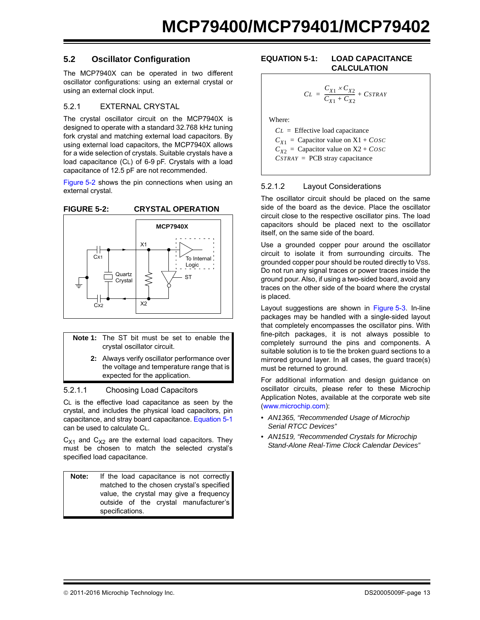### **5.2 Oscillator Configuration**

The MCP7940X can be operated in two different oscillator configurations: using an external crystal or using an external clock input.

#### 5.2.1 EXTERNAL CRYSTAL

The crystal oscillator circuit on the MCP7940X is designed to operate with a standard 32.768 kHz tuning fork crystal and matching external load capacitors. By using external load capacitors, the MCP7940X allows for a wide selection of crystals. Suitable crystals have a load capacitance (CL) of 6-9 pF. Crystals with a load capacitance of 12.5 pF are not recommended.

[Figure 5-2](#page-12-0) shows the pin connections when using an external crystal.

<span id="page-12-0"></span>

- **Note 1:** The ST bit must be set to enable the crystal oscillator circuit.
	- **2:** Always verify oscillator performance over the voltage and temperature range that is expected for the application.

#### 5.2.1.1 Choosing Load Capacitors

CL is the effective load capacitance as seen by the crystal, and includes the physical load capacitors, pin capacitance, and stray board capacitance. [Equation 5-1](#page-12-1) can be used to calculate CL.

 $C_{X1}$  and  $C_{X2}$  are the external load capacitors. They must be chosen to match the selected crystal's specified load capacitance.

**Note:** If the load capacitance is not correctly matched to the chosen crystal's specified value, the crystal may give a frequency outside of the crystal manufacturer's specifications.

#### <span id="page-12-1"></span>**EQUATION 5-1: LOAD CAPACITANCE CALCULATION**

$$
CL = \frac{C_{X1} \times C_{X2}}{C_{X1} + C_{X2}} + CSTRAY
$$

Where:

*CL* = Effective load capacitance  $C_{X1}$  = Capacitor value on X1 + *COSC*  $C_{X2}$  = Capacitor value on X2 + *COSC CSTRAY* = PCB stray capacitance

#### 5.2.1.2 Layout Considerations

The oscillator circuit should be placed on the same side of the board as the device. Place the oscillator circuit close to the respective oscillator pins. The load capacitors should be placed next to the oscillator itself, on the same side of the board.

Use a grounded copper pour around the oscillator circuit to isolate it from surrounding circuits. The grounded copper pour should be routed directly to Vss. Do not run any signal traces or power traces inside the ground pour. Also, if using a two-sided board, avoid any traces on the other side of the board where the crystal is placed.

Layout suggestions are shown in [Figure 5-3.](#page-13-0) In-line packages may be handled with a single-sided layout that completely encompasses the oscillator pins. With fine-pitch packages, it is not always possible to completely surround the pins and components. A suitable solution is to tie the broken guard sections to a mirrored ground layer. In all cases, the guard trace(s) must be returned to ground.

For additional information and design guidance on oscillator circuits, please refer to these Microchip Application Notes, available at the corporate web site (www.microchip.com):

- *AN1365, "Recommended Usage of Microchip Serial RTCC Devices"*
- *AN1519, "Recommended Crystals for Microchip Stand-Alone Real-Time Clock Calendar Devices"*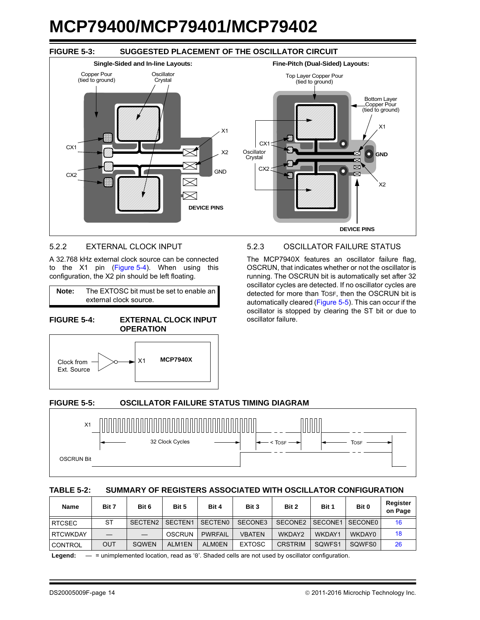## <span id="page-13-0"></span>**FIGURE 5-3: SUGGESTED PLACEMENT OF THE OSCILLATOR CIRCUIT**



#### 5.2.2 EXTERNAL CLOCK INPUT

A 32.768 kHz external clock source can be connected to the X1 pin ([Figure 5-4\)](#page-13-1). When using this configuration, the X2 pin should be left floating.

**Note:** The EXTOSC bit must be set to enable an external clock source.

<span id="page-13-1"></span>



## 5.2.3 OSCILLATOR FAILURE STATUS

The MCP7940X features an oscillator failure flag, OSCRUN, that indicates whether or not the oscillator is running. The OSCRUN bit is automatically set after 32 oscillator cycles are detected. If no oscillator cycles are detected for more than TOSF, then the OSCRUN bit is automatically cleared ([Figure 5-5\)](#page-13-2). This can occur if the oscillator is stopped by clearing the ST bit or due to oscillator failure.

#### <span id="page-13-2"></span>**FIGURE 5-5: OSCILLATOR FAILURE STATUS TIMING DIAGRAM**



#### **TABLE 5-2: SUMMARY OF REGISTERS ASSOCIATED WITH OSCILLATOR CONFIGURATION**

| <b>Name</b>     | Bit 7      | Bit 6               | Bit 5               | Bit 4          | Bit 3         | Bit 2          | Bit 1   | Bit 0   | Register<br>on Page |
|-----------------|------------|---------------------|---------------------|----------------|---------------|----------------|---------|---------|---------------------|
| <b>RTCSEC</b>   | <b>ST</b>  | SECTEN <sub>2</sub> | SECTEN <sub>1</sub> | <b>SECTENO</b> | SECONE3       | SECONE2        | SECONE1 | SECONE0 | 16                  |
| <b>RTCWKDAY</b> |            |                     | OSCRUN              | <b>PWRFAIL</b> | <b>VBATEN</b> | WKDAY2         | WKDAY1  | WKDAY0  | 18                  |
| <b>CONTROL</b>  | <b>OUT</b> | SOWEN               | ALM1EN              | <b>ALMOEN</b>  | <b>EXTOSC</b> | <b>CRSTRIM</b> | SQWFS1  | SQWFS0  | 26                  |

Legend:  $-$  = unimplemented location, read as '0'. Shaded cells are not used by oscillator configuration.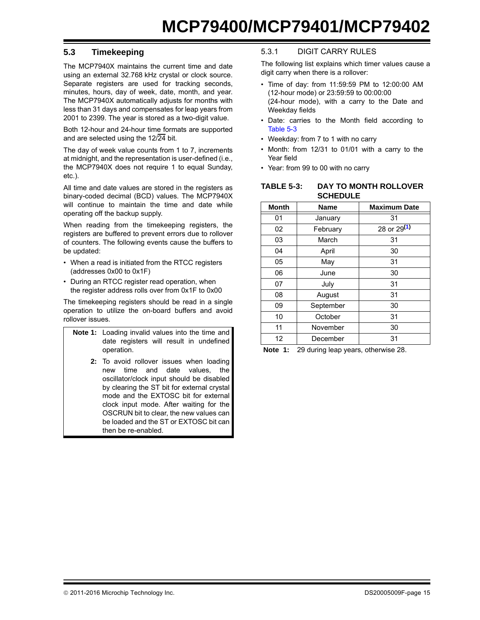## <span id="page-14-0"></span>**5.3 Timekeeping**

The MCP7940X maintains the current time and date using an external 32.768 kHz crystal or clock source. Separate registers are used for tracking seconds, minutes, hours, day of week, date, month, and year. The MCP7940X automatically adjusts for months with less than 31 days and compensates for leap years from 2001 to 2399. The year is stored as a two-digit value.

Both 12-hour and 24-hour time formats are supported and are selected using the 12/24 bit.

The day of week value counts from 1 to 7, increments at midnight, and the representation is user-defined (i.e., the MCP7940X does not require 1 to equal Sunday, etc.).

All time and date values are stored in the registers as binary-coded decimal (BCD) values. The MCP7940X will continue to maintain the time and date while operating off the backup supply.

When reading from the timekeeping registers, the registers are buffered to prevent errors due to rollover of counters. The following events cause the buffers to be updated:

- When a read is initiated from the RTCC registers (addresses 0x00 to 0x1F)
- During an RTCC register read operation, when the register address rolls over from 0x1F to 0x00

The timekeeping registers should be read in a single operation to utilize the on-board buffers and avoid rollover issues.

| <b>Note 1:</b> Loading invalid values into the time and<br>date registers will result in undefined<br>operation.                                                                                                                                                                                                                                 |
|--------------------------------------------------------------------------------------------------------------------------------------------------------------------------------------------------------------------------------------------------------------------------------------------------------------------------------------------------|
| 2: To avoid rollover issues when loading<br>time and date values, the<br>new<br>oscillator/clock input should be disabled<br>by clearing the ST bit for external crystal<br>mode and the EXTOSC bit for external<br>clock input mode. After waiting for the<br>OSCRUN bit to clear, the new values can<br>be loaded and the ST or EXTOSC bit can |

#### then be re-enabled.

## 5.3.1 DIGIT CARRY RULES

The following list explains which timer values cause a digit carry when there is a rollover:

- Time of day: from 11:59:59 PM to 12:00:00 AM (12-hour mode) or 23:59:59 to 00:00:00 (24-hour mode), with a carry to the Date and Weekday fields
- Date: carries to the Month field according to [Table 5-3](#page-14-1)
- Weekday: from 7 to 1 with no carry
- Month: from 12/31 to 01/01 with a carry to the Year field
- Year: from 99 to 00 with no carry

<span id="page-14-1"></span>

| TABLE 5-3: | DAY TO MONTH ROLLOVER |
|------------|-----------------------|
|            | <b>SCHEDULE</b>       |

| <b>Month</b> | <b>Name</b> | <b>Maximum Date</b> |
|--------------|-------------|---------------------|
| 01           | January     | 31                  |
| 02           | February    | 28 or 29(1)         |
| 03           | March       | 31                  |
| 04           | April       | 30                  |
| 05           | May         | 31                  |
| 06           | June        | 30                  |
| 07           | July        | 31                  |
| 08           | August      | 31                  |
| 09           | September   | 30                  |
| 10           | October     | 31                  |
| 11           | November    | 30                  |
| 12           | December    | 31                  |

<span id="page-14-2"></span>**Note 1:** 29 during leap years, otherwise 28.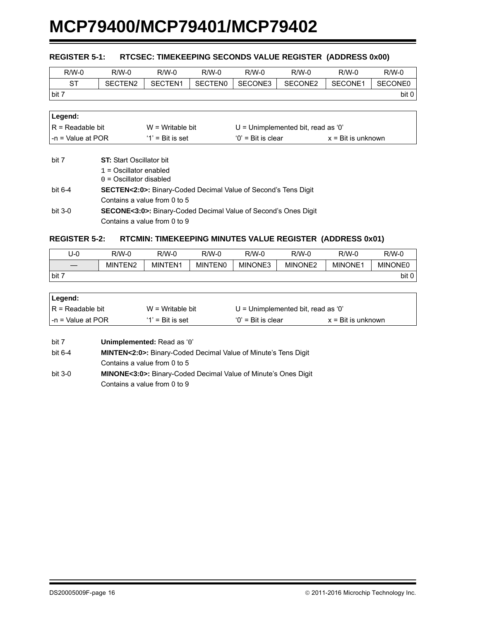#### <span id="page-15-0"></span>**REGISTER 5-1: RTCSEC: TIMEKEEPING SECONDS VALUE REGISTER (ADDRESS 0x00)**

| $R/W-0$ | $R/W-0$ | R/W-0   | R/W-0          | $R/W-0$ | $R/W-0$ | $R/W-0$ | $R/W-0$        |
|---------|---------|---------|----------------|---------|---------|---------|----------------|
| -ST     | SECTEN2 | SECTEN1 | <b>SECTENO</b> | SECONE3 | SECONE2 | SECONE1 | <b>SECONE0</b> |
| bit 7   |         |         |                |         |         |         | bit 0          |

| Legend:            |                     |                                      |                             |  |
|--------------------|---------------------|--------------------------------------|-----------------------------|--|
| IR = Readable bit  | $W = Writeable bit$ | $U =$ Unimplemented bit, read as '0' |                             |  |
| I-n = Value at POR | $'1'$ = Bit is set  | $'0'$ = Bit is clear                 | $x = \text{Bit}$ is unknown |  |

| bit 7     | <b>ST:</b> Start Oscillator bit                                             |
|-----------|-----------------------------------------------------------------------------|
|           | $1 =$ Oscillator enabled                                                    |
|           | $0 =$ Oscillator disabled                                                   |
| bit 6-4   | <b>SECTEN&lt;2:0&gt;:</b> Binary-Coded Decimal Value of Second's Tens Digit |
|           | Contains a value from 0 to 5                                                |
| bit $3-0$ | <b>SECONE&lt;3:0&gt;:</b> Binary-Coded Decimal Value of Second's Ones Digit |
|           | Contains a value from 0 to 9                                                |

#### <span id="page-15-1"></span>**REGISTER 5-2: RTCMIN: TIMEKEEPING MINUTES VALUE REGISTER (ADDRESS 0x01)**

| U-0   | $R/W-0$ | $R/W-0$ | R/W-0          | $R/W-0$ | $R/W-0$ | $R/W-0$        | $R/W-0$        |
|-------|---------|---------|----------------|---------|---------|----------------|----------------|
|       | MINTEN2 | MINTEN1 | <b>MINTENO</b> | MINONE3 | MINONE2 | <b>MINONE1</b> | <b>MINONE0</b> |
| bit 7 |         |         |                |         |         |                | bit 0          |

| Legend:            |                     |                                      |                             |
|--------------------|---------------------|--------------------------------------|-----------------------------|
| IR = Readable bit  | $W = Writeable bit$ | $U =$ Unimplemented bit, read as '0' |                             |
| l-n = Value at POR | $'1'$ = Bit is set  | $'0'$ = Bit is clear                 | $x = \text{Bit}$ is unknown |

bit 7 **Unimplemented:** Read as '0'

bit 6-4 **MINTEN<2:0>:** Binary-Coded Decimal Value of Minute's Tens Digit Contains a value from 0 to 5

bit 3-0 **MINONE<3:0>:** Binary-Coded Decimal Value of Minute's Ones Digit Contains a value from 0 to 9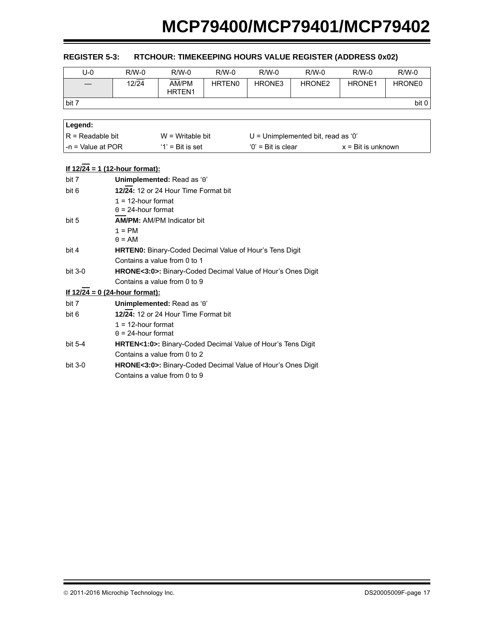| U-0   | $R/W-0$ | $R/W-0$                     | $R/W-0$       | $R/W-0$ | $R/W-0$            | $R/W-0$            | $R/W-0$            |
|-------|---------|-----------------------------|---------------|---------|--------------------|--------------------|--------------------|
|       | 12/24   | AM/PM<br>HRTEN <sub>1</sub> | <b>HRTEN0</b> | HRONE3  | HRONE <sub>2</sub> | HRONE <sub>1</sub> | HRONE <sub>0</sub> |
| bit 7 |         |                             |               |         |                    |                    | bit 0              |
|       |         |                             |               |         |                    |                    |                    |

## <span id="page-16-0"></span>**REGISTER 5-3: RTCHOUR: TIMEKEEPING HOURS VALUE REGISTER (ADDRESS 0x02)**

| ∣Legend:                  |                     |                                      |                             |
|---------------------------|---------------------|--------------------------------------|-----------------------------|
| $IR = Readable bit$       | $W = Writeable bit$ | $U =$ Unimplemented bit, read as '0' |                             |
| $\vert$ -n = Value at POR | $'1'$ = Bit is set  | $'0'$ = Bit is clear                 | $x = \text{Bit}$ is unknown |

|           | <u>If 12/24 = 1 (12-hour format):</u>                                    |
|-----------|--------------------------------------------------------------------------|
| bit 7     | Unimplemented: Read as '0'                                               |
| bit 6     | 12/24: 12 or 24 Hour Time Format bit                                     |
|           | $1 = 12$ -hour format                                                    |
|           | $0 = 24$ -hour format                                                    |
| bit 5     | <b>AM/PM: AM/PM Indicator bit</b>                                        |
|           | $1 = PM$                                                                 |
|           | $0 = AM$                                                                 |
| bit 4     | <b>HRTEN0:</b> Binary-Coded Decimal Value of Hour's Tens Digit           |
|           | Contains a value from 0 to 1                                             |
| bit $3-0$ | <b>HRONE&lt;3:0&gt;:</b> Binary-Coded Decimal Value of Hour's Ones Digit |
|           | Contains a value from 0 to 9                                             |
|           | <u>If 12/24 = 0 (24-hour format):</u>                                    |
| bit 7     | Unimplemented: Read as '0'                                               |
| bit 6     | 12/24: 12 or 24 Hour Time Format bit                                     |
|           | $1 = 12$ -hour format                                                    |
|           | $0 = 24$ -hour format                                                    |
| bit $5-4$ | HRTEN<1:0>: Binary-Coded Decimal Value of Hour's Tens Digit              |
|           | Contains a value from 0 to 2                                             |
| bit $3-0$ | HRONE<3:0>: Binary-Coded Decimal Value of Hour's Ones Digit              |
|           | Contains a value from 0 to 9                                             |

#### © 2011-2016 Microchip Technology Inc. extending the control of the DS20005009F-page 17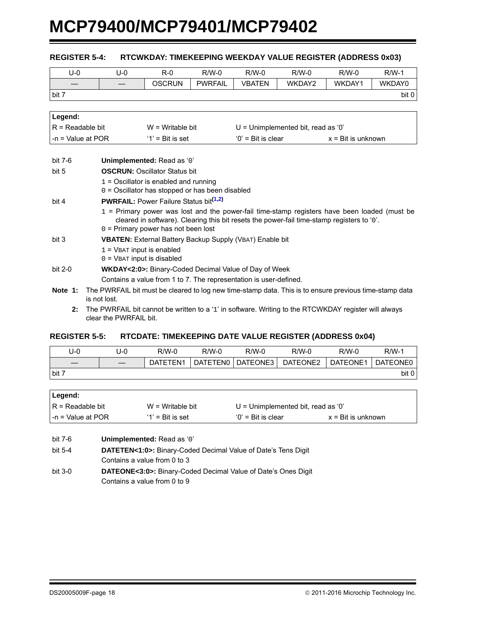| $U-0$               | $U-0$                                                                                                                  | $R-0$                                                              | $R/W-0$        | $R/W-0$             | $R/W-0$                                                                                        | $R/W-0$                     | $R/W-1$ |
|---------------------|------------------------------------------------------------------------------------------------------------------------|--------------------------------------------------------------------|----------------|---------------------|------------------------------------------------------------------------------------------------|-----------------------------|---------|
|                     |                                                                                                                        | <b>OSCRUN</b>                                                      | <b>PWRFAIL</b> | <b>VBATEN</b>       | WKDAY2                                                                                         | WKDAY1                      | WKDAY0  |
| bit 7               |                                                                                                                        |                                                                    |                |                     |                                                                                                |                             | bit 0   |
|                     |                                                                                                                        |                                                                    |                |                     |                                                                                                |                             |         |
| Legend:             |                                                                                                                        |                                                                    |                |                     |                                                                                                |                             |         |
| $R = Readable bit$  |                                                                                                                        | $W =$ Writable bit                                                 |                |                     | $U =$ Unimplemented bit, read as '0'                                                           |                             |         |
| $-n = Value$ at POR |                                                                                                                        | $'1'$ = Bit is set                                                 |                | $0'$ = Bit is clear |                                                                                                | $x = \text{Bit}$ is unknown |         |
|                     |                                                                                                                        |                                                                    |                |                     |                                                                                                |                             |         |
| bit 7-6             |                                                                                                                        | Unimplemented: Read as '0'                                         |                |                     |                                                                                                |                             |         |
| bit 5               |                                                                                                                        | <b>OSCRUN: Oscillator Status bit</b>                               |                |                     |                                                                                                |                             |         |
|                     |                                                                                                                        | $1 =$ Oscillator is enabled and running                            |                |                     |                                                                                                |                             |         |
|                     |                                                                                                                        | $0 =$ Oscillator has stopped or has been disabled                  |                |                     |                                                                                                |                             |         |
| bit 4               |                                                                                                                        | <b>PWRFAIL:</b> Power Failure Status bit <sup>(1,2)</sup>          |                |                     |                                                                                                |                             |         |
|                     |                                                                                                                        |                                                                    |                |                     | $1$ = Primary power was lost and the power-fail time-stamp registers have been loaded (must be |                             |         |
|                     |                                                                                                                        | $0 =$ Primary power has not been lost                              |                |                     | cleared in software). Clearing this bit resets the power-fail time-stamp registers to '0'.     |                             |         |
|                     |                                                                                                                        |                                                                    |                |                     |                                                                                                |                             |         |
|                     | bit 3<br><b>VBATEN:</b> External Battery Backup Supply (VBAT) Enable bit<br>$1 =$ VBAT input is enabled                |                                                                    |                |                     |                                                                                                |                             |         |
|                     |                                                                                                                        | $0 =$ VBAT input is disabled                                       |                |                     |                                                                                                |                             |         |
| bit 2-0             |                                                                                                                        | <b>WKDAY&lt;2:0&gt;:</b> Binary-Coded Decimal Value of Day of Week |                |                     |                                                                                                |                             |         |
|                     |                                                                                                                        | Contains a value from 1 to 7. The representation is user-defined.  |                |                     |                                                                                                |                             |         |
|                     |                                                                                                                        |                                                                    |                |                     |                                                                                                |                             |         |
| Note 1:             | The PWRFAIL bit must be cleared to log new time-stamp data. This is to ensure previous time-stamp data<br>is not lost. |                                                                    |                |                     |                                                                                                |                             |         |

#### <span id="page-17-0"></span>**REGISTER 5-4: RTCWKDAY: TIMEKEEPING WEEKDAY VALUE REGISTER (ADDRESS 0x03)**

<span id="page-17-2"></span><span id="page-17-1"></span>**2:** The PWRFAIL bit cannot be written to a '1' in software. Writing to the RTCWKDAY register will always clear the PWRFAIL bit.

#### <span id="page-17-3"></span>**REGISTER 5-5: RTCDATE: TIMEKEEPING DATE VALUE REGISTER (ADDRESS 0x04)**

| U-0   | U-0 | R/W-0    | R/W-0           | $R/W-0$  | $R/W-0$  | $R/W-0$  | R/W-1    |
|-------|-----|----------|-----------------|----------|----------|----------|----------|
|       |     | DATETEN1 | <b>DATETEN0</b> | DATEONE3 | DATEONE2 | DATEONE1 | DATEONE0 |
| bit 7 |     |          |                 |          |          |          | bit 0    |

| ∣Legend:           |                    |                                      |                             |  |
|--------------------|--------------------|--------------------------------------|-----------------------------|--|
| IR = Readable bit  | $W = Writeble$ bit | $U =$ Unimplemented bit, read as '0' |                             |  |
| I-n = Value at POR | $'1'$ = Bit is set | $'0'$ = Bit is clear                 | $x = \text{Bit}$ is unknown |  |

bit 7-6 **Unimplemented:** Read as '0'

bit 5-4 **DATETEN<1:0>:** Binary-Coded Decimal Value of Date's Tens Digit Contains a value from 0 to 3

bit 3-0 **DATEONE<3:0>:** Binary-Coded Decimal Value of Date's Ones Digit Contains a value from 0 to 9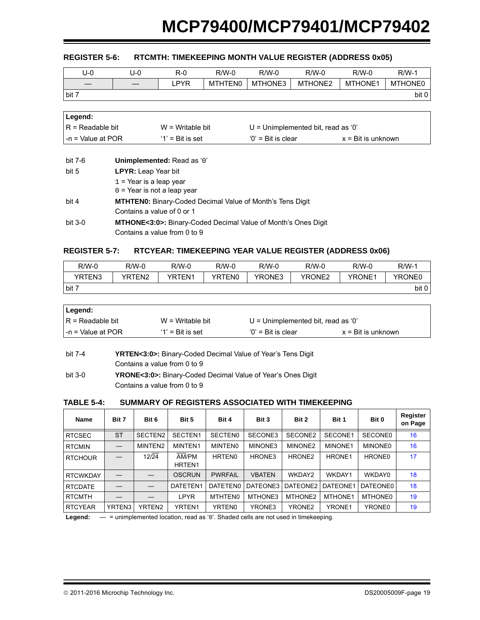## <span id="page-18-0"></span>**REGISTER 5-6: RTCMTH: TIMEKEEPING MONTH VALUE REGISTER (ADDRESS 0x05)**

| U-0   | U-0 | $R-0$ | $R/W-0$        | $R/W-0$ | R/W-0   | $R/W-0$        | $R/W-1$ |
|-------|-----|-------|----------------|---------|---------|----------------|---------|
|       |     | .PYR  | <b>MTHTEN0</b> | MTHONE3 | MTHONE2 | <b>MTHONE1</b> | MTHONE0 |
| bit 7 |     |       |                |         |         |                | bit 0   |

| Legend:            |                     |                                      |                             |
|--------------------|---------------------|--------------------------------------|-----------------------------|
| IR = Readable bit  | $W = Writeable bit$ | $U =$ Unimplemented bit, read as '0' |                             |
| I-n = Value at POR | $'1'$ = Bit is set  | $'0'$ = Bit is clear                 | $x = \text{Bit}$ is unknown |

| bit 7-6 | Unimplemented: Read as '0'                                                 |
|---------|----------------------------------------------------------------------------|
| bit 5   | <b>LPYR:</b> Leap Year bit                                                 |
|         | $1$ = Year is a leap year                                                  |
|         | $0 =$ Year is not a leap year                                              |
| bit 4   | <b>MTHTEN0:</b> Binary-Coded Decimal Value of Month's Tens Digit           |
|         | Contains a value of 0 or 1                                                 |
| bit 3-0 | <b>MTHONE&lt;3:0&gt;:</b> Binary-Coded Decimal Value of Month's Ones Digit |
|         | Contains a value from 0 to 9                                               |
|         |                                                                            |

#### <span id="page-18-1"></span>**REGISTER 5-7: RTCYEAR: TIMEKEEPING YEAR VALUE REGISTER (ADDRESS 0x06)**

| $R/W-0$ | R/W-0              | R/W-0         | R/W-0  | $R/W-0$       | $R/W-0$ | $R/W-0$       | R/W-1  |
|---------|--------------------|---------------|--------|---------------|---------|---------------|--------|
| YRTEN3  | YRTEN <sub>2</sub> | <b>YRTEN1</b> | YRTEN0 | <b>YRONE3</b> | YRONE2  | <b>YRONE1</b> | YRONE0 |
| bit 7   |                    |               |        |               |         |               | bit 0  |

| Legend:                |                     |                                    |                             |  |
|------------------------|---------------------|------------------------------------|-----------------------------|--|
| $IR = Readable bit$    | $W = Writeable bit$ | U = Unimplemented bit, read as '0' |                             |  |
| $l - n =$ Value at POR | $'1'$ = Bit is set  | $'0'$ = Bit is clear               | $x = \text{Bit}$ is unknown |  |

| bit 7-4 | <b>YRTEN&lt;3:0&gt;:</b> Binary-Coded Decimal Value of Year's Tens Digit |
|---------|--------------------------------------------------------------------------|
|         | Contains a value from 0 to 9                                             |
| bit 3-0 | <b>YRONE&lt;3:0&gt;:</b> Binary-Coded Decimal Value of Year's Ones Digit |
|         | Contains a value from 0 to 9                                             |

#### **TABLE 5-4: SUMMARY OF REGISTERS ASSOCIATED WITH TIMEKEEPING**

| Bit 7     | Bit 6   | Bit 5                       | Bit 4          | Bit 3         | Bit 2               | Bit 1              | Bit 0              | Register<br>on Page |
|-----------|---------|-----------------------------|----------------|---------------|---------------------|--------------------|--------------------|---------------------|
| <b>ST</b> | SECTEN2 | SECTEN1                     | <b>SECTENO</b> | SECONE3       | SECONE2             | SECONE1            | SECONE0            | 16                  |
|           | MINTEN2 | MINTEN1                     | MINTEN0        | MINONE3       | MINONE <sub>2</sub> | MINONE1            | <b>MINONE0</b>     | 16                  |
|           | 12/24   | AM/PM<br>HRTEN <sub>1</sub> | <b>HRTEN0</b>  | HRONE3        | HRONE <sub>2</sub>  | HRONE <sub>1</sub> | HRONE <sub>0</sub> | 17                  |
|           |         | <b>OSCRUN</b>               | <b>PWRFAIL</b> | <b>VBATEN</b> | WKDAY2              | WKDAY1             | WKDAY0             | 18                  |
|           |         | DATETEN1                    | DATETEN0       | DATEONE3      |                     | DATEONE1           | DATEONE0           | 18                  |
|           |         | LPYR                        | MTHTEN0        | MTHONE3       | MTHONE2             | MTHONE1            | MTHONE0            | 19                  |
| YRTEN3    | YRTEN2  | YRTEN <sub>1</sub>          | YRTEN0         | YRONE3        | YRONE <sub>2</sub>  | YRONE1             | YRONE0             | 19                  |
|           |         |                             |                |               |                     | DATEONE2           |                    |                     |

Legend: — = unimplemented location, read as '0'. Shaded cells are not used in timekeeping.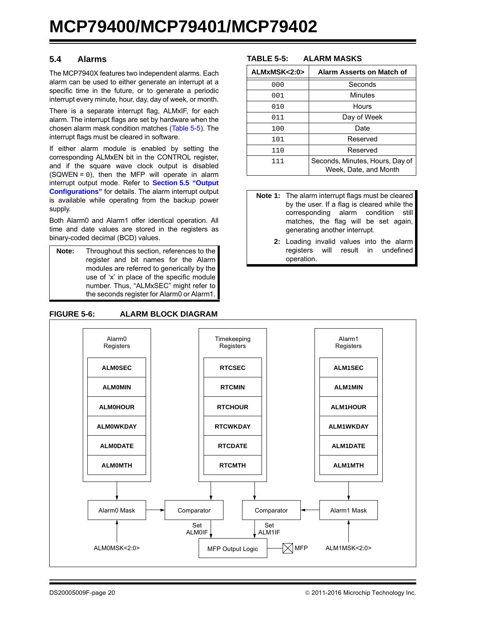## <span id="page-19-0"></span>**5.4 Alarms**

The MCP7940X features two independent alarms. Each alarm can be used to either generate an interrupt at a specific time in the future, or to generate a periodic interrupt every minute, hour, day, day of week, or month.

There is a separate interrupt flag, ALMxIF, for each alarm. The interrupt flags are set by hardware when the chosen alarm mask condition matches [\(Table 5-5\)](#page-19-1). The interrupt flags must be cleared in software.

If either alarm module is enabled by setting the corresponding ALMxEN bit in the CONTROL register, and if the square wave clock output is disabled  $(SQWEN = 0)$ , then the MFP will operate in alarm interrupt output mode. Refer to **[Section 5.5 "Output](#page-24-0) [Configurations"](#page-24-0)** for details. The alarm interrupt output is available while operating from the backup power supply.

Both Alarm0 and Alarm1 offer identical operation. All time and date values are stored in the registers as binary-coded decimal (BCD) values.

**Note:** Throughout this section, references to the register and bit names for the Alarm modules are referred to generically by the use of 'x' in place of the specific module number. Thus, "ALMxSEC" might refer to the seconds register for Alarm0 or Alarm1.

#### **FIGURE 5-6: ALARM BLOCK DIAGRAM**

#### <span id="page-19-1"></span>**TABLE 5-5: ALARM MASKS**

| ALMxMSK<2:0> | Alarm Asserts on Match of                                |
|--------------|----------------------------------------------------------|
| 000          | Seconds                                                  |
| 001          | Minutes                                                  |
| 010          | Hours                                                    |
| 011          | Day of Week                                              |
| 100          | Date                                                     |
| 101          | Reserved                                                 |
| 110          | Reserved                                                 |
| 111          | Seconds, Minutes, Hours, Day of<br>Week, Date, and Month |

- **Note 1:** The alarm interrupt flags must be cleared by the user. If a flag is cleared while the corresponding alarm condition still matches, the flag will be set again, generating another interrupt.
	- **2:** Loading invalid values into the alarm registers will result in undefined operation.

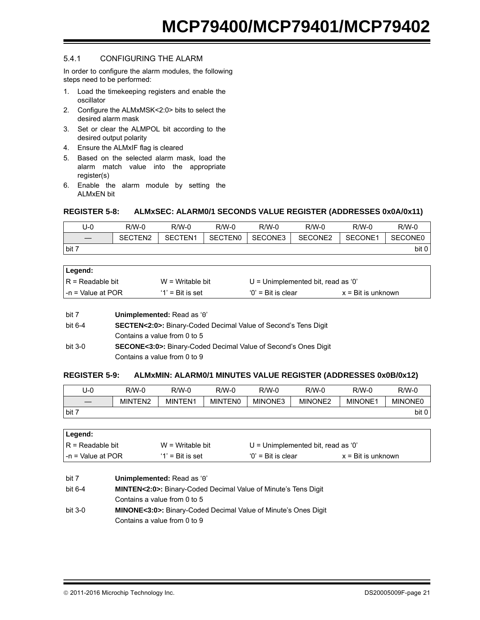## 5.4.1 CONFIGURING THE ALARM

In order to configure the alarm modules, the following steps need to be performed:

- 1. Load the timekeeping registers and enable the oscillator
- 2. Configure the ALMxMSK<2:0> bits to select the desired alarm mask
- 3. Set or clear the ALMPOL bit according to the desired output polarity
- 4. Ensure the ALMxIF flag is cleared
- 5. Based on the selected alarm mask, load the alarm match value into the appropriate register(s)
- 6. Enable the alarm module by setting the ALMxEN bit

### <span id="page-20-0"></span>**REGISTER 5-8: ALMxSEC: ALARM0/1 SECONDS VALUE REGISTER (ADDRESSES 0x0A/0x11)**

| J-0   | $R/W-0$ | R/W-0               | $R/W-0$        | $R/W-0$ | R/W-0   | $R/W-0$ | $R/W-0$        |
|-------|---------|---------------------|----------------|---------|---------|---------|----------------|
|       | SECTEN2 | SECTEN <sub>1</sub> | <b>SECTENO</b> | SECONE3 | SECONE2 | SECONE1 | <b>SECONE0</b> |
| bit 7 |         |                     |                |         |         |         | bit 0          |

| ∣Legend:           |                     |                                      |                             |  |
|--------------------|---------------------|--------------------------------------|-----------------------------|--|
| IR = Readable bit  | $W = W$ ritable bit | $U =$ Unimplemented bit, read as '0' |                             |  |
| I-n = Value at POR | $'1'$ = Bit is set  | $'0'$ = Bit is clear                 | $x = \text{Bit}$ is unknown |  |

| Unimplemented: Read as '0' |
|----------------------------|
|                            |

- bit 6-4 **SECTEN<2:0>:** Binary-Coded Decimal Value of Second's Tens Digit Contains a value from 0 to 5
- bit 3-0 **SECONE<3:0>:** Binary-Coded Decimal Value of Second's Ones Digit Contains a value from 0 to 9

#### <span id="page-20-1"></span>**REGISTER 5-9: ALMxMIN: ALARM0/1 MINUTES VALUE REGISTER (ADDRESSES 0x0B/0x12)**

| U-0     | R/W-0                            | $R/W-0$ | $R/W-0$        | $R/W-0$ | R/W-0               | $R/W-0$        | $R/W-0$        |
|---------|----------------------------------|---------|----------------|---------|---------------------|----------------|----------------|
|         | <b>JTEN2</b><br>MIN <sup>.</sup> | MINTEN1 | <b>MINTENO</b> | MINONE3 | MINONE <sub>2</sub> | <b>MINONE1</b> | <b>MINONE0</b> |
| I bit 7 |                                  |         |                |         |                     |                | bit 0          |

| ∣Legend:           |                     |                                    |                             |
|--------------------|---------------------|------------------------------------|-----------------------------|
| IR = Readable bit  | $W = Writeable bit$ | U = Unimplemented bit, read as '0' |                             |
| l-n = Value at POR | $'1'$ = Bit is set  | $'0'$ = Bit is clear               | $x = \text{Bit}$ is unknown |

| bit 7   | Unimplemented: Read as '0'                                                  |
|---------|-----------------------------------------------------------------------------|
| bit 6-4 | <b>MINTEN&lt;2:0&gt;:</b> Binary-Coded Decimal Value of Minute's Tens Digit |
|         | Contains a value from 0 to 5                                                |
| bit 3-0 | <b>MINONE&lt;3:0&gt;:</b> Binary-Coded Decimal Value of Minute's Ones Digit |
|         | Contains a value from 0 to 9                                                |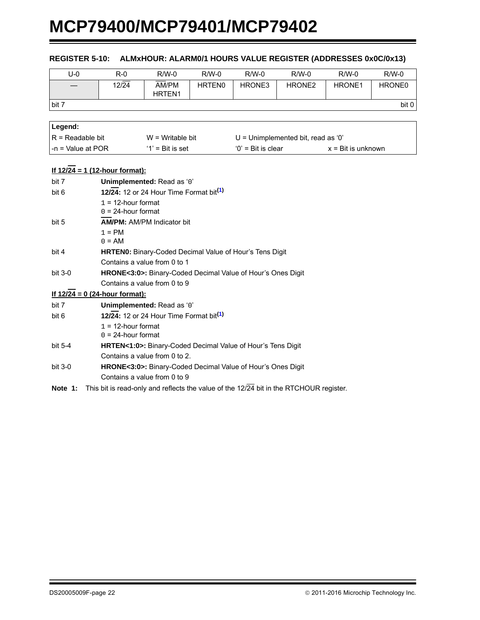<span id="page-21-0"></span>

| $U-0$               | $R-0$                                                                                               | $R/W-0$                                                     | $R/W-0$       | $R/W-0$              | $R/W-0$                              | $R/W-0$                     | $R/W-0$ |  |
|---------------------|-----------------------------------------------------------------------------------------------------|-------------------------------------------------------------|---------------|----------------------|--------------------------------------|-----------------------------|---------|--|
|                     | $12\sqrt{24}$                                                                                       | AM/PM<br>HRTEN1                                             | <b>HRTEN0</b> | HRONE3               | HRONE <sub>2</sub>                   | HRONE1                      | HRONE0  |  |
| bit 7               |                                                                                                     |                                                             |               |                      |                                      |                             | bit 0   |  |
|                     |                                                                                                     |                                                             |               |                      |                                      |                             |         |  |
| Legend:             |                                                                                                     |                                                             |               |                      |                                      |                             |         |  |
| $R = Readable bit$  |                                                                                                     | $W =$ Writable bit                                          |               |                      | $U =$ Unimplemented bit, read as '0' |                             |         |  |
| $-n = Value at POR$ |                                                                                                     | $'1'$ = Bit is set                                          |               | $'0'$ = Bit is clear |                                      | $x = \text{Bit}$ is unknown |         |  |
|                     | <u>If 12/24 = 1 (12-hour format):</u>                                                               |                                                             |               |                      |                                      |                             |         |  |
| bit 7               |                                                                                                     | Unimplemented: Read as '0'                                  |               |                      |                                      |                             |         |  |
| bit 6               |                                                                                                     | 12/24: 12 or 24 Hour Time Format bit <sup>(1)</sup>         |               |                      |                                      |                             |         |  |
|                     | $1 = 12$ -hour format<br>$0 = 24$ -hour format                                                      |                                                             |               |                      |                                      |                             |         |  |
| bit 5               |                                                                                                     | <b>AM/PM: AM/PM Indicator bit</b>                           |               |                      |                                      |                             |         |  |
|                     | $1 = PM$                                                                                            |                                                             |               |                      |                                      |                             |         |  |
|                     | $0 = AM$                                                                                            |                                                             |               |                      |                                      |                             |         |  |
| bit 4               |                                                                                                     | HRTEN0: Binary-Coded Decimal Value of Hour's Tens Digit     |               |                      |                                      |                             |         |  |
|                     |                                                                                                     | Contains a value from 0 to 1                                |               |                      |                                      |                             |         |  |
| bit 3-0             |                                                                                                     | HRONE<3:0>: Binary-Coded Decimal Value of Hour's Ones Digit |               |                      |                                      |                             |         |  |
|                     |                                                                                                     | Contains a value from 0 to 9                                |               |                      |                                      |                             |         |  |
|                     | If $12/24 = 0$ (24-hour format):                                                                    |                                                             |               |                      |                                      |                             |         |  |
| bit 7               |                                                                                                     | Unimplemented: Read as '0'                                  |               |                      |                                      |                             |         |  |
| bit 6               |                                                                                                     | 12/24: 12 or 24 Hour Time Format bit <sup>(1)</sup>         |               |                      |                                      |                             |         |  |
|                     |                                                                                                     | $1 = 12$ -hour format<br>$0 = 24$ -hour format              |               |                      |                                      |                             |         |  |
| bit 5-4             | <b>HRTEN&lt;1:0&gt;:</b> Binary-Coded Decimal Value of Hour's Tens Digit                            |                                                             |               |                      |                                      |                             |         |  |
|                     | Contains a value from 0 to 2.                                                                       |                                                             |               |                      |                                      |                             |         |  |
| bit 3-0             | HRONE<3:0>: Binary-Coded Decimal Value of Hour's Ones Digit                                         |                                                             |               |                      |                                      |                             |         |  |
|                     |                                                                                                     | Contains a value from 0 to 9                                |               |                      |                                      |                             |         |  |
| Note 1:             | This bit is read-only and reflects the value of the $12/\overline{24}$ bit in the RTCHOUR register. |                                                             |               |                      |                                      |                             |         |  |

### <span id="page-21-1"></span>**REGISTER 5-10: ALMxHOUR: ALARM0/1 HOURS VALUE REGISTER (ADDRESSES 0x0C/0x13)**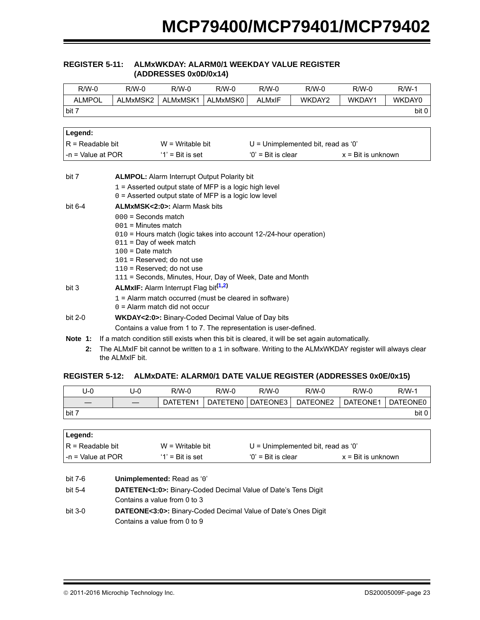#### <span id="page-22-2"></span>**REGISTER 5-11: ALMxWKDAY: ALARM0/1 WEEKDAY VALUE REGISTER (ADDRESSES 0x0D/0x14)**

| $R/W-0$             | $R/W-0$                                                                                                              | $R/W-0$                                                                                   | $R/W-0$  | $R/W-0$             | $R/W-0$                              | $R/W-0$                     | $R/W-1$ |  |
|---------------------|----------------------------------------------------------------------------------------------------------------------|-------------------------------------------------------------------------------------------|----------|---------------------|--------------------------------------|-----------------------------|---------|--|
| <b>ALMPOL</b>       | ALMxMSK2                                                                                                             | ALMxMSK1                                                                                  | ALMxMSK0 | <b>ALMxIF</b>       | WKDAY2                               | WKDAY1                      | WKDAY0  |  |
| bit 7               |                                                                                                                      |                                                                                           |          |                     |                                      |                             | bit 0   |  |
|                     |                                                                                                                      |                                                                                           |          |                     |                                      |                             |         |  |
| Legend:             |                                                                                                                      |                                                                                           |          |                     |                                      |                             |         |  |
| $R =$ Readable bit  |                                                                                                                      | $W = W$ ritable bit                                                                       |          |                     | $U =$ Unimplemented bit, read as '0' |                             |         |  |
| $-n =$ Value at POR |                                                                                                                      | $'1'$ = Bit is set                                                                        |          | $0'$ = Bit is clear |                                      | $x = \text{Bit}$ is unknown |         |  |
|                     |                                                                                                                      |                                                                                           |          |                     |                                      |                             |         |  |
| bit 7               |                                                                                                                      | <b>ALMPOL:</b> Alarm Interrupt Output Polarity bit                                        |          |                     |                                      |                             |         |  |
|                     |                                                                                                                      | $1 =$ Asserted output state of MFP is a logic high level                                  |          |                     |                                      |                             |         |  |
|                     |                                                                                                                      | $0 =$ Asserted output state of MFP is a logic low level                                   |          |                     |                                      |                             |         |  |
| bit $6-4$           |                                                                                                                      | <b>ALMxMSK&lt;2:0&gt;: Alarm Mask bits</b>                                                |          |                     |                                      |                             |         |  |
|                     | $000 =$ Seconds match                                                                                                |                                                                                           |          |                     |                                      |                             |         |  |
|                     | $001$ = Minutes match                                                                                                |                                                                                           |          |                     |                                      |                             |         |  |
|                     |                                                                                                                      | 010 = Hours match (logic takes into account 12-/24-hour operation)                        |          |                     |                                      |                             |         |  |
|                     | $011$ = Day of week match                                                                                            |                                                                                           |          |                     |                                      |                             |         |  |
|                     | $100 =$ Date match                                                                                                   |                                                                                           |          |                     |                                      |                             |         |  |
|                     |                                                                                                                      | $101$ = Reserved: do not use                                                              |          |                     |                                      |                             |         |  |
|                     |                                                                                                                      | $110$ = Reserved; do not use<br>111 = Seconds, Minutes, Hour, Day of Week, Date and Month |          |                     |                                      |                             |         |  |
|                     |                                                                                                                      |                                                                                           |          |                     |                                      |                             |         |  |
| bit 3               | <b>ALMxIF:</b> Alarm Interrupt Flag bit <sup>(1,2)</sup><br>$1 =$ Alarm match occurred (must be cleared in software) |                                                                                           |          |                     |                                      |                             |         |  |
|                     |                                                                                                                      | $0 =$ Alarm match did not occur                                                           |          |                     |                                      |                             |         |  |
|                     |                                                                                                                      |                                                                                           |          |                     |                                      |                             |         |  |
| bit 2-0             |                                                                                                                      | <b>WKDAY&lt;2:0&gt;:</b> Binary-Coded Decimal Value of Day bits                           |          |                     |                                      |                             |         |  |
|                     |                                                                                                                      | Contains a value from 1 to 7. The representation is user-defined.                         |          |                     |                                      |                             |         |  |
| Note 1:             | If a match condition still exists when this bit is cleared, it will be set again automatically.                      |                                                                                           |          |                     |                                      |                             |         |  |

<span id="page-22-1"></span><span id="page-22-0"></span>**2:** The ALMxIF bit cannot be written to a 1 in software. Writing to the ALMxWKDAY register will always clear the ALMxIF bit.

### <span id="page-22-3"></span>**REGISTER 5-12: ALMxDATE: ALARM0/1 DATE VALUE REGISTER (ADDRESSES 0x0E/0x15)**

| U-0   | J-0 | $R/W-0$  | $R/W-0$         | $R/W-0$  | R/W-0    | $R/W-0$  | $R/W-1$  |
|-------|-----|----------|-----------------|----------|----------|----------|----------|
|       |     | DATETEN1 | <b>DATETEN0</b> | DATEONE3 | DATEONE2 | DATEONE1 | DATEONE0 |
| bit 7 |     |          |                 |          |          |          | bit 0    |

| ∣Legend:                  |                     |                                      |                             |
|---------------------------|---------------------|--------------------------------------|-----------------------------|
| IR = Readable bit         | $W = W$ ritable bit | $U =$ Unimplemented bit, read as '0' |                             |
| $\vert$ -n = Value at POR | $'1'$ = Bit is set  | $'0'$ = Bit is clear                 | $x = \text{Bit}$ is unknown |

| bit 7-6 | Unimplemented: Read as '0'                                                 |
|---------|----------------------------------------------------------------------------|
| bit 5-4 | <b>DATETEN&lt;1:0&gt;:</b> Binary-Coded Decimal Value of Date's Tens Digit |
|         | Contains a value from 0 to 3                                               |
| bit 3-0 | <b>DATEONE&lt;3:0&gt;:</b> Binary-Coded Decimal Value of Date's Ones Digit |
|         | Contains a value from 0 to 9                                               |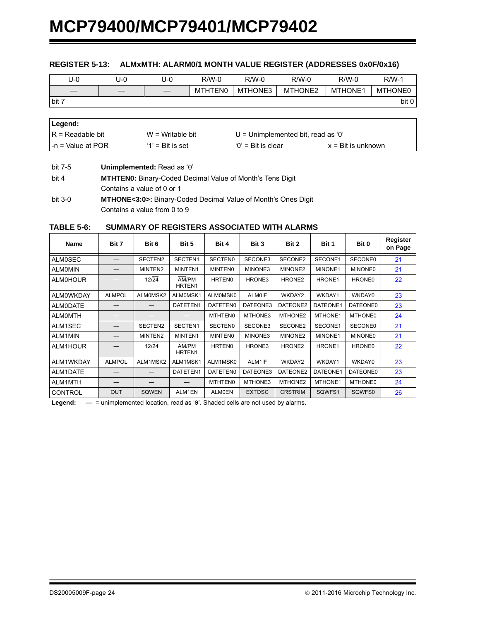#### <span id="page-23-0"></span>**REGISTER 5-13: ALMxMTH: ALARM0/1 MONTH VALUE REGISTER (ADDRESSES 0x0F/0x16)**

| U-0   | U-0 | U-0 | R/W-0          | $R/W-0$ | $R/W-0$ | $R/W-0$ | $R/W-1$        |
|-------|-----|-----|----------------|---------|---------|---------|----------------|
|       |     |     | <b>MTHTEN0</b> | MTHONE3 | MTHONE2 | MTHONE1 | <b>MTHONE0</b> |
| bit 7 |     |     |                |         |         |         | bit 0          |

| ∣Legend:           |                     |                                      |                             |  |
|--------------------|---------------------|--------------------------------------|-----------------------------|--|
| IR = Readable bit  | $W = W$ ritable bit | $U =$ Unimplemented bit, read as '0' |                             |  |
| I-n = Value at POR | $'1'$ = Bit is set  | $'0'$ = Bit is clear                 | $x = \text{Bit}$ is unknown |  |

bit 7-5 **Unimplemented:** Read as '0'

| bit 4   | <b>MTHTEN0:</b> Binary-Coded Decimal Value of Month's Tens Digit           |
|---------|----------------------------------------------------------------------------|
|         | Contains a value of 0 or 1                                                 |
| bit 3-0 | <b>MTHONE&lt;3:0&gt;:</b> Binary-Coded Decimal Value of Month's Ones Digit |

Contains a value from 0 to 9

#### **TABLE 5-6: SUMMARY OF REGISTERS ASSOCIATED WITH ALARMS**

| <b>Name</b>      | Bit 7         | Bit 6         | Bit 5           | Bit 4          | Bit 3         | Bit 2              | Bit 1    | Bit 0           | Register<br>on Page |
|------------------|---------------|---------------|-----------------|----------------|---------------|--------------------|----------|-----------------|---------------------|
| <b>ALMOSEC</b>   |               | SECTEN2       | SECTEN1         | <b>SECTENO</b> | SECONE3       | SECONE2            | SECONE1  | <b>SECONE0</b>  | 21                  |
| <b>ALMOMIN</b>   |               | MINTEN2       | MINTEN1         | <b>MINTENO</b> | MINONE3       | MINONE2            | MINONE1  | <b>MINONE0</b>  | 21                  |
| <b>ALMOHOUR</b>  |               | $12\sqrt{24}$ | AM/PM<br>HRTEN1 | <b>HRTEN0</b>  | HRONE3        | HRONE <sub>2</sub> | HRONE1   | HRONE0          | 22                  |
| <b>ALMOWKDAY</b> | <b>ALMPOL</b> | ALM0MSK2      | ALMOMSK1        | ALMOMSK0       | <b>ALM0IF</b> | WKDAY2             | WKDAY1   | WKDAY0          | 23                  |
| <b>ALMODATE</b>  |               |               | DATETEN1        | DATETEN0       | DATEONE3      | DATEONE2           | DATEONE1 | DATEONE0        | 23                  |
| <b>ALMOMTH</b>   |               |               |                 | <b>MTHTEN0</b> | MTHONE3       | MTHONE2            | MTHONE1  | <b>MTHONE0</b>  | 24                  |
| ALM1SEC          |               | SECTEN2       | SECTEN1         | <b>SECTENO</b> | SECONE3       | SECONE2            | SECONE1  | <b>SECONE0</b>  | 21                  |
| <b>ALM1MIN</b>   |               | MINTEN2       | MINTEN1         | <b>MINTENO</b> | MINONE3       | MINONE2            | MINONE1  | <b>MINONE0</b>  | 21                  |
| ALM1HOUR         |               | 12/24         | AM/PM<br>HRTEN1 | <b>HRTEN0</b>  | HRONE3        | HRONE <sub>2</sub> | HRONE1   | HRONE0          | 22                  |
| ALM1WKDAY        | <b>ALMPOL</b> | ALM1MSK2      | ALM1MSK1        | ALM1MSK0       | ALM1IF        | WKDAY2             | WKDAY1   | WKDAY0          | 23                  |
| ALM1DATE         |               |               | DATETEN1        | DATETEN0       | DATEONE3      | DATEONE2           | DATEONE1 | <b>DATEONE0</b> | 23                  |
| ALM1MTH          |               |               |                 | <b>MTHTEN0</b> | MTHONE3       | MTHONE2            | MTHONE1  | <b>MTHONE0</b>  | 24                  |
| <b>CONTROL</b>   | <b>OUT</b>    | <b>SQWEN</b>  | ALM1EN          | <b>ALM0EN</b>  | <b>EXTOSC</b> | <b>CRSTRIM</b>     | SQWFS1   | SQWFS0          | 26                  |

Legend:  $-$  = unimplemented location, read as '0'. Shaded cells are not used by alarms.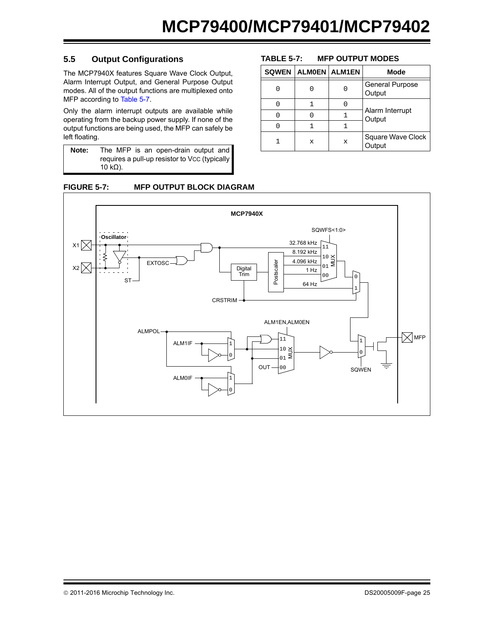## <span id="page-24-0"></span>**5.5 Output Configurations**

The MCP7940X features Square Wave Clock Output, Alarm Interrupt Output, and General Purpose Output modes. All of the output functions are multiplexed onto MFP according to [Table 5-7.](#page-24-1)

Only the alarm interrupt outputs are available while operating from the backup power supply. If none of the output functions are being used, the MFP can safely be left floating.

| Note: | The MFP is an open-drain output and           |
|-------|-----------------------------------------------|
|       | requires a pull-up resistor to Vcc (typically |
|       | 10 kΩ).                                       |

**FIGURE 5-7: MFP OUTPUT BLOCK DIAGRAM**

#### **MCP7940X**SQWFS<1:0> **Oscillator** 32.768 kHz  $x_1 \times$ 11 8.192 kHz  $10 \times$  $_{01}^{10}$   $\leqq$ 4.096 kHz EXTOSC Postscaler Postscaler  $x_2$ Digital 1 Hz Trim 00  $\Omega$ ST 64 Hz 1 CRSTRIM ALM1EN,ALM0EN ALMPOL  $\nabla$ мFР 11 1 ALM1IF 1  $10 \leq$  $_{01}^{10}$   $\geqq$ 0 0  $OUT - 00$  $\equiv$ SQWEN ALM0IF 1 0

## <span id="page-24-1"></span>**TABLE 5-7: MFP OUTPUT MODES**

| <b>SQWEN   ALMOEN   ALM1EN</b> |             | Mode                             |  |  |
|--------------------------------|-------------|----------------------------------|--|--|
|                                | C           | <b>General Purpose</b><br>Output |  |  |
|                                | O           |                                  |  |  |
|                                |             | Alarm Interrupt<br>Output        |  |  |
|                                |             |                                  |  |  |
| x                              | $\mathbf x$ | Square Wave Clock<br>Output      |  |  |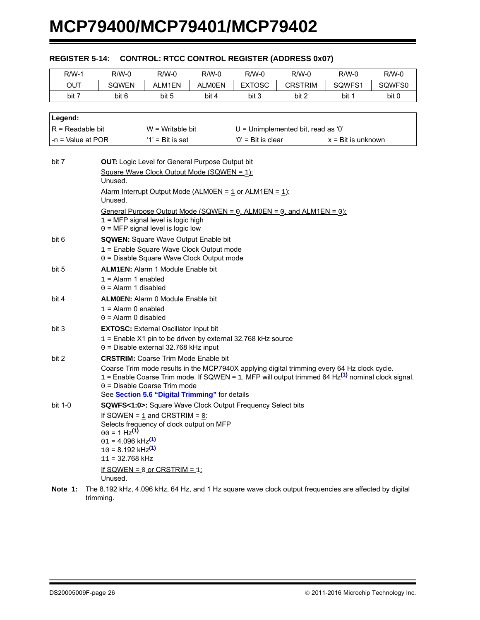| $R/W-1$             | R/W-0                                                                                                          | $R/W-0$                                                                                                 | $R/W-0$       | $R/W-0$             | $R/W-0$                                                                                                 | R/W-0                       | $R/W-0$ |
|---------------------|----------------------------------------------------------------------------------------------------------------|---------------------------------------------------------------------------------------------------------|---------------|---------------------|---------------------------------------------------------------------------------------------------------|-----------------------------|---------|
| <b>OUT</b>          | SQWEN                                                                                                          | ALM1EN                                                                                                  | <b>ALMOEN</b> | <b>EXTOSC</b>       | <b>CRSTRIM</b>                                                                                          | SQWFS1                      | SQWFS0  |
| bit 7               | bit 6                                                                                                          | bit 5                                                                                                   | bit 4         | bit 3               | bit 2                                                                                                   | bit 1                       | bit 0   |
|                     |                                                                                                                |                                                                                                         |               |                     |                                                                                                         |                             |         |
| Legend:             |                                                                                                                |                                                                                                         |               |                     |                                                                                                         |                             |         |
| $R =$ Readable bit  |                                                                                                                | $W = W$ ritable bit                                                                                     |               |                     | $U =$ Unimplemented bit, read as '0'                                                                    |                             |         |
| $-n =$ Value at POR |                                                                                                                | $'1'$ = Bit is set                                                                                      |               | $0'$ = Bit is clear |                                                                                                         | $x = \text{Bit}$ is unknown |         |
|                     |                                                                                                                |                                                                                                         |               |                     |                                                                                                         |                             |         |
| bit 7               |                                                                                                                | OUT: Logic Level for General Purpose Output bit                                                         |               |                     |                                                                                                         |                             |         |
|                     |                                                                                                                | Square Wave Clock Output Mode (SQWEN = 1):                                                              |               |                     |                                                                                                         |                             |         |
|                     | Unused.                                                                                                        |                                                                                                         |               |                     |                                                                                                         |                             |         |
|                     |                                                                                                                | <u> Alarm Interrupt Output Mode (ALM0EN = 1 or ALM1EN = 1):</u>                                         |               |                     |                                                                                                         |                             |         |
|                     | Unused.                                                                                                        |                                                                                                         |               |                     |                                                                                                         |                             |         |
|                     |                                                                                                                | $1 = MFP$ signal level is logic high                                                                    |               |                     | General Purpose Output Mode (SQWEN = $0$ , ALM0EN = $0$ , and ALM1EN = $0$ ):                           |                             |         |
|                     |                                                                                                                | $0 = MFP$ signal level is logic low                                                                     |               |                     |                                                                                                         |                             |         |
| bit 6               |                                                                                                                | <b>SQWEN:</b> Square Wave Output Enable bit                                                             |               |                     |                                                                                                         |                             |         |
|                     |                                                                                                                | 1 = Enable Square Wave Clock Output mode                                                                |               |                     |                                                                                                         |                             |         |
|                     |                                                                                                                | 0 = Disable Square Wave Clock Output mode                                                               |               |                     |                                                                                                         |                             |         |
| bit 5               |                                                                                                                | <b>ALM1EN: Alarm 1 Module Enable bit</b>                                                                |               |                     |                                                                                                         |                             |         |
|                     | $1 =$ Alarm 1 enabled<br>$0 =$ Alarm 1 disabled                                                                |                                                                                                         |               |                     |                                                                                                         |                             |         |
| bit 4               |                                                                                                                | <b>ALMOEN:</b> Alarm 0 Module Enable bit                                                                |               |                     |                                                                                                         |                             |         |
|                     | $1 =$ Alarm 0 enabled                                                                                          |                                                                                                         |               |                     |                                                                                                         |                             |         |
|                     | $0 =$ Alarm 0 disabled                                                                                         |                                                                                                         |               |                     |                                                                                                         |                             |         |
| bit 3               |                                                                                                                | <b>EXTOSC:</b> External Oscillator Input bit                                                            |               |                     |                                                                                                         |                             |         |
|                     |                                                                                                                | $1 =$ Enable X1 pin to be driven by external 32.768 kHz source<br>0 = Disable external 32.768 kHz input |               |                     |                                                                                                         |                             |         |
| bit 2               |                                                                                                                | <b>CRSTRIM:</b> Coarse Trim Mode Enable bit                                                             |               |                     |                                                                                                         |                             |         |
|                     |                                                                                                                |                                                                                                         |               |                     | Coarse Trim mode results in the MCP7940X applying digital trimming every 64 Hz clock cycle.             |                             |         |
|                     |                                                                                                                |                                                                                                         |               |                     | 1 = Enable Coarse Trim mode. If SQWEN = 1, MFP will output trimmed 64 Hz $^{(1)}$ nominal clock signal. |                             |         |
|                     |                                                                                                                | 0 = Disable Coarse Trim mode<br>See Section 5.6 "Digital Trimming" for details                          |               |                     |                                                                                                         |                             |         |
| bit 1-0             |                                                                                                                | <b>SQWFS&lt;1:0&gt;:</b> Square Wave Clock Output Frequency Select bits                                 |               |                     |                                                                                                         |                             |         |
|                     |                                                                                                                | If SQWEN = $1$ and CRSTRIM = $0$ :                                                                      |               |                     |                                                                                                         |                             |         |
|                     |                                                                                                                | Selects frequency of clock output on MFP                                                                |               |                     |                                                                                                         |                             |         |
|                     | $00 = 1$ Hz <sup>(1)</sup>                                                                                     |                                                                                                         |               |                     |                                                                                                         |                             |         |
|                     | $01 = 4.096$ kHz <sup>(1)</sup><br>$10 = 8.192$ kHz <sup>(1)</sup>                                             |                                                                                                         |               |                     |                                                                                                         |                             |         |
|                     | $11 = 32.768$ kHz                                                                                              |                                                                                                         |               |                     |                                                                                                         |                             |         |
|                     |                                                                                                                | If SQWEN = $0$ or CRSTRIM = $1$ :                                                                       |               |                     |                                                                                                         |                             |         |
|                     | Unused.                                                                                                        |                                                                                                         |               |                     |                                                                                                         |                             |         |
|                     | Note 1: The 8.192 kHz, 4.096 kHz, 64 Hz, and 1 Hz square wave clock output frequencies are affected by digital |                                                                                                         |               |                     |                                                                                                         |                             |         |

#### <span id="page-25-0"></span>**REGISTER 5-14: CONTROL: RTCC CONTROL REGISTER (ADDRESS 0x07)**

<span id="page-25-1"></span>**Note 1:** The 8.192 kHz, 4.096 kHz, 64 Hz, and 1 Hz square wave clock output frequencies are affected by digital trimming.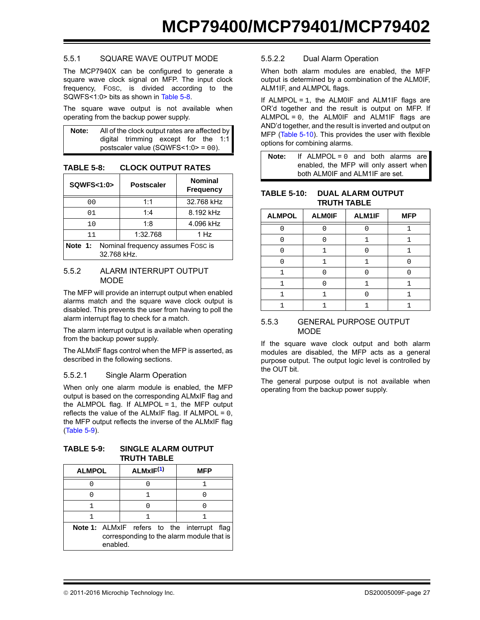### 5.5.1 SQUARE WAVE OUTPUT MODE

The MCP7940X can be configured to generate a square wave clock signal on MFP. The input clock frequency, FOSC, is divided according to the SQWFS<1:0> bits as shown in [Table 5-8.](#page-26-0)

The square wave output is not available when operating from the backup power supply.

| Note: | All of the clock output rates are affected by |  |  |
|-------|-----------------------------------------------|--|--|
|       | digital trimming except for the 1:1           |  |  |
|       | postscaler value (SQWFS $<1:0> = 00$ ).       |  |  |

<span id="page-26-0"></span>**TABLE 5-8: CLOCK OUTPUT RATES**

| SQWFS<1:0>                                                  | <b>Postscaler</b> | <b>Nominal</b><br><b>Frequency</b> |  |  |  |
|-------------------------------------------------------------|-------------------|------------------------------------|--|--|--|
| 0 <sub>0</sub>                                              | 1:1               | 32.768 kHz                         |  |  |  |
| 01                                                          | 1:4               | 8.192 kHz                          |  |  |  |
| 10                                                          | 1:8               | 4.096 kHz                          |  |  |  |
| 11                                                          | 1:32.768          | 1 Hz                               |  |  |  |
| Nominal frequency assumes Fosc is<br>Note 1:<br>32.768 kHz. |                   |                                    |  |  |  |

#### 5.5.2 ALARM INTERRUPT OUTPUT MODE

The MFP will provide an interrupt output when enabled alarms match and the square wave clock output is disabled. This prevents the user from having to poll the alarm interrupt flag to check for a match.

The alarm interrupt output is available when operating from the backup power supply.

The ALMxIF flags control when the MFP is asserted, as described in the following sections.

#### 5.5.2.1 Single Alarm Operation

When only one alarm module is enabled, the MFP output is based on the corresponding ALMxIF flag and the ALMPOL flag. If ALMPOL =  $1$ , the MFP output reflects the value of the ALMxIF flag. If ALMPOL =  $0$ , the MFP output reflects the inverse of the ALMxIF flag ([Table 5-9\)](#page-26-1).

<span id="page-26-1"></span>**TABLE 5-9: SINGLE ALARM OUTPUT TRUTH TABLE**

<span id="page-26-2"></span>

| <b>ALMPOL</b> | ALMxIF <sup>(1)</sup>                                                                    | <b>MFP</b> |  |  |
|---------------|------------------------------------------------------------------------------------------|------------|--|--|
|               |                                                                                          |            |  |  |
|               |                                                                                          |            |  |  |
|               |                                                                                          |            |  |  |
|               |                                                                                          |            |  |  |
| enabled.      | Note 1: ALMxIF refers to the interrupt flag<br>corresponding to the alarm module that is |            |  |  |

#### 5.5.2.2 Dual Alarm Operation

When both alarm modules are enabled, the MFP output is determined by a combination of the ALM0IF, ALM1IF, and ALMPOL flags.

If ALMPOL =  $1$ , the ALM0IF and ALM1IF flags are OR'd together and the result is output on MFP. If  $ALMPOL = 0$ , the  $ALM0IF$  and  $ALM1IF$  flags are AND'd together, and the result is inverted and output on MFP [\(Table 5-10](#page-26-3)). This provides the user with flexible options for combining alarms.

**Note:** If ALMPOL = 0 and both alarms are enabled, the MFP will only assert when both ALM0IF and ALM1IF are set.

#### <span id="page-26-3"></span>**TABLE 5-10: DUAL ALARM OUTPUT TRUTH TABLE**

| <b>ALMPOL</b> | <b>ALMOIF</b> | ALM1IF | <b>MFP</b> |
|---------------|---------------|--------|------------|
|               |               |        |            |
|               |               |        |            |
|               |               |        |            |
|               |               |        |            |
|               |               |        |            |
|               |               |        |            |
|               |               |        |            |
|               |               |        |            |

#### 5.5.3 GENERAL PURPOSE OUTPUT MODE

If the square wave clock output and both alarm modules are disabled, the MFP acts as a general purpose output. The output logic level is controlled by the OUT bit.

The general purpose output is not available when operating from the backup power supply.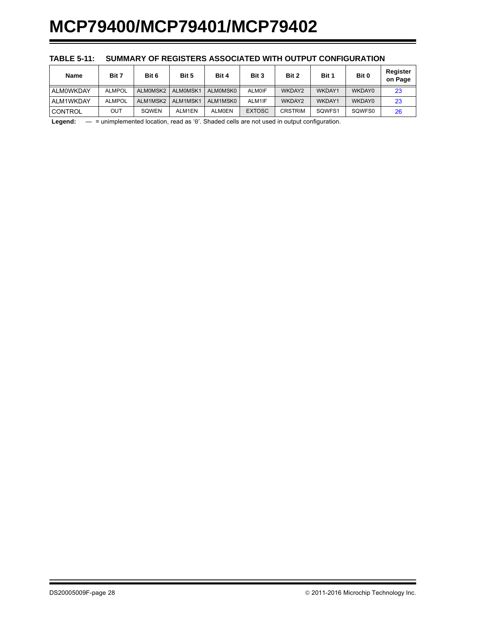| <b>Name</b>    | Bit 7         | Bit 6    | Bit 5    | Bit 4         | Bit 3         | Bit 2          | Bit 1  | Bit 0  | Register<br>on Page |
|----------------|---------------|----------|----------|---------------|---------------|----------------|--------|--------|---------------------|
| ALMOWKDAY      | <b>ALMPOL</b> | ALMOMSK2 | ALMOMSK1 | ALM0MSK0      | <b>ALMOIF</b> | WKDAY2         | WKDAY1 | WKDAY0 | 23                  |
| ALM1WKDAY      | <b>ALMPOL</b> | ALM1MSK2 | ALM1MSK1 | ALM1MSK0      | ALM1IF        | WKDAY2         | WKDAY1 | WKDAY0 | 23                  |
| <b>CONTROL</b> | OUT           | SOWEN    | ALM1EN   | <b>ALM0EN</b> | <b>EXTOSC</b> | <b>CRSTRIM</b> | SQWFS1 | SQWFS0 | 26                  |

#### **TABLE 5-11: SUMMARY OF REGISTERS ASSOCIATED WITH OUTPUT CONFIGURATION**

**Legend:** — = unimplemented location, read as '0'. Shaded cells are not used in output configuration.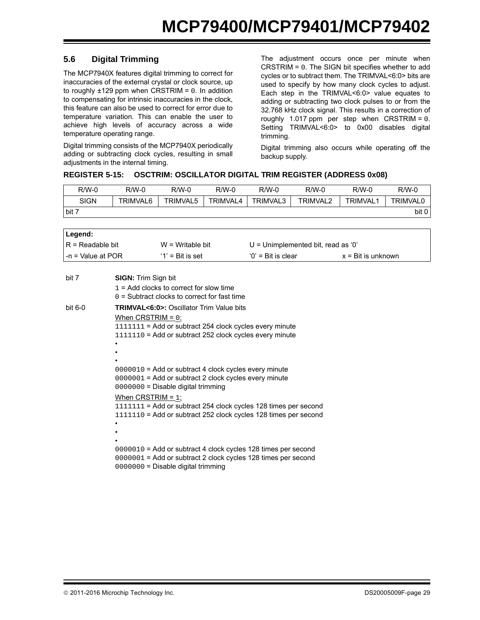## <span id="page-28-0"></span>**5.6 Digital Trimming**

The MCP7940X features digital trimming to correct for inaccuracies of the external crystal or clock source, up to roughly  $\pm 129$  ppm when CRSTRIM = 0. In addition to compensating for intrinsic inaccuracies in the clock, this feature can also be used to correct for error due to temperature variation. This can enable the user to achieve high levels of accuracy across a wide temperature operating range.

Digital trimming consists of the MCP7940X periodically adding or subtracting clock cycles, resulting in small adjustments in the internal timing.

The adjustment occurs once per minute when CRSTRIM = 0. The SIGN bit specifies whether to add cycles or to subtract them. The TRIMVAL<6:0> bits are used to specify by how many clock cycles to adjust. Each step in the TRIMVAL<6:0> value equates to adding or subtracting two clock pulses to or from the 32.768 kHz clock signal. This results in a correction of roughly 1.017 ppm per step when CRSTRIM = 0. Setting TRIMVAL<6:0> to 0x00 disables digital trimming.

Digital trimming also occurs while operating off the backup supply.

### <span id="page-28-1"></span>**REGISTER 5-15: OSCTRIM: OSCILLATOR DIGITAL TRIM REGISTER (ADDRESS 0x08)**

| R/W-0       | R/W-0    | $R/W-0$  | $R/W-0$  | $R/W-0$  | R/W-0           | $R/W-0$         | $R/W-0$         |
|-------------|----------|----------|----------|----------|-----------------|-----------------|-----------------|
| <b>SIGN</b> | TRIMVAL6 | TRIMVAL5 | TRIMVAL4 | TRIMVAL3 | <b>TRIMVAL2</b> | <b>TRIMVAL1</b> | <b>TRIMVAL0</b> |
| bit 7       |          |          |          |          |                 |                 | bit 0           |

| Legend:             |  |                                                                                                                                                                                                                                                                                                                                     |                                      |                             |
|---------------------|--|-------------------------------------------------------------------------------------------------------------------------------------------------------------------------------------------------------------------------------------------------------------------------------------------------------------------------------------|--------------------------------------|-----------------------------|
| $R = Readable bit$  |  | $W = W$ ritable bit                                                                                                                                                                                                                                                                                                                 | $U =$ Unimplemented bit, read as '0' |                             |
| $-n =$ Value at POR |  | $'1'$ = Bit is set                                                                                                                                                                                                                                                                                                                  | $'0'$ = Bit is clear                 | $x = \text{Bit}$ is unknown |
| bit 7               |  | <b>SIGN:</b> Trim Sign bit                                                                                                                                                                                                                                                                                                          |                                      |                             |
|                     |  | $1 = Add$ clocks to correct for slow time<br>$0 =$ Subtract clocks to correct for fast time                                                                                                                                                                                                                                         |                                      |                             |
| bit $6-0$           |  | <b>TRIMVAL&lt;6:0&gt;: Oscillator Trim Value bits</b>                                                                                                                                                                                                                                                                               |                                      |                             |
|                     |  | When CRSTRIM = $0$ :<br>1111111 = Add or subtract 254 clock cycles every minute<br>$1111110$ = Add or subtract 252 clock cycles every minute<br>0000010 = Add or subtract 4 clock cycles every minute<br>0000001 = Add or subtract 2 clock cycles every minute<br>$0000000 =$ Disable digital trimming                              |                                      |                             |
|                     |  | When CRSTRIM $=$ 1:<br>1111111 = Add or subtract 254 clock cycles 128 times per second<br>$1111110$ = Add or subtract 252 clock cycles 128 times per second<br>0000010 = Add or subtract 4 clock cycles 128 times per second<br>0000001 = Add or subtract 2 clock cycles 128 times per second<br>0000000 = Disable digital trimming |                                      |                             |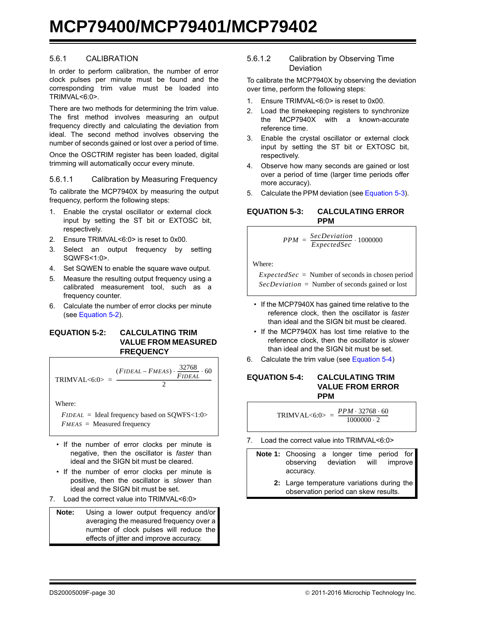#### 5.6.1 CALIBRATION

In order to perform calibration, the number of error clock pulses per minute must be found and the corresponding trim value must be loaded into TRIMVAL<6:0>.

There are two methods for determining the trim value. The first method involves measuring an output frequency directly and calculating the deviation from ideal. The second method involves observing the number of seconds gained or lost over a period of time.

Once the OSCTRIM register has been loaded, digital trimming will automatically occur every minute.

#### 5.6.1.1 Calibration by Measuring Frequency

To calibrate the MCP7940X by measuring the output frequency, perform the following steps:

- 1. Enable the crystal oscillator or external clock input by setting the ST bit or EXTOSC bit, respectively.
- 2. Ensure TRIMVAL<6:0> is reset to 0x00.
- 3. Select an output frequency by setting SQWFS<1:0>.
- 4. Set SQWEN to enable the square wave output.
- 5. Measure the resulting output frequency using a calibrated measurement tool, such as a frequency counter.
- 6. Calculate the number of error clocks per minute (see [Equation 5-2\)](#page-29-0).

#### <span id="page-29-0"></span>**EQUATION 5-2: CALCULATING TRIM VALUE FROM MEASURED FREQUENCY**

TRIMVAL
$$
\text{TRIMVAL} < 6:0 > \frac{(FIDEAL - FMEAS) \cdot \frac{32768}{FIDEAL} \cdot 60}{2}
$$

Where:

*FIDEAL* = Ideal frequency based on SQWFS<1:0> *FMEAS* = Measured frequency

- If the number of error clocks per minute is negative, then the oscillator is *faster* than ideal and the SIGN bit must be cleared.
- If the number of error clocks per minute is positive, then the oscillator is *slower* than ideal and the SIGN bit must be set.
- 7. Load the correct value into TRIMVAL<6:0>

| Note: | Using a lower output frequency and/or   |  |  |  |  |  |  |
|-------|-----------------------------------------|--|--|--|--|--|--|
|       | averaging the measured frequency over a |  |  |  |  |  |  |
|       | number of clock pulses will reduce the  |  |  |  |  |  |  |
|       | effects of jitter and improve accuracy. |  |  |  |  |  |  |

#### 5.6.1.2 Calibration by Observing Time Deviation

To calibrate the MCP7940X by observing the deviation over time, perform the following steps:

- 1. Ensure TRIMVAL<6:0> is reset to 0x00.
- 2. Load the timekeeping registers to synchronize the MCP7940X with a known-accurate reference time.
- 3. Enable the crystal oscillator or external clock input by setting the ST bit or EXTOSC bit, respectively.
- 4. Observe how many seconds are gained or lost over a period of time (larger time periods offer more accuracy).
- 5. Calculate the PPM deviation (see [Equation 5-3](#page-29-1)).

#### <span id="page-29-1"></span>**EQUATION 5-3: CALCULATING ERROR PPM**

$$
PPM = \frac{SecDeviation}{ExpectedSec} \cdot 1000000
$$

Where:

$$
ExpectedSec =
$$
 Number of seconds in chosen period  
 $SecDeviation =$  Number of seconds gained or lost

- If the MCP7940X has gained time relative to the reference clock, then the oscillator is *faster* than ideal and the SIGN bit must be cleared.
- If the MCP7940X has lost time relative to the reference clock, then the oscillator is *slower* than ideal and the SIGN bit must be set.
- 6. Calculate the trim value (see [Equation 5-4](#page-29-2))

#### <span id="page-29-2"></span>**EQUATION 5-4: CALCULATING TRIM VALUE FROM ERROR PPM**

$$
TRIMVAL < 6:0> = \frac{PPM \cdot 32768 \cdot 60}{1000000 \cdot 2}
$$

- 7. Load the correct value into TRIMVAL<6:0>
	- **Note 1:** Choosing a longer time period for observing deviation will improve accuracy.
		- **2:** Large temperature variations during the observation period can skew results.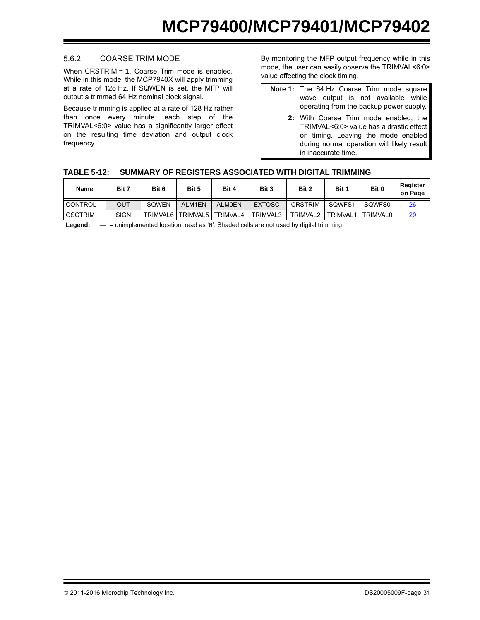### 5.6.2 COARSE TRIM MODE

When CRSTRIM = 1, Coarse Trim mode is enabled. While in this mode, the MCP7940X will apply trimming at a rate of 128 Hz. If SQWEN is set, the MFP will output a trimmed 64 Hz nominal clock signal.

Because trimming is applied at a rate of 128 Hz rather than once every minute, each step of the TRIMVAL<6:0> value has a significantly larger effect on the resulting time deviation and output clock frequency.

By monitoring the MFP output frequency while in this mode, the user can easily observe the TRIMVAL<6:0> value affecting the clock timing.

- **Note 1:** The 64 Hz Coarse Trim mode square wave output is not available while operating from the backup power supply.
	- **2:** With Coarse Trim mode enabled, the TRIMVAL<6:0> value has a drastic effect on timing. Leaving the mode enabled during normal operation will likely result in inaccurate time.

### **TABLE 5-12: SUMMARY OF REGISTERS ASSOCIATED WITH DIGITAL TRIMMING**

| Name           | Bit 7       | Bit 6    | Bit 5    | Bit 4         | Bit 3         | Bit 2          | Bit 1           | Bit 0    | Register<br>on Page |
|----------------|-------------|----------|----------|---------------|---------------|----------------|-----------------|----------|---------------------|
| <b>CONTROL</b> | OUT         | SOWEN    | ALM1EN   | <b>ALMOEN</b> | <b>EXTOSC</b> | <b>CRSTRIM</b> | SQWFS1          | SQWFS0   |                     |
| <b>OSCTRIM</b> | <b>SIGN</b> | TRIMVAL6 | TRIMVAL5 | TRIMVAL4      | TRIMVAL3      | TRIMVAL2       | <b>TRIMVAL1</b> | TRIMVAL0 | 29                  |

Legend: — = unimplemented location, read as '0'. Shaded cells are not used by digital trimming.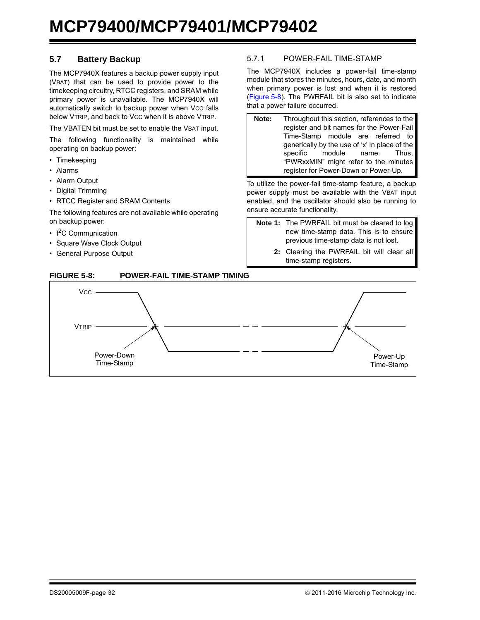## **5.7 Battery Backup**

The MCP7940X features a backup power supply input (VBAT) that can be used to provide power to the timekeeping circuitry, RTCC registers, and SRAM while primary power is unavailable. The MCP7940X will automatically switch to backup power when Vcc falls below VTRIP, and back to Vcc when it is above VTRIP.

The VBATEN bit must be set to enable the VBAT input.

The following functionality is maintained while operating on backup power:

- Timekeeping
- Alarms
- Alarm Output
- Digital Trimming
- RTCC Register and SRAM Contents

The following features are not available while operating on backup power:

- $\cdot$  I<sup>2</sup>C Communication
- Square Wave Clock Output
- General Purpose Output

#### <span id="page-31-0"></span>5.7.1 POWER-FAIL TIME-STAMP

The MCP7940X includes a power-fail time-stamp module that stores the minutes, hours, date, and month when primary power is lost and when it is restored ([Figure 5-8\)](#page-31-1). The PWRFAIL bit is also set to indicate that a power failure occurred.

**Note:** Throughout this section, references to the register and bit names for the Power-Fail Time-Stamp module are referred to generically by the use of 'x' in place of the specific module name. Thus, "PWRxxMIN" might refer to the minutes register for Power-Down or Power-Up.

To utilize the power-fail time-stamp feature, a backup power supply must be available with the VBAT input enabled, and the oscillator should also be running to ensure accurate functionality.

- **Note 1:** The PWRFAIL bit must be cleared to log new time-stamp data. This is to ensure previous time-stamp data is not lost.
	- **2:** Clearing the PWRFAIL bit will clear all time-stamp registers.



## <span id="page-31-1"></span>**FIGURE 5-8: POWER-FAIL TIME-STAMP TIMING**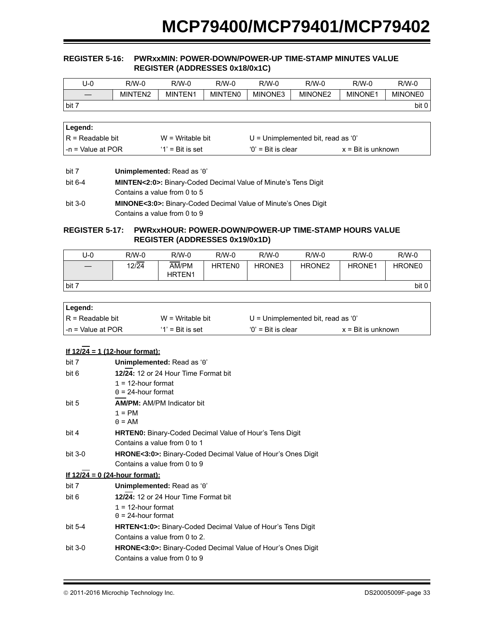#### <span id="page-32-0"></span>**REGISTER 5-16: PWRxxMIN: POWER-DOWN/POWER-UP TIME-STAMP MINUTES VALUE REGISTER (ADDRESSES 0x18/0x1C)**

| U-0   | $R/W-0$ | $R/W-0$ | $R/M-0$        | $R/W-0$ | R/W-0   | $R/W-0$        | $R/W-0$        |
|-------|---------|---------|----------------|---------|---------|----------------|----------------|
|       | MINTEN2 | MINTEN1 | <b>MINTENO</b> | MINONE3 | MINONE2 | <b>MINONE1</b> | <b>MINONE0</b> |
| bit 7 |         |         |                |         |         |                | bit 0          |

| ∣Legend:               |                     |                                      |                             |
|------------------------|---------------------|--------------------------------------|-----------------------------|
| $IR = Readable bit$    | $W = Writeable bit$ | $U =$ Unimplemented bit, read as '0' |                             |
| $l - n =$ Value at POR | $'1'$ = Bit is set  | $'0'$ = Bit is clear                 | $x = \text{Bit}$ is unknown |

| bit 7   | Unimplemented: Read as '0'                                                  |
|---------|-----------------------------------------------------------------------------|
| bit 6-4 | <b>MINTEN&lt;2:0&gt;:</b> Binary-Coded Decimal Value of Minute's Tens Digit |
|         | Contains a value from 0 to 5                                                |
| bit 3-0 | <b>MINONE&lt;3:0&gt;:</b> Binary-Coded Decimal Value of Minute's Ones Digit |
|         | Contains a value from 0 to 9                                                |

#### <span id="page-32-1"></span>**REGISTER 5-17: PWRxxHOUR: POWER-DOWN/POWER-UP TIME-STAMP HOURS VALUE REGISTER (ADDRESSES 0x19/0x1D)**

| J-0   | $R/W-0$ | $R/W-0$                     | $R/W-0$       | $R/W-0$ | $R/W-0$            | $R/W-0$       | $R/W-0$            |
|-------|---------|-----------------------------|---------------|---------|--------------------|---------------|--------------------|
|       | 12/24   | AM/PM<br>HRTEN <sub>1</sub> | <b>HRTEN0</b> | HRONE3  | HRONE <sub>2</sub> | <b>HRONE1</b> | HRONE <sub>0</sub> |
| bit 7 |         |                             |               |         |                    |               | bit 0              |

| Legend:            |                     |                                      |                             |
|--------------------|---------------------|--------------------------------------|-----------------------------|
| IR = Readable bit  | $W = Writeable bit$ | $U =$ Unimplemented bit, read as '0' |                             |
| I-n = Value at POR | $'1'$ = Bit is set  | $'0'$ = Bit is clear                 | $x = \text{Bit}$ is unknown |

## **If 12/24 = 1 (12-hour format):**

| bit 7                                 | Unimplemented: Read as '0'                                               |
|---------------------------------------|--------------------------------------------------------------------------|
| bit 6                                 | 12/24: 12 or 24 Hour Time Format bit                                     |
|                                       | $1 = 12$ -hour format                                                    |
|                                       | $0 = 24$ -hour format                                                    |
| bit 5                                 | <b>AM/PM: AM/PM Indicator bit</b>                                        |
|                                       | $1 = PM$                                                                 |
|                                       | $0 = AM$                                                                 |
| bit 4                                 | <b>HRTEN0:</b> Binary-Coded Decimal Value of Hour's Tens Digit           |
|                                       | Contains a value from 0 to 1                                             |
| bit $3-0$                             | <b>HRONE&lt;3:0&gt;:</b> Binary-Coded Decimal Value of Hour's Ones Digit |
|                                       | Contains a value from 0 to 9                                             |
| <u>If 12/24 = 0 (24-hour format):</u> |                                                                          |
| bit 7                                 | Unimplemented: Read as '0'                                               |
| bit 6                                 | 12/24: 12 or 24 Hour Time Format bit                                     |
|                                       | $1 = 12$ -hour format                                                    |
|                                       | $0 = 24$ -hour format                                                    |
| bit $5-4$                             | <b>HRTEN&lt;1:0&gt;:</b> Binary-Coded Decimal Value of Hour's Tens Digit |
|                                       | Contains a value from 0 to 2.                                            |
| bit $3-0$                             | <b>HRONE&lt;3:0&gt;:</b> Binary-Coded Decimal Value of Hour's Ones Digit |
|                                       | Contains a value from 0 to 9                                             |
|                                       |                                                                          |

2011-2016 Microchip Technology Inc. DS20005009F-page 33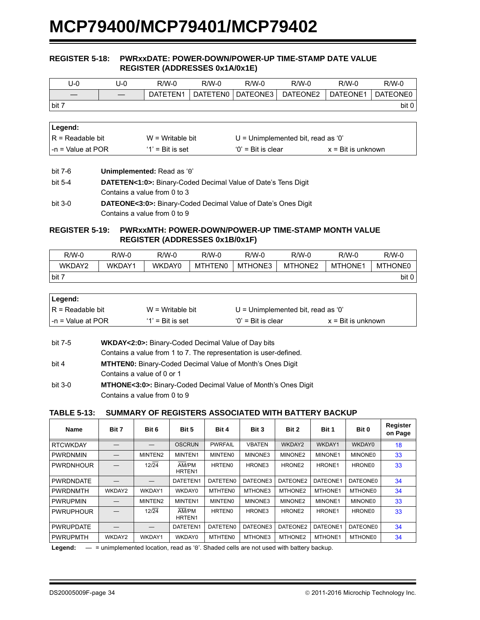#### <span id="page-33-0"></span>**REGISTER 5-18: PWRxxDATE: POWER-DOWN/POWER-UP TIME-STAMP DATE VALUE REGISTER (ADDRESSES 0x1A/0x1E)**

| U-0   | U-0 | $R/W-0$  | $R/W-0$  | $R/W-0$  | $R/W-0$  | $R/W-0$  | $R/W-0$  |
|-------|-----|----------|----------|----------|----------|----------|----------|
|       |     | DATETEN1 | DATETEN0 | DATEONE3 | DATEONE2 | DATEONE1 | DATEONE0 |
| bit 7 |     |          |          |          |          |          | bit 0    |

| ∣Legend:           |                     |                                      |                             |
|--------------------|---------------------|--------------------------------------|-----------------------------|
| IR = Readable bit  | $W = Writeable bit$ | $U =$ Unimplemented bit, read as '0' |                             |
| I-n = Value at POR | $'1'$ = Bit is set  | $'0'$ = Bit is clear                 | $x = \text{Bit}$ is unknown |

bit 7-6 **Unimplemented:** Read as '0'

| bit 5-4   | <b>DATETEN&lt;1:0&gt;:</b> Binary-Coded Decimal Value of Date's Tens Digit |
|-----------|----------------------------------------------------------------------------|
|           | Contains a value from 0 to 3                                               |
| $bit 3-0$ | <b>DATEONE&lt;3:0&gt;:</b> Binary-Coded Decimal Value of Date's Ones Digit |
|           | Contains a value from 0 to 9                                               |

### <span id="page-33-1"></span>**REGISTER 5-19: PWRxxMTH: POWER-DOWN/POWER-UP TIME-STAMP MONTH VALUE REGISTER (ADDRESSES 0x1B/0x1F)**

| $R/W-0$ | $R/W-0$ | R/W-0  | $R/W-0$ | $R/W-0$ | $R/W-0$             | $R/W-0$        | $R/W-0$        |
|---------|---------|--------|---------|---------|---------------------|----------------|----------------|
| WKDAY2  | WKDAY1  | WKDAY0 | MTHTEN0 | MTHONE3 | MTHONE <sub>2</sub> | <b>MTHONE1</b> | <b>MTHONE0</b> |
| bit 7   |         |        |         |         |                     |                | bit 0          |

| ∣Legend:                  |                     |                                      |                             |
|---------------------------|---------------------|--------------------------------------|-----------------------------|
| IR = Readable bit         | $W = Writeable bit$ | $U =$ Unimplemented bit, read as '0' |                             |
| $\vert$ -n = Value at POR | $'1'$ = Bit is set  | $'0'$ = Bit is clear                 | $x = \text{Bit}$ is unknown |

| bit 7-5   | <b>WKDAY&lt;2:0&gt;:</b> Binary-Coded Decimal Value of Day bits            |
|-----------|----------------------------------------------------------------------------|
|           | Contains a value from 1 to 7. The representation is user-defined.          |
| bit 4     | <b>MTHTEN0:</b> Binary-Coded Decimal Value of Month's Ones Digit           |
|           | Contains a value of 0 or 1                                                 |
| $bit 3-0$ | <b>MTHONE&lt;3:0&gt;:</b> Binary-Coded Decimal Value of Month's Ones Digit |

| Contains a value from 0 to 9 |  |  |
|------------------------------|--|--|

### **TABLE 5-13: SUMMARY OF REGISTERS ASSOCIATED WITH BATTERY BACKUP**

| <b>Name</b>      | Bit 7  | Bit 6         | Bit 5           | Bit 4              | Bit 3         | Bit 2              | Bit 1              | Bit 0           | Register<br>on Page |
|------------------|--------|---------------|-----------------|--------------------|---------------|--------------------|--------------------|-----------------|---------------------|
| <b>RTCWKDAY</b>  |        |               | <b>OSCRUN</b>   | <b>PWRFAIL</b>     | <b>VBATEN</b> | WKDAY2             | WKDAY1             | WKDAY0          | 18                  |
| <b>PWRDNMIN</b>  |        | MINTEN2       | MINTEN1         | <b>MINTENO</b>     | MINONE3       | MINONE2            | MINONE1            | <b>MINONE0</b>  | 33                  |
| <b>PWRDNHOUR</b> |        | $12\sqrt{24}$ | AM/PM<br>HRTEN1 | HRTEN <sub>0</sub> | HRONE3        | HRONE2             | HRONE1             | <b>HRONE0</b>   | 33                  |
| <b>PWRDNDATE</b> |        |               | DATETEN1        | DATETEN0           | DATEONE3      | DATEONE2           | DATEONE1           | <b>DATEONE0</b> | 34                  |
| <b>PWRDNMTH</b>  | WKDAY2 | WKDAY1        | WKDAY0          | <b>MTHTEN0</b>     | MTHONE3       | MTHONE2            | MTHONE1            | <b>MTHONE0</b>  | 34                  |
| <b>PWRUPMIN</b>  |        | MINTEN2       | MINTEN1         | <b>MINTENO</b>     | MINONE3       | MINONE2            | MINONE1            | <b>MINONE0</b>  | 33                  |
| <b>PWRUPHOUR</b> |        | 12/24         | AM/PM<br>HRTEN1 | <b>HRTEN0</b>      | HRONE3        | HRONE <sub>2</sub> | HRONE <sub>1</sub> | HRONE0          | 33                  |
| <b>PWRUPDATE</b> |        |               | DATETEN1        | DATETEN0           | DATEONE3      | DATEONE2           | DATEONE1           | DATEONE0        | 34                  |
| <b>PWRUPMTH</b>  | WKDAY2 | WKDAY1        | WKDAY0          | MTHTEN0            | MTHONE3       | MTHONE2            | MTHONE1            | MTHONE0         | 34                  |

**Legend:** — = unimplemented location, read as '0'. Shaded cells are not used with battery backup.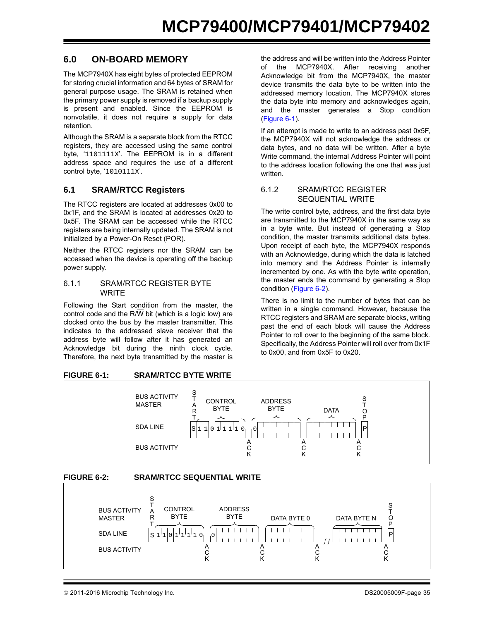## **6.0 ON-BOARD MEMORY**

The MCP7940X has eight bytes of protected EEPROM for storing crucial information and 64 bytes of SRAM for general purpose usage. The SRAM is retained when the primary power supply is removed if a backup supply is present and enabled. Since the EEPROM is nonvolatile, it does not require a supply for data retention.

Although the SRAM is a separate block from the RTCC registers, they are accessed using the same control byte, '1101111x'. The EEPROM is in a different address space and requires the use of a different control byte, '1010111X'.

## **6.1 SRAM/RTCC Registers**

The RTCC registers are located at addresses 0x00 to 0x1F, and the SRAM is located at addresses 0x20 to 0x5F. The SRAM can be accessed while the RTCC registers are being internally updated. The SRAM is not initialized by a Power-On Reset (POR).

Neither the RTCC registers nor the SRAM can be accessed when the device is operating off the backup power supply.

#### 6.1.1 SRAM/RTCC REGISTER BYTE **WRITE**

Following the Start condition from the master, the control code and the R/W bit (which is a logic low) are clocked onto the bus by the master transmitter. This indicates to the addressed slave receiver that the address byte will follow after it has generated an Acknowledge bit during the ninth clock cycle. Therefore, the next byte transmitted by the master is

the address and will be written into the Address Pointer of the MCP7940X. After receiving another Acknowledge bit from the MCP7940X, the master device transmits the data byte to be written into the addressed memory location. The MCP7940X stores the data byte into memory and acknowledges again, and the master generates a Stop condition ([Figure 6-1\)](#page-34-0).

If an attempt is made to write to an address past 0x5F, the MCP7940X will not acknowledge the address or data bytes, and no data will be written. After a byte Write command, the internal Address Pointer will point to the address location following the one that was just written.

#### 6.1.2 SRAM/RTCC REGISTER SEQUENTIAL WRITE

The write control byte, address, and the first data byte are transmitted to the MCP7940X in the same way as in a byte write. But instead of generating a Stop condition, the master transmits additional data bytes. Upon receipt of each byte, the MCP7940X responds with an Acknowledge, during which the data is latched into memory and the Address Pointer is internally incremented by one. As with the byte write operation, the master ends the command by generating a Stop condition ([Figure 6-2](#page-34-1)).

There is no limit to the number of bytes that can be written in a single command. However, because the RTCC registers and SRAM are separate blocks, writing past the end of each block will cause the Address Pointer to roll over to the beginning of the same block. Specifically, the Address Pointer will roll over from 0x1F to 0x00, and from 0x5F to 0x20.

<span id="page-34-0"></span>

<span id="page-34-1"></span>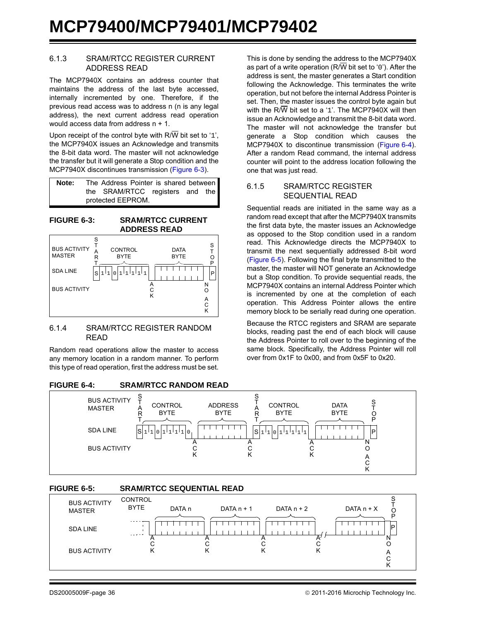#### 6.1.3 SRAM/RTCC REGISTER CURRENT ADDRESS READ

The MCP7940X contains an address counter that maintains the address of the last byte accessed, internally incremented by one. Therefore, if the previous read access was to address n (n is any legal address), the next current address read operation would access data from address n + 1.

Upon receipt of the control byte with  $R/\overline{W}$  bit set to '1', the MCP7940X issues an Acknowledge and transmits the 8-bit data word. The master will not acknowledge the transfer but it will generate a Stop condition and the MCP7940X discontinues transmission ([Figure 6-3\)](#page-35-0).

| Note: | The Address Pointer is shared between |  |
|-------|---------------------------------------|--|
|       | the SRAM/RTCC registers and the       |  |
|       | protected EEPROM.                     |  |

<span id="page-35-0"></span>

#### 6.1.4 SRAM/RTCC REGISTER RANDOM READ

Random read operations allow the master to access any memory location in a random manner. To perform this type of read operation, first the address must be set.

#### <span id="page-35-1"></span>**FIGURE 6-4: SRAM/RTCC RANDOM READ**

This is done by sending the address to the MCP7940X as part of a write operation ( $R/\overline{W}$  bit set to '0'). After the address is sent, the master generates a Start condition following the Acknowledge. This terminates the write operation, but not before the internal Address Pointer is set. Then, the master issues the control byte again but with the R/ $\overline{W}$  bit set to a '1'. The MCP7940X will then issue an Acknowledge and transmit the 8-bit data word. The master will not acknowledge the transfer but generate a Stop condition which causes the MCP7940X to discontinue transmission ([Figure 6-4](#page-35-1)). After a random Read command, the internal address counter will point to the address location following the one that was just read.

#### 6.1.5 SRAM/RTCC REGISTER SEQUENTIAL READ

Sequential reads are initiated in the same way as a random read except that after the MCP7940X transmits the first data byte, the master issues an Acknowledge as opposed to the Stop condition used in a random read. This Acknowledge directs the MCP7940X to transmit the next sequentially addressed 8-bit word ([Figure 6-5\)](#page-35-2). Following the final byte transmitted to the master, the master will NOT generate an Acknowledge but a Stop condition. To provide sequential reads, the MCP7940X contains an internal Address Pointer which is incremented by one at the completion of each operation. This Address Pointer allows the entire memory block to be serially read during one operation.

Because the RTCC registers and SRAM are separate blocks, reading past the end of each block will cause the Address Pointer to roll over to the beginning of the same block. Specifically, the Address Pointer will roll over from 0x1F to 0x00, and from 0x5F to 0x20.



## <span id="page-35-2"></span>**FIGURE 6-5: SRAM/RTCC SEQUENTIAL READ**

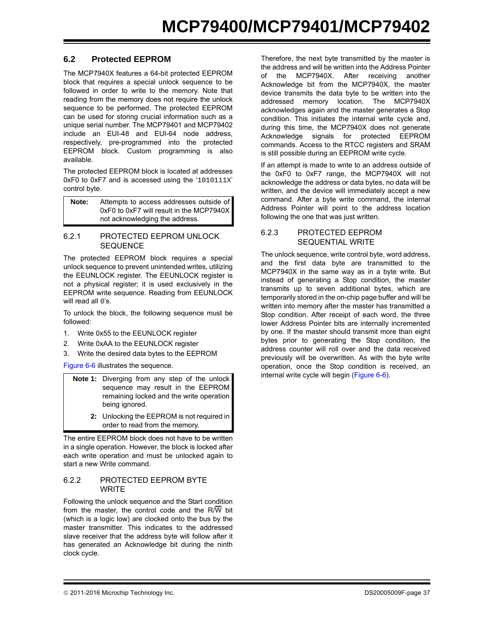## **6.2 Protected EEPROM**

The MCP7940X features a 64-bit protected EEPROM block that requires a special unlock sequence to be followed in order to write to the memory. Note that reading from the memory does not require the unlock sequence to be performed. The protected EEPROM can be used for storing crucial information such as a unique serial number. The MCP79401 and MCP79402 include an EUI-48 and EUI-64 node address, respectively, pre-programmed into the protected EEPROM block. Custom programming is also available.

The protected EEPROM block is located at addresses 0xF0 to 0xF7 and is accessed using the '1010111X' control byte.

**Note:** Attempts to access addresses outside of 0xF0 to 0xF7 will result in the MCP7940X not acknowledging the address.

#### 6.2.1 PROTECTED EEPROM UNLOCK **SEQUENCE**

The protected EEPROM block requires a special unlock sequence to prevent unintended writes, utilizing the EEUNLOCK register. The EEUNLOCK register is not a physical register; it is used exclusively in the EEPROM write sequence. Reading from EEUNLOCK will read all 0's.

To unlock the block, the following sequence must be followed:

- 1. Write 0x55 to the EEUNLOCK register
- 2. Write 0xAA to the EEUNLOCK register
- 3. Write the desired data bytes to the EEPROM

[Figure 6-6](#page-37-0) illustrates the sequence.

- **Note 1:** Diverging from any step of the unlock sequence may result in the EEPROM remaining locked and the write operation being ignored.
	- **2:** Unlocking the EEPROM is not required in order to read from the memory.

The entire EEPROM block does not have to be written in a single operation. However, the block is locked after each write operation and must be unlocked again to start a new Write command.

#### 6.2.2 PROTECTED EEPROM BYTE **WRITE**

Following the unlock sequence and the Start condition from the master, the control code and the  $R/\overline{W}$  bit (which is a logic low) are clocked onto the bus by the master transmitter. This indicates to the addressed slave receiver that the address byte will follow after it has generated an Acknowledge bit during the ninth clock cycle.

Therefore, the next byte transmitted by the master is the address and will be written into the Address Pointer of the MCP7940X. After receiving another Acknowledge bit from the MCP7940X, the master device transmits the data byte to be written into the addressed memory location. The MCP7940X acknowledges again and the master generates a Stop condition. This initiates the internal write cycle and, during this time, the MCP7940X does not generate Acknowledge signals for protected EEPROM commands. Access to the RTCC registers and SRAM is still possible during an EEPROM write cycle.

If an attempt is made to write to an address outside of the 0xF0 to 0xF7 range, the MCP7940X will not acknowledge the address or data bytes, no data will be written, and the device will immediately accept a new command. After a byte write command, the internal Address Pointer will point to the address location following the one that was just written.

#### 6.2.3 PROTECTED EEPROM SEQUENTIAL WRITE

The unlock sequence, write control byte, word address, and the first data byte are transmitted to the MCP7940X in the same way as in a byte write. But instead of generating a Stop condition, the master transmits up to seven additional bytes, which are temporarily stored in the on-chip page buffer and will be written into memory after the master has transmitted a Stop condition. After receipt of each word, the three lower Address Pointer bits are internally incremented by one. If the master should transmit more than eight bytes prior to generating the Stop condition, the address counter will roll over and the data received previously will be overwritten. As with the byte write operation, once the Stop condition is received, an internal write cycle will begin ([Figure 6-6\)](#page-37-0).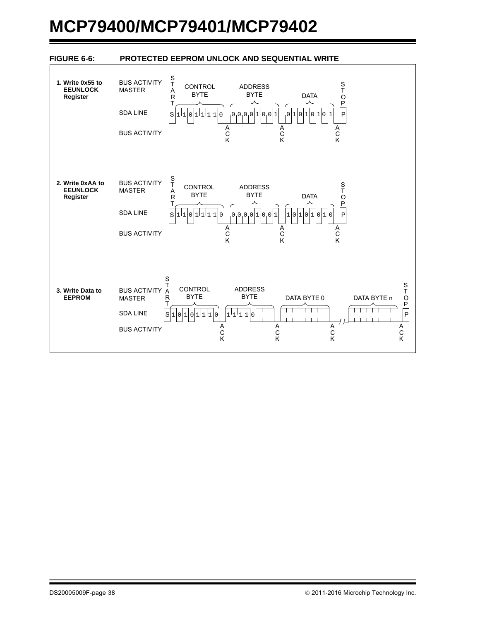<span id="page-37-0"></span>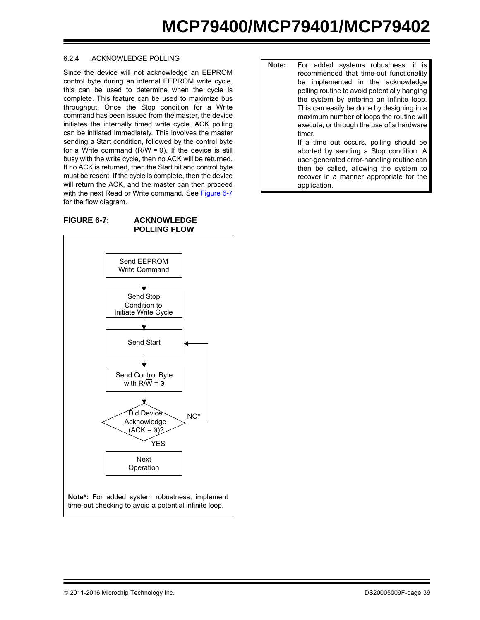#### 6.2.4 ACKNOWLEDGE POLLING

Since the device will not acknowledge an EEPROM control byte during an internal EEPROM write cycle, this can be used to determine when the cycle is complete. This feature can be used to maximize bus throughput. Once the Stop condition for a Write command has been issued from the master, the device initiates the internally timed write cycle. ACK polling can be initiated immediately. This involves the master sending a Start condition, followed by the control byte for a Write command ( $R/\overline{W} = 0$ ). If the device is still busy with the write cycle, then no ACK will be returned. If no ACK is returned, then the Start bit and control byte must be resent. If the cycle is complete, then the device will return the ACK, and the master can then proceed with the next Read or Write command. See [Figure 6-7](#page-38-0) for the flow diagram.

<span id="page-38-0"></span>**FIGURE 6-7: ACKNOWLEDGE POLLING FLOW**



| Note: | For added systems robustness, it is          |
|-------|----------------------------------------------|
|       | recommended that time-out functionality      |
|       | be implemented in the acknowledge            |
|       | polling routine to avoid potentially hanging |
|       | the system by entering an infinite loop.     |
|       | This can easily be done by designing in a    |
|       | maximum number of loops the routine will     |
|       | execute, or through the use of a hardware    |
|       | timer.                                       |
|       | If a time out occurs, polling should be      |
|       | aborted by sending a Stop condition. A       |
|       | user-generated error-handling routine can    |
|       | then be called, allowing the system to       |
|       | recover in a manner appropriate for the      |
|       | application.                                 |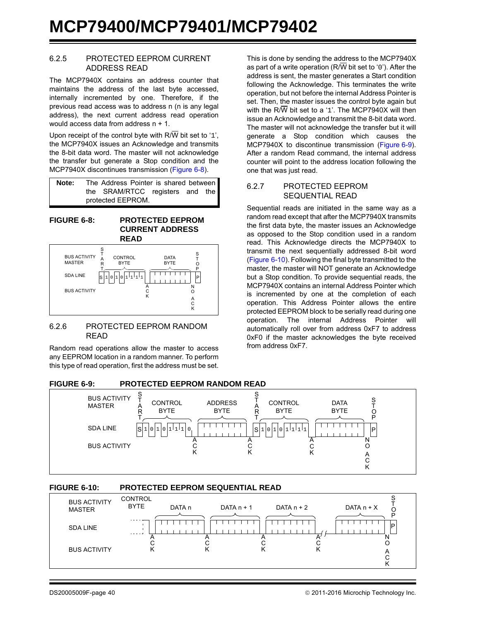#### 6.2.5 PROTECTED EEPROM CURRENT ADDRESS READ

The MCP7940X contains an address counter that maintains the address of the last byte accessed, internally incremented by one. Therefore, if the previous read access was to address n (n is any legal address), the next current address read operation would access data from address n + 1.

Upon receipt of the control byte with  $R/\overline{W}$  bit set to '1'. the MCP7940X issues an Acknowledge and transmits the 8-bit data word. The master will not acknowledge the transfer but generate a Stop condition and the MCP7940X discontinues transmission ([Figure 6-8\)](#page-39-1).

| Note: | The Address Pointer is shared between |
|-------|---------------------------------------|
|       | the SRAM/RTCC registers and the       |
|       | protected EEPROM.                     |

<span id="page-39-1"></span>**FIGURE 6-8: PROTECTED EEPROM CURRENT ADDRESS** 



#### 6.2.6 PROTECTED EEPROM RANDOM READ

Random read operations allow the master to access any EEPROM location in a random manner. To perform this type of read operation, first the address must be set.

This is done by sending the address to the MCP7940X as part of a write operation ( $R/\overline{W}$  bit set to '0'). After the address is sent, the master generates a Start condition following the Acknowledge. This terminates the write operation, but not before the internal Address Pointer is set. Then, the master issues the control byte again but with the  $R/\overline{W}$  bit set to a '1'. The MCP7940X will then issue an Acknowledge and transmit the 8-bit data word. The master will not acknowledge the transfer but it will generate a Stop condition which causes the MCP7940X to discontinue transmission ([Figure 6-9](#page-39-0)). After a random Read command, the internal address counter will point to the address location following the one that was just read.

#### 6.2.7 PROTECTED EEPROM SEQUENTIAL READ

Sequential reads are initiated in the same way as a random read except that after the MCP7940X transmits the first data byte, the master issues an Acknowledge as opposed to the Stop condition used in a random read. This Acknowledge directs the MCP7940X to transmit the next sequentially addressed 8-bit word ([Figure 6-10\)](#page-39-2). Following the final byte transmitted to the master, the master will NOT generate an Acknowledge but a Stop condition. To provide sequential reads, the MCP7940X contains an internal Address Pointer which is incremented by one at the completion of each operation. This Address Pointer allows the entire protected EEPROM block to be serially read during one operation. The internal Address Pointer will automatically roll over from address 0xF7 to address 0xF0 if the master acknowledges the byte received from address 0xF7.

<span id="page-39-0"></span>

## <span id="page-39-2"></span>**FIGURE 6-10: PROTECTED EEPROM SEQUENTIAL READ**

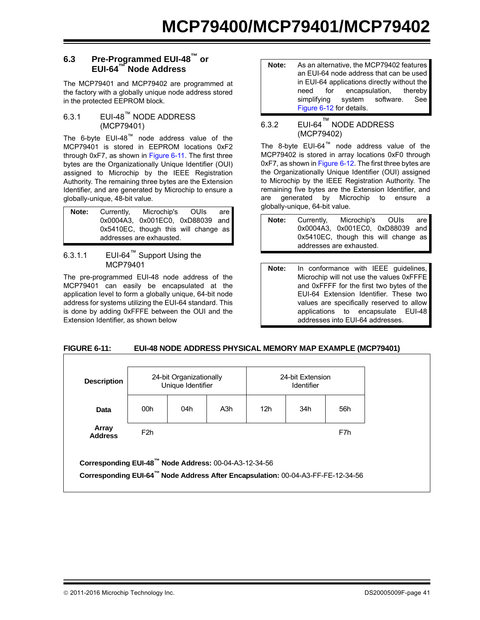## **6.3 Pre-Programmed EUI-48™ or EUI-64™ Node Address**

The MCP79401 and MCP79402 are programmed at the factory with a globally unique node address stored in the protected EEPROM block.

## 6.3.1 EUI-48™ NODE ADDRESS (MCP79401)

The 6-byte EUI-48™ node address value of the MCP79401 is stored in EEPROM locations 0xF2 through 0xF7, as shown in [Figure 6-11.](#page-40-0) The first three bytes are the Organizationally Unique Identifier (OUI) assigned to Microchip by the IEEE Registration Authority. The remaining three bytes are the Extension Identifier, and are generated by Microchip to ensure a globally-unique, 48-bit value.

| Note: | Currently, | Microchip's OUIs<br>0x0004A3. 0x001EC0. 0xD88039 and             | are |
|-------|------------|------------------------------------------------------------------|-----|
|       |            | 0x5410EC, though this will change as<br>addresses are exhausted. |     |

## 6.3.1.1 EUI-64™ Support Using the MCP79401

The pre-programmed EUI-48 node address of the MCP79401 can easily be encapsulated at the application level to form a globally unique, 64-bit node address for systems utilizing the EUI-64 standard. This is done by adding 0xFFFE between the OUI and the Extension Identifier, as shown below

**Note:** As an alternative, the MCP79402 features an EUI-64 node address that can be used in EUI-64 applications directly without the need for encapsulation, thereby simplifying system software. See [Figure 6-12](#page-41-0) for details.

## 6.3.2 EUI-64™ NODE ADDRESS (MCP79402)

The 8-byte EUI-64™ node address value of the MCP79402 is stored in array locations 0xF0 through 0xF7, as shown in [Figure 6-12.](#page-41-0) The first three bytes are the Organizationally Unique Identifier (OUI) assigned to Microchip by the IEEE Registration Authority. The remaining five bytes are the Extension Identifier, and are generated by Microchip to ensure a globally-unique, 64-bit value.

**Note:** Currently, Microchip's OUIs are 0x0004A3, 0x001EC0, 0xD88039 and 0x5410EC, though this will change as addresses are exhausted.

**Note:** In conformance with IEEE guidelines, Microchip will not use the values 0xFFFE and 0xFFFF for the first two bytes of the EUI-64 Extension Identifier. These two values are specifically reserved to allow applications to encapsulate EUI-48 addresses into EUI-64 addresses.

## <span id="page-40-0"></span>**FIGURE 6-11: EUI-48 NODE ADDRESS PHYSICAL MEMORY MAP EXAMPLE (MCP79401)**

| <b>Description</b>      | 24-bit Organizationally<br>Unique Identifier |     |                  | 24-bit Extension<br>Identifier |     |     |
|-------------------------|----------------------------------------------|-----|------------------|--------------------------------|-----|-----|
| Data                    | 00h                                          | 04h | A <sub>3</sub> h | 12 <sub>h</sub>                | 34h | 56h |
| Array<br><b>Address</b> | F <sub>2h</sub>                              |     |                  |                                |     | F7h |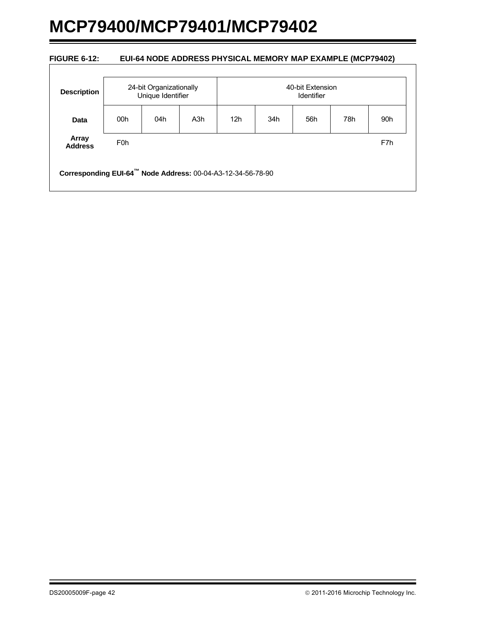#### <span id="page-41-0"></span>**FIGURE 6-12: EUI-64 NODE ADDRESS PHYSICAL MEMORY MAP EXAMPLE (MCP79402)**

| <b>Description</b>      | 24-bit Organizationally<br>Unique Identifier |     |     | 40-bit Extension<br>Identifier |     |     |     |     |
|-------------------------|----------------------------------------------|-----|-----|--------------------------------|-----|-----|-----|-----|
| Data                    | 00h                                          | 04h | A3h | 12 <sub>h</sub>                | 34h | 56h | 78h | 90h |
| Array<br><b>Address</b> | F <sub>0</sub> h                             |     |     |                                |     |     |     | F7h |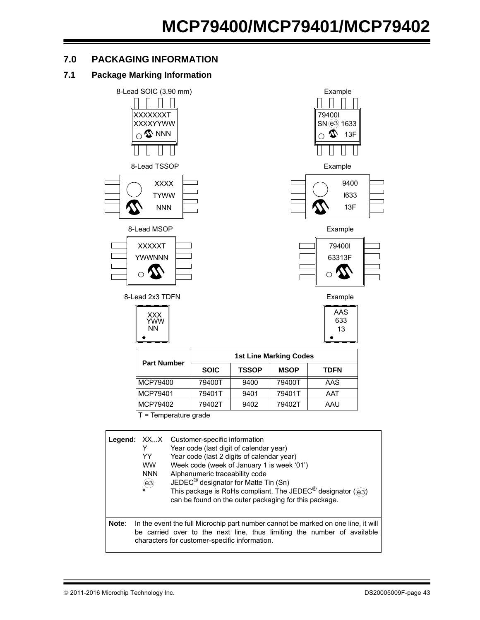## **7.0 PACKAGING INFORMATION**

## **7.1 Package Marking Information**



T = Temperature grade

|       | Legend: XXX<br>Y<br>YY<br><b>WW</b><br><b>NNN</b><br>(e3) | Customer-specific information<br>Year code (last digit of calendar year)<br>Year code (last 2 digits of calendar year)<br>Week code (week of January 1 is week '01')<br>Alphanumeric traceability code<br>JEDEC <sup>®</sup> designator for Matte Tin (Sn)<br>This package is RoHs compliant. The JEDEC <sup>®</sup> designator ( $\circledcirc$ ))<br>can be found on the outer packaging for this package. |
|-------|-----------------------------------------------------------|--------------------------------------------------------------------------------------------------------------------------------------------------------------------------------------------------------------------------------------------------------------------------------------------------------------------------------------------------------------------------------------------------------------|
| Note: |                                                           | In the event the full Microchip part number cannot be marked on one line, it will<br>be carried over to the next line, thus limiting the number of available<br>characters for customer-specific information.                                                                                                                                                                                                |

MCP79401 79401T 9401 79401T AAT MCP79402 | 79402T | 9402 | 79402T | AAU



79400I SN @3 1633 13F

 $\boldsymbol{\mathcal{D}}$  $\overline{\phantom{0}}$ 

 $\mathbf{I}$ 

Example



Example

| AAS |
|-----|
| 633 |
| 13  |
|     |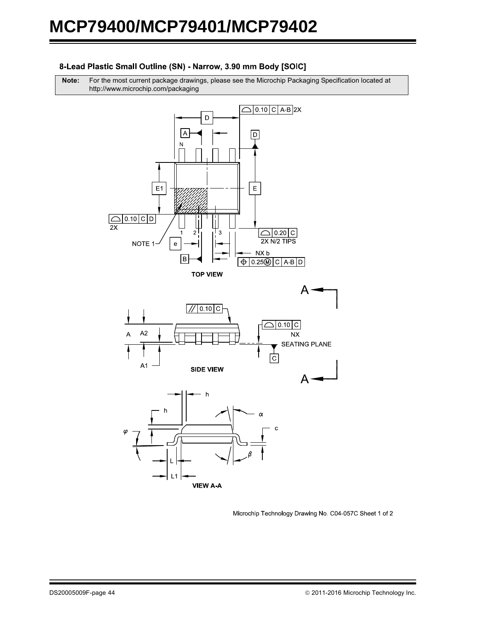#### 8-Lead Plastic Small Outline (SN) - Narrow, 3.90 mm Body [SOIC]

**Note:** For the most current package drawings, please see the Microchip Packaging Specification located at http://www.microchip.com/packaging



Microchip Technology Drawing No. C04-057C Sheet 1 of 2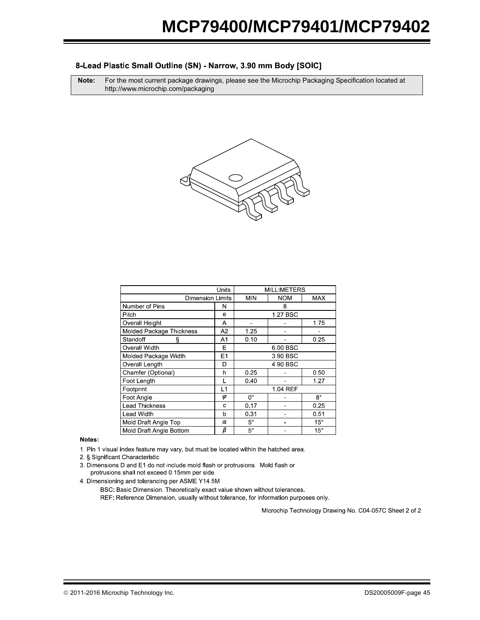#### 8-Lead Plastic Small Outline (SN) - Narrow, 3.90 mm Body [SOIC]

**Note:** For the most current package drawings, please see the Microchip Packaging Specification located at http://www.microchip.com/packaging



|                          |                | <b>MILLIMETERS</b> |            |              |  |  |
|--------------------------|----------------|--------------------|------------|--------------|--|--|
| <b>Dimension Limits</b>  |                | <b>MIN</b>         | <b>NOM</b> | <b>MAX</b>   |  |  |
| Number of Pins           | N              |                    | 8          |              |  |  |
| Pitch                    | e              |                    | 1.27 BSC   |              |  |  |
| Overall Height           | A              |                    |            | 1.75         |  |  |
| Molded Package Thickness | A2             | 1.25               |            |              |  |  |
| Standoff<br>ş            | A1             | 0.10               |            | 0.25         |  |  |
| Overall Width            | E              | 6.00 BSC           |            |              |  |  |
| Molded Package Width     | E <sub>1</sub> | 3.90 BSC           |            |              |  |  |
| Overall Length           | D              | 4.90 BSC           |            |              |  |  |
| Chamfer (Optional)       | h              | 0.25               |            | 0.50         |  |  |
| Foot Length              |                | 0.40               |            | 1.27         |  |  |
| Footprint                | L1             |                    | 1.04 REF   |              |  |  |
| Foot Angle               | φ              | $0^{\circ}$        |            | $8^{\circ}$  |  |  |
| <b>Lead Thickness</b>    | C              | 0.17               |            | 0.25         |  |  |
| Lead Width               | b              | 0.31               |            | 0.51         |  |  |
| Mold Draft Angle Top     | α              | $5^{\circ}$        |            | $15^\circ$   |  |  |
| Mold Draft Angle Bottom  | β              | $5^{\circ}$        |            | $15^{\circ}$ |  |  |

Notes:

1. Pin 1 visual index feature may vary, but must be located within the hatched area.

2 § Significant Characteristic

3. Dimensions D and E1 do not include mold flash or protrusions. Mold flash or protrusions shall not exceed 0.15mm per side.

4. Dimensioning and tolerancing per ASME Y14.5M

BSC: Basic Dimension. Theoretically exact value shown without tolerances.

REF: Reference Dimension, usually without tolerance, for information purposes only.

Microchip Technology Drawing No. C04-057C Sheet 2 of 2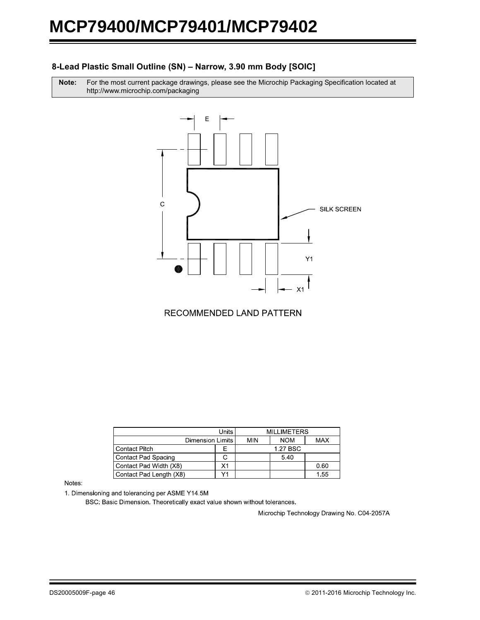## 8-Lead Plastic Small Outline (SN) - Narrow, 3.90 mm Body [SOIC]

Note: r the most current package drawings, please see the Microchip Packaging Specification located at http://www.microchip.com/packaging



RECOMMENDED LAND PATTERN

|                         | <b>MILLIMETERS</b> |            |            |            |
|-------------------------|--------------------|------------|------------|------------|
| Dimension Limits        |                    | <b>MIN</b> | <b>NOM</b> | <b>MAX</b> |
| <b>Contact Pitch</b>    | ⊢                  |            | 1.27 BSC   |            |
| Contact Pad Spacing     | ι.                 |            | 5.40       |            |
| Contact Pad Width (X8)  | Х1                 |            |            | 0.60       |
| Contact Pad Length (X8) |                    |            |            | 1.55       |

Notes:

1. Dimensioning and tolerancing per ASME Y14.5M

BSC: Basic Dimension. Theoretically exact value shown without tolerances.

Microchip Technology Drawing No. C04-2057A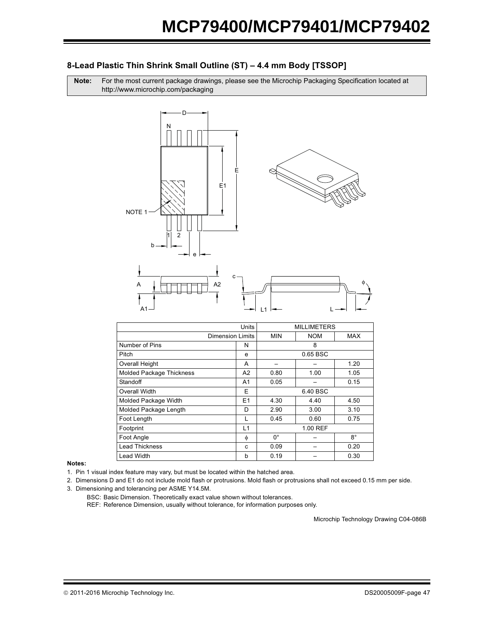## 8-Lead Plastic Thin Shrink Small Outline (ST) – 4.4 mm Body [TSSOP]

Note: r the most current package drawings, please see the Microchip Packaging Specification located at http://www.microchip.com/packaging





#### Notes:

1. Pin 1 visual index feature may vary, but must be located within the hatched area.

2. Dimensions D and E1 do not include mold flash or protrusions. Mold flash or protrusions shall not exceed 0.15 mm per side.

- 3. Dimensioning and tolerancing per ASME Y14.5M.
	- BSC: Basic Dimension. Theoretically exact value shown without tolerances.

REF: Reference Dimension, usually without tolerance, for information purposes only.

Microchip Technology Drawing C04-086B

φ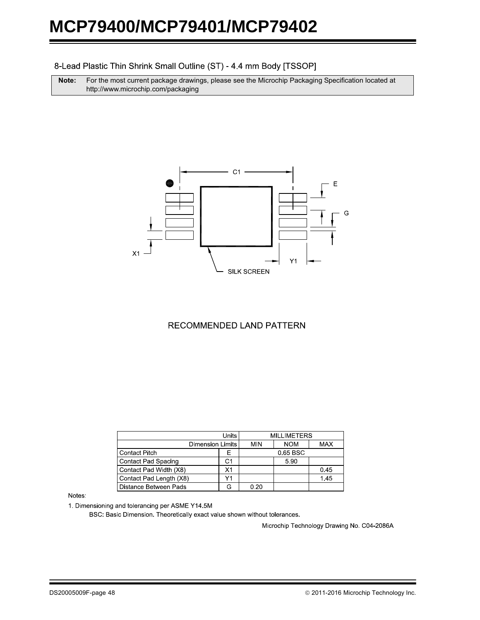#### 8-Lead Plastic Thin Shrink Small Outline (ST) - 4.4 mm Body [TSSOP]

**Note:** For the most current package drawings, please see the Microchip Packaging Specification located at http://www.microchip.com/packaging



## RECOMMENDED LAND PATTERN

|                            |            | <b>MILLIMETERS</b> |            |      |
|----------------------------|------------|--------------------|------------|------|
| Dimension Limits           | <b>MIN</b> | <b>NOM</b>         | <b>MAX</b> |      |
| <b>Contact Pitch</b>       | ⊢          |                    | 0.65 BSC   |      |
| <b>Contact Pad Spacing</b> | C1         |                    | 5.90       |      |
| Contact Pad Width (X8)     | Χ1         |                    |            | 0.45 |
| Contact Pad Length (X8)    | Υ1         |                    |            | 1.45 |
| Distance Between Pads      |            | 0.20               |            |      |

#### Notes:

1. Dimensioning and tolerancing per ASME Y14.5M

BSC: Basic Dimension. Theoretically exact value shown without tolerances.

Microchip Technology Drawing No. C04-2086A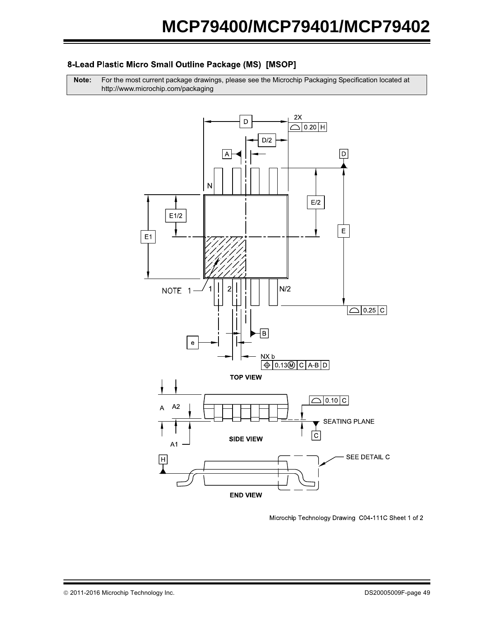## 8-Lead Plastic Micro Small Outline Package (MS) [MSOP]

**Note:** For the most current package drawings, please see the Microchip Packaging Specification located at http://www.microchip.com/packaging



Microchip Technology Drawing C04-111C Sheet 1 of 2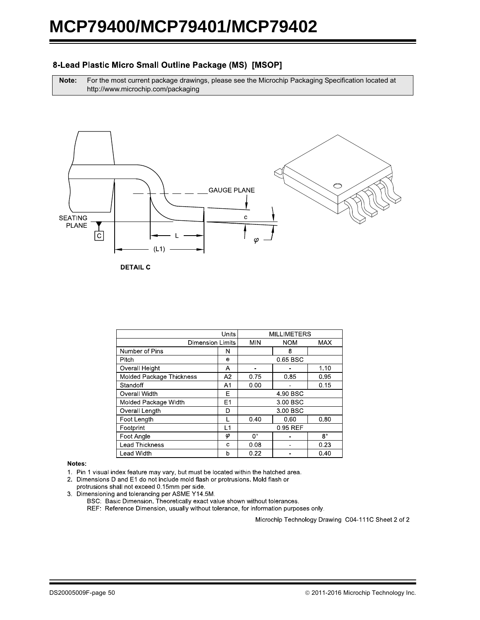### 8-Lead Plastic Micro Small Outline Package (MS) [MSOP]

**Note:** For the most current package drawings, please see the Microchip Packaging Specification located at http://www.microchip.com/packaging



**DETAIL C** 

|                                 | <b>MILLIMETERS</b> |            |            |             |  |
|---------------------------------|--------------------|------------|------------|-------------|--|
| <b>Dimension Limits</b>         |                    | <b>MIN</b> | <b>NOM</b> | <b>MAX</b>  |  |
| Number of Pins                  | N                  |            | 8          |             |  |
| Pitch                           | е                  |            | 0.65 BSC   |             |  |
| <b>Overall Height</b>           | A                  |            |            | 1.10        |  |
| <b>Molded Package Thickness</b> | A2                 | 0.75       | 0.85       | 0.95        |  |
| Standoff                        | A1                 | 0.00       |            | 0.15        |  |
| Overall Width                   | Е                  | 4 90 BSC   |            |             |  |
| Molded Package Width            | E <sub>1</sub>     | 3.00 BSC   |            |             |  |
| Overall Length                  | D                  | 3.00 BSC   |            |             |  |
| Foot Length                     |                    | 0.40       | 0.60       | 0.80        |  |
| Footprint                       | L1                 | 0.95 REF   |            |             |  |
| Foot Angle                      | φ                  | 0°         |            | $8^{\circ}$ |  |
| <b>Lead Thickness</b>           | c                  | 0.08       |            | 0.23        |  |
| Lead Width                      | b                  | 0.22       |            | 0.40        |  |

#### Notes:

1. Pin 1 visual index feature may vary, but must be located within the hatched area.

2. Dimensions D and E1 do not include mold flash or protrusions. Mold flash or protrusions shall not exceed 0.15mm per side.

3. Dimensioning and tolerancing per ASME Y14.5M.

BSC: Basic Dimension. Theoretically exact value shown without tolerances.

REF: Reference Dimension, usually without tolerance, for information purposes only.

Microchip Technology Drawing C04-111C Sheet 2 of 2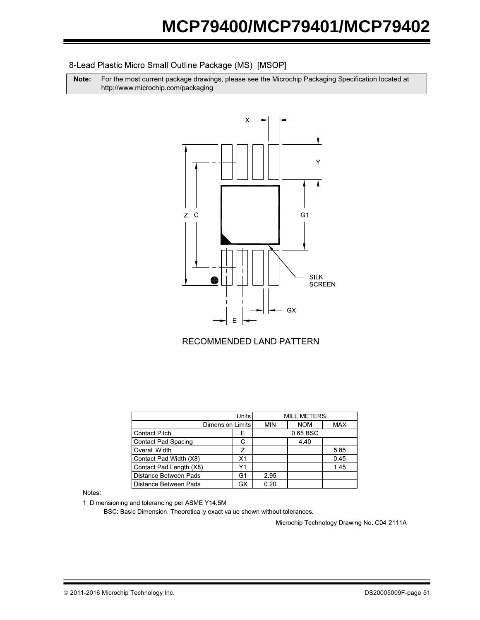### 8-Lead Plastic Micro Small Outline Package (MS) [MSOP]

**Note:** For the most current package drawings, please see the Microchip Packaging Specification located at http://www.microchip.com/packaging



## RECOMMENDED LAND PATTERN

|                            | Units                   |      | <b>MILLIMETERS</b> |            |  |  |
|----------------------------|-------------------------|------|--------------------|------------|--|--|
|                            | <b>Dimension Limits</b> |      | <b>NOM</b>         | <b>MAX</b> |  |  |
| <b>Contact Pitch</b>       | F                       |      | 0.65 BSC           |            |  |  |
| <b>Contact Pad Spacing</b> |                         |      | 4.40               |            |  |  |
| Overall Width              | 7                       |      |                    | 5.85       |  |  |
| Contact Pad Width (X8)     | X1                      |      |                    | 0.45       |  |  |
| Contact Pad Length (X8)    | Υ1                      |      |                    | 1.45       |  |  |
| Distance Between Pads      | G1                      | 2.95 |                    |            |  |  |
| Distance Between Pads      | GX                      | 0.20 |                    |            |  |  |

Notes:

1. Dimensioning and tolerancing per ASME Y14.5M

BSC: Basic Dimension. Theoretically exact value shown without tolerances.

Microchip Technology Drawing No. C04-2111A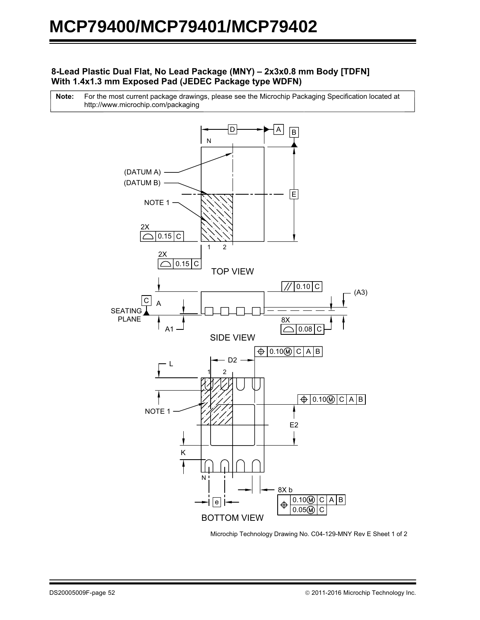## **8-Lead Plastic Dual Flat, No Lead Package (MNY) – 2x3x0.8 mm Body [TDFN] With 1.4x1.3 mm Exposed Pad (JEDEC Package type WDFN)**

For the most current package drawings, please see the Microchip Packaging Specification located at http://www.microchip.com/packaging **Note:**



Microchip Technology Drawing No. C04-129-MNY Rev E Sheet 1 of 2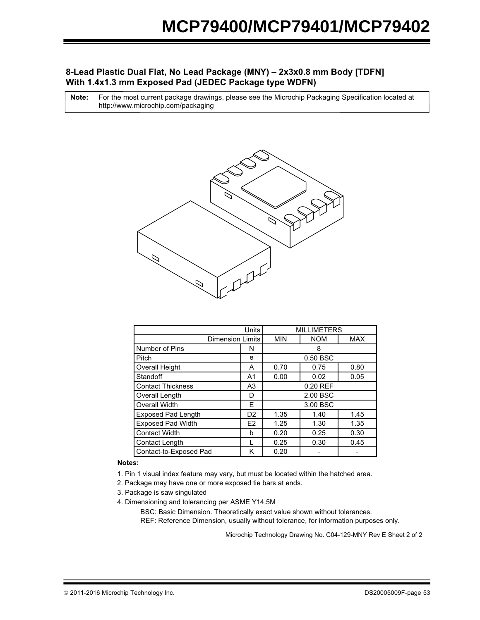## **8-Lead Plastic Dual Flat, No Lead Package (MNY) – 2x3x0.8 mm Body [TDFN] With 1.4x1.3 mm Exposed Pad (JEDEC Package type WDFN)**

For the most current package drawings, please see the Microchip Packaging Specification located at http://www.microchip.com/packaging **Note:**



|                           | <b>MILLIMETERS</b> |                      |            |            |  |
|---------------------------|--------------------|----------------------|------------|------------|--|
| <b>Dimension Limits</b>   |                    | <b>MIN</b>           | <b>NOM</b> | <b>MAX</b> |  |
| Number of Pins            | N                  |                      | 8          |            |  |
| Pitch                     | e                  |                      | 0.50 BSC   |            |  |
| <b>Overall Height</b>     | A                  | 0.75<br>0.70<br>0.80 |            |            |  |
| Standoff                  | A1                 | 0.00                 | 0.02       | 0.05       |  |
| <b>Contact Thickness</b>  | A3                 | 0.20 REF             |            |            |  |
| Overall Length            | D                  | 2.00 BSC             |            |            |  |
| <b>Overall Width</b>      | E                  | 3.00 BSC             |            |            |  |
| <b>Exposed Pad Length</b> | D <sub>2</sub>     | 1.35                 | 1.40       | 1.45       |  |
| <b>Exposed Pad Width</b>  | E <sub>2</sub>     | 1.25                 | 1.30       | 1.35       |  |
| <b>Contact Width</b>      | h                  | 0.20                 | 0.25       | 0.30       |  |
| Contact Length            |                    | 0.25                 | 0.30       | 0.45       |  |
| Contact-to-Exposed Pad    | Κ                  | 0.20                 |            |            |  |

#### **Notes:**

- 1. Pin 1 visual index feature may vary, but must be located within the hatched area.
- 2. Package may have one or more exposed tie bars at ends.
- 3. Package is saw singulated
- 4. Dimensioning and tolerancing per ASME Y14.5M

BSC: Basic Dimension. Theoretically exact value shown without tolerances. REF: Reference Dimension, usually without tolerance, for information purposes only.

Microchip Technology Drawing No. C04-129-MNY Rev E Sheet 2 of 2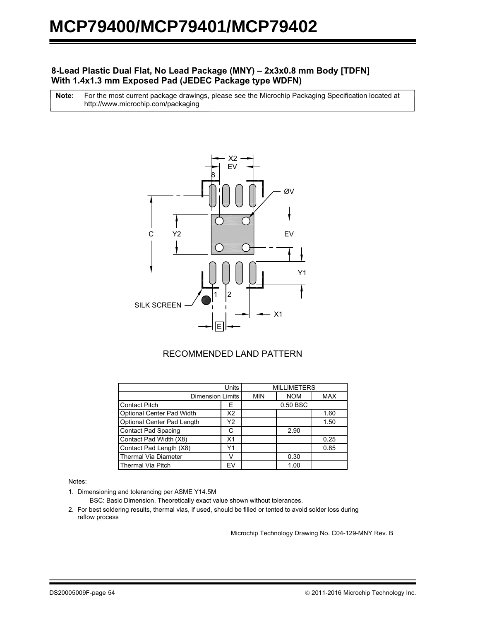## **8-Lead Plastic Dual Flat, No Lead Package (MNY) – 2x3x0.8 mm Body [TDFN] With 1.4x1.3 mm Exposed Pad (JEDEC Package type WDFN)**

For the most current package drawings, please see the Microchip Packaging Specification located at http://www.microchip.com/packaging **Note:**



## RECOMMENDED LAND PATTERN

|                             | <b>MILLIMETERS</b> |            |            |            |
|-----------------------------|--------------------|------------|------------|------------|
| <b>Dimension Limits</b>     |                    | <b>MIN</b> | <b>NOM</b> | <b>MAX</b> |
| <b>Contact Pitch</b>        | Е                  | 0.50 BSC   |            |            |
| Optional Center Pad Width   | X2                 |            |            | 1.60       |
| Optional Center Pad Length  | Y2                 |            |            | 1.50       |
| <b>Contact Pad Spacing</b>  | C                  |            | 2.90       |            |
| Contact Pad Width (X8)      | X <sub>1</sub>     |            |            | 0.25       |
| Contact Pad Length (X8)     | Y1                 |            |            | 0.85       |
| <b>Thermal Via Diameter</b> |                    |            | 0.30       |            |
| <b>Thermal Via Pitch</b>    | EV                 |            | 1.00       |            |

Notes:

1. Dimensioning and tolerancing per ASME Y14.5M

BSC: Basic Dimension. Theoretically exact value shown without tolerances.

2. For best soldering results, thermal vias, if used, should be filled or tented to avoid solder loss during reflow process

Microchip Technology Drawing No. C04-129-MNY Rev. B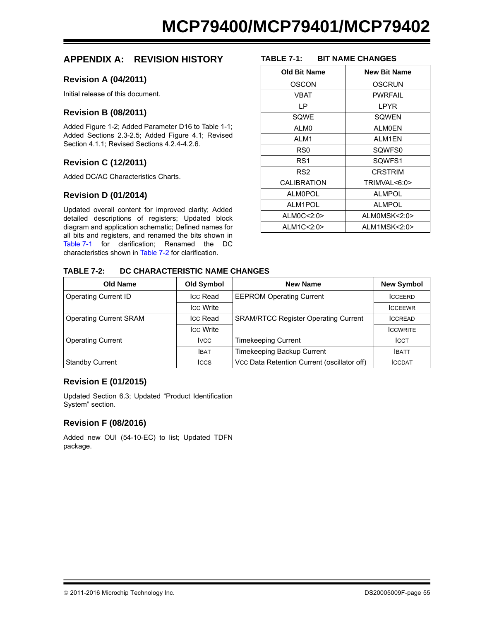## **APPENDIX A: REVISION HISTORY**

## **Revision A (04/2011)**

Initial release of this document.

### **Revision B (08/2011)**

Added Figure 1-2; Added Parameter D16 to Table 1-1; Added Sections 2.3-2.5; Added Figure 4.1; Revised Section 4.1.1; Revised Sections 4.2.4-4.2.6.

## **Revision C (12/2011)**

Added DC/AC Characteristics Charts.

## **Revision D (01/2014)**

Updated overall content for improved clarity; Added detailed descriptions of registers; Updated block diagram and application schematic; Defined names for all bits and registers, and renamed the bits shown in [Table 7-1](#page-54-0) for clarification; Renamed the DC characteristics shown in [Table 7-2](#page-54-1) for clarification.

#### <span id="page-54-0"></span>**TABLE 7-1: BIT NAME CHANGES**

| <b>Old Bit Name</b> | <b>New Bit Name</b> |  |  |
|---------------------|---------------------|--|--|
| OSCON               | OSCRUN              |  |  |
| VBAT                | PWRFAII             |  |  |
| ΙP                  | <b>LPYR</b>         |  |  |
| SQWE                | SQWEN               |  |  |
| ALM0                | <b>ALMOEN</b>       |  |  |
| ALM1                | ALM1EN              |  |  |
| RS0                 | SQWFS0              |  |  |
| RS1                 | SQWFS1              |  |  |
| RS2                 | <b>CRSTRIM</b>      |  |  |
| <b>CALIBRATION</b>  | TRIMVAL<6:0>        |  |  |
| <b>ALM0POL</b>      | ALMPOL              |  |  |
| ALM1POL             | <b>ALMPOL</b>       |  |  |
| ALM0C<2:0>          | ALMOMSK<2:0>        |  |  |
| ALM1C<2:0>          | ALM1MSK<2:0>        |  |  |

#### <span id="page-54-1"></span>**TABLE 7-2: DC CHARACTERISTIC NAME CHANGES**

| Old Name                      | <b>Old Symbol</b> | <b>New Name</b>                                              | <b>New Symbol</b> |
|-------------------------------|-------------------|--------------------------------------------------------------|-------------------|
| <b>Operating Current ID</b>   | Icc Read          | <b>EEPROM Operating Current</b>                              | <b>ICCEERD</b>    |
|                               | <b>Icc Write</b>  |                                                              | <b>ICCEEWR</b>    |
| <b>Operating Current SRAM</b> | Icc Read          | <b>SRAM/RTCC Register Operating Current</b>                  | <b>ICCREAD</b>    |
|                               | <b>Icc Write</b>  |                                                              | <b>ICCWRITE</b>   |
| <b>Operating Current</b>      | <b>IVCC</b>       | <b>Timekeeping Current</b>                                   | <b>ICCT</b>       |
|                               | <b>IBAT</b>       | Timekeeping Backup Current                                   | <b>IBATT</b>      |
| <b>Standby Current</b>        | <b>ICCS</b>       | Vcc Data Retention Current (oscillator off)<br><b>ICCDAT</b> |                   |

## **Revision E (01/2015)**

Updated Section 6.3; Updated "Product Identification System" section.

## **Revision F (08/2016)**

Added new OUI (54-10-EC) to list; Updated TDFN package.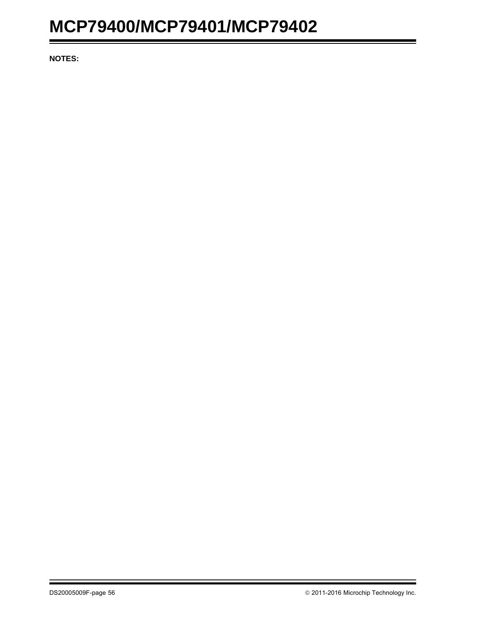**NOTES:**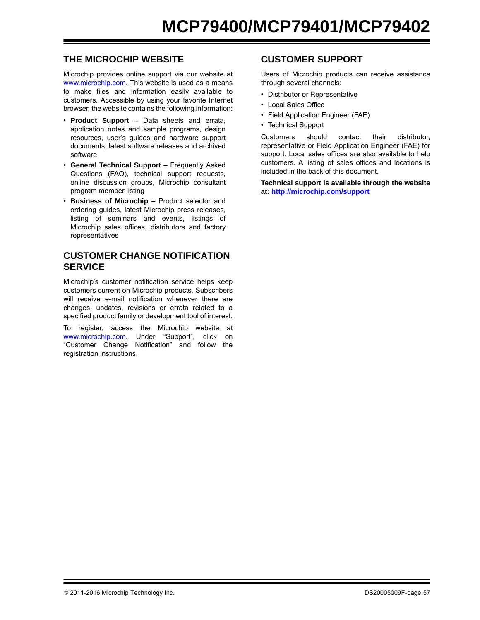## **THE MICROCHIP WEBSITE**

[Microchip provides online support via our website at](http://www.microchip.com) www.microchip.com. This website is used as a means to make files and information easily available to customers. Accessible by using your favorite Internet browser, the website contains the following information:

- **Product Support** Data sheets and errata, application notes and sample programs, design resources, user's guides and hardware support documents, latest software releases and archived software
- **General Technical Support** Frequently Asked Questions (FAQ), technical support requests, online discussion groups, Microchip consultant program member listing
- **Business of Microchip** Product selector and ordering guides, latest Microchip press releases, listing of seminars and events, listings of Microchip sales offices, distributors and factory representatives

## **CUSTOMER CHANGE NOTIFICATION SERVICE**

Microchip's customer notification service helps keep customers current on Microchip products. Subscribers will receive e-mail notification whenever there are changes, updates, revisions or errata related to a specified product family or development tool of interest.

[To register, access the Microchip website at](http://www.microchip.com) www.microchip.com. Under "Support", click on "Customer Change Notification" and follow the registration instructions.

## **CUSTOMER SUPPORT**

Users of Microchip products can receive assistance through several channels:

- Distributor or Representative
- Local Sales Office
- Field Application Engineer (FAE)
- Technical Support

Customers should contact their distributor, representative or Field Application Engineer (FAE) for support. Local sales offices are also available to help customers. A listing of sales offices and locations is included in the back of this document.

**[Technical support is available through the website](http://www.microchip.com) [at:](http://www.microchip.com) http://microchip.com/support**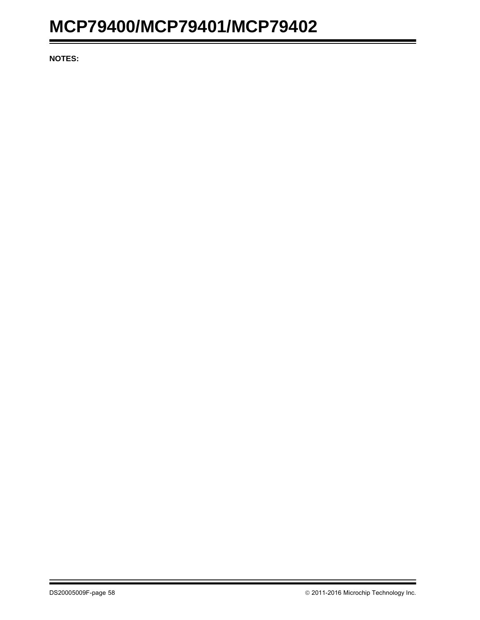**NOTES:**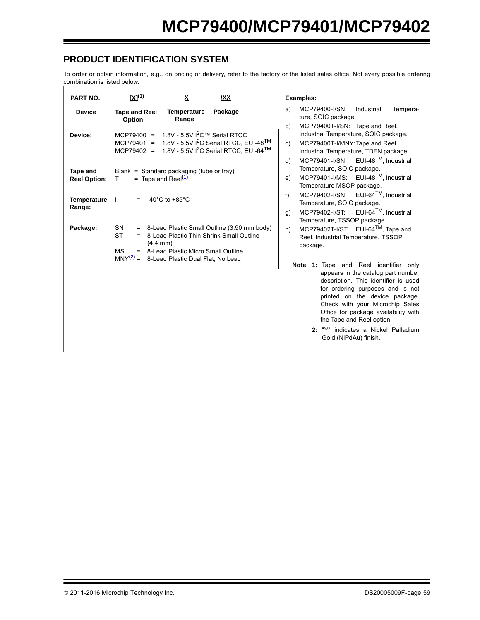## **PRODUCT IDENTIFICATION SYSTEM**

To order or obtain information, e.g., on pricing or delivery, refer to the factory or the listed sales office. Not every possible ordering combination is listed below.

<span id="page-58-1"></span><span id="page-58-0"></span>

| PART NO.                                                                               | <u>[X](1)</u>                                                                                                                                                                                                                                                                                                                                                                                                                                                                                                                                                             | /XX     |                                       | <b>Examples:</b>                                                                                                                                                                                                                                                                                                                                                                                                                                                                                                                                                                                                                                                                                                                                                                                                                                                                                                                                               |
|----------------------------------------------------------------------------------------|---------------------------------------------------------------------------------------------------------------------------------------------------------------------------------------------------------------------------------------------------------------------------------------------------------------------------------------------------------------------------------------------------------------------------------------------------------------------------------------------------------------------------------------------------------------------------|---------|---------------------------------------|----------------------------------------------------------------------------------------------------------------------------------------------------------------------------------------------------------------------------------------------------------------------------------------------------------------------------------------------------------------------------------------------------------------------------------------------------------------------------------------------------------------------------------------------------------------------------------------------------------------------------------------------------------------------------------------------------------------------------------------------------------------------------------------------------------------------------------------------------------------------------------------------------------------------------------------------------------------|
| <b>Device</b>                                                                          | <b>Tape and Reel</b><br>Temperature<br>Range<br>Option                                                                                                                                                                                                                                                                                                                                                                                                                                                                                                                    | Package | a)                                    | MCP79400-I/SN:<br>Industrial<br>Tempera-<br>ture, SOIC package.                                                                                                                                                                                                                                                                                                                                                                                                                                                                                                                                                                                                                                                                                                                                                                                                                                                                                                |
| Device:<br>Tape and<br><b>Reel Option:</b><br><b>Temperature</b><br>Range:<br>Package: | MCP79400 = $1.8V - 5.5V$ $1^2C$ ™ Serial RTCC<br>MCP79401 = $1.8V - 5.5V$ $^{2}C$ Serial RTCC, EUI-48 <sup>TM</sup><br>MCP79402 = $1.8V - 5.5V$ $1^2C$ Serial RTCC, EUI-64 <sup>TM</sup><br>Blank = Standard packaging (tube or tray)<br>= Tape and Reel $(1)$<br>$\mathsf{T}$<br>$= -40^{\circ}$ C to +85 $^{\circ}$ C<br>= 8-Lead Plastic Small Outline (3.90 mm body)<br>SN<br><b>ST</b><br>= 8-Lead Plastic Thin Shrink Small Outline<br>$(4.4 \, \text{mm})$<br><b>MS</b><br>= 8-Lead Plastic Micro Small Outline<br>$MNY(2) =$<br>8-Lead Plastic Dual Flat, No Lead |         | b)<br>C)<br>d)<br>e)<br>f<br>g)<br>h) | MCP79400T-I/SN: Tape and Reel,<br>Industrial Temperature, SOIC package.<br>MCP79400T-I/MNY: Tape and Reel<br>Industrial Temperature, TDFN package.<br>MCP79401-I/SN: EUI-48 <sup>TM</sup> , Industrial<br>Temperature, SOIC package.<br>MCP79401-I/MS: EUI-48 <sup>TM</sup> , Industrial<br>Temperature MSOP package.<br>$MCP79402-I/SN$ : EUI-64 <sup>TM</sup> , Industrial<br>Temperature, SOIC package.<br>MCP79402-I/ST: $EUI-64TM$ , Industrial<br>Temperature, TSSOP package.<br>MCP79402T-I/ST: EUI-64 <sup>TM</sup> , Tape and<br>Reel, Industrial Temperature, TSSOP<br>package.<br>Note 1: Tape and Reel identifier only<br>appears in the catalog part number<br>description. This identifier is used<br>for ordering purposes and is not<br>printed on the device package.<br>Check with your Microchip Sales<br>Office for package availability with<br>the Tape and Reel option.<br>2: "Y" indicates a Nickel Palladium<br>Gold (NiPdAu) finish. |
|                                                                                        |                                                                                                                                                                                                                                                                                                                                                                                                                                                                                                                                                                           |         |                                       |                                                                                                                                                                                                                                                                                                                                                                                                                                                                                                                                                                                                                                                                                                                                                                                                                                                                                                                                                                |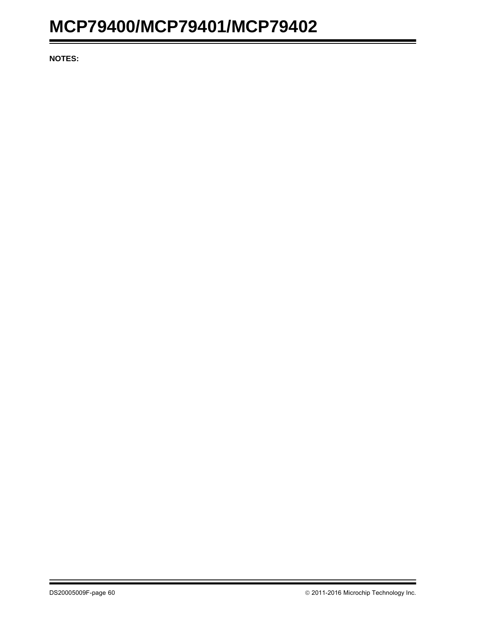**NOTES:**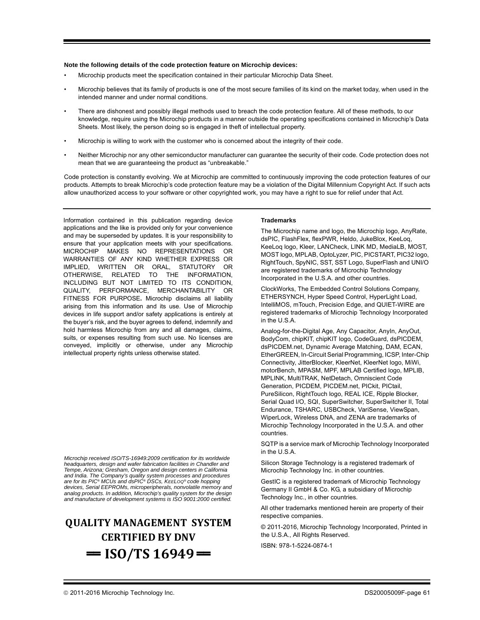#### **Note the following details of the code protection feature on Microchip devices:**

- Microchip products meet the specification contained in their particular Microchip Data Sheet.
- Microchip believes that its family of products is one of the most secure families of its kind on the market today, when used in the intended manner and under normal conditions.
- There are dishonest and possibly illegal methods used to breach the code protection feature. All of these methods, to our knowledge, require using the Microchip products in a manner outside the operating specifications contained in Microchip's Data Sheets. Most likely, the person doing so is engaged in theft of intellectual property.
- Microchip is willing to work with the customer who is concerned about the integrity of their code.
- Neither Microchip nor any other semiconductor manufacturer can guarantee the security of their code. Code protection does not mean that we are guaranteeing the product as "unbreakable."

Code protection is constantly evolving. We at Microchip are committed to continuously improving the code protection features of our products. Attempts to break Microchip's code protection feature may be a violation of the Digital Millennium Copyright Act. If such acts allow unauthorized access to your software or other copyrighted work, you may have a right to sue for relief under that Act.

Information contained in this publication regarding device applications and the like is provided only for your convenience and may be superseded by updates. It is your responsibility to ensure that your application meets with your specifications. MICROCHIP MAKES NO REPRESENTATIONS OR WARRANTIES OF ANY KIND WHETHER EXPRESS OR IMPLIED, WRITTEN OR ORAL, STATUTORY OR OTHERWISE, RELATED TO THE INFORMATION, INCLUDING BUT NOT LIMITED TO ITS CONDITION, QUALITY, PERFORMANCE, MERCHANTABILITY OR FITNESS FOR PURPOSE**.** Microchip disclaims all liability arising from this information and its use. Use of Microchip devices in life support and/or safety applications is entirely at the buyer's risk, and the buyer agrees to defend, indemnify and hold harmless Microchip from any and all damages, claims, suits, or expenses resulting from such use. No licenses are conveyed, implicitly or otherwise, under any Microchip intellectual property rights unless otherwise stated.

*Microchip received ISO/TS-16949:2009 certification for its worldwide headquarters, design and wafer fabrication facilities in Chandler and Tempe, Arizona; Gresham, Oregon and design centers in California and India. The Company's quality system processes and procedures are for its PIC® MCUs and dsPIC® DSCs, KEELOQ® code hopping devices, Serial EEPROMs, microperipherals, nonvolatile memory and analog products. In addition, Microchip's quality system for the design and manufacture of development systems is ISO 9001:2000 certified.*

## **QUALITY MANAGEMENT SYSTEM CERTIFIED BY DNV**   $=$  **ISO/TS 16949**  $=$

#### **Trademarks**

The Microchip name and logo, the Microchip logo, AnyRate, dsPIC, FlashFlex, flexPWR, Heldo, JukeBlox, KeeLoq, KeeLoq logo, Kleer, LANCheck, LINK MD, MediaLB, MOST, MOST logo, MPLAB, OptoLyzer, PIC, PICSTART, PIC32 logo, RightTouch, SpyNIC, SST, SST Logo, SuperFlash and UNI/O are registered trademarks of Microchip Technology Incorporated in the U.S.A. and other countries.

ClockWorks, The Embedded Control Solutions Company, ETHERSYNCH, Hyper Speed Control, HyperLight Load, IntelliMOS, mTouch, Precision Edge, and QUIET-WIRE are registered trademarks of Microchip Technology Incorporated in the U.S.A.

Analog-for-the-Digital Age, Any Capacitor, AnyIn, AnyOut, BodyCom, chipKIT, chipKIT logo, CodeGuard, dsPICDEM, dsPICDEM.net, Dynamic Average Matching, DAM, ECAN, EtherGREEN, In-Circuit Serial Programming, ICSP, Inter-Chip Connectivity, JitterBlocker, KleerNet, KleerNet logo, MiWi, motorBench, MPASM, MPF, MPLAB Certified logo, MPLIB, MPLINK, MultiTRAK, NetDetach, Omniscient Code Generation, PICDEM, PICDEM.net, PICkit, PICtail, PureSilicon, RightTouch logo, REAL ICE, Ripple Blocker, Serial Quad I/O, SQI, SuperSwitcher, SuperSwitcher II, Total Endurance, TSHARC, USBCheck, VariSense, ViewSpan, WiperLock, Wireless DNA, and ZENA are trademarks of Microchip Technology Incorporated in the U.S.A. and other countries.

SQTP is a service mark of Microchip Technology Incorporated in the U.S.A.

Silicon Storage Technology is a registered trademark of Microchip Technology Inc. in other countries.

GestIC is a registered trademark of Microchip Technology Germany II GmbH & Co. KG, a subsidiary of Microchip Technology Inc., in other countries.

All other trademarks mentioned herein are property of their respective companies.

© 2011-2016, Microchip Technology Incorporated, Printed in the U.S.A., All Rights Reserved.

ISBN: 978-1-5224-0874-1